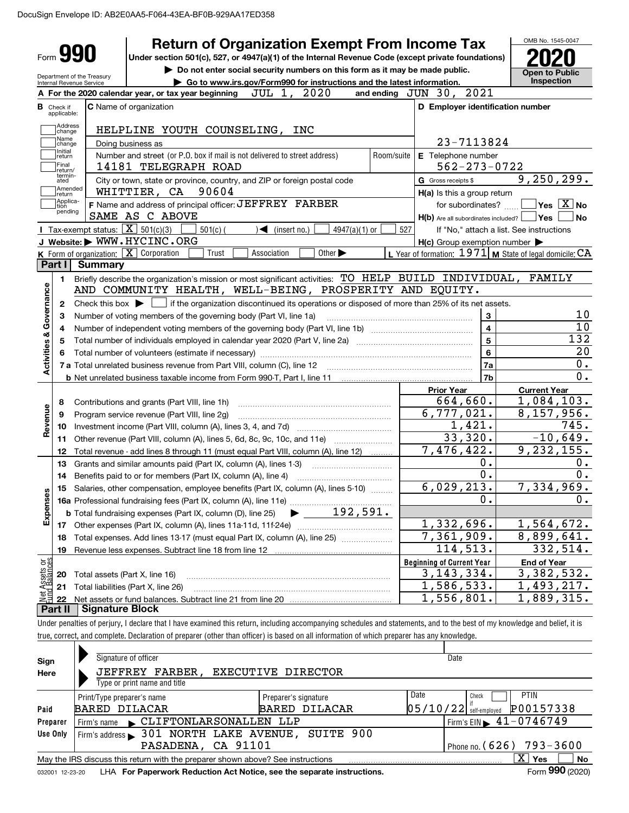|                                | Form 990                         | Department of the Treasury | <b>Return of Organization Exempt From Income Tax</b><br>Under section 501(c), 527, or 4947(a)(1) of the Internal Revenue Code (except private foundations)<br>Do not enter social security numbers on this form as it may be made public. |                          |                                                           | <b>Open to Public</b>                                |
|--------------------------------|----------------------------------|----------------------------|-------------------------------------------------------------------------------------------------------------------------------------------------------------------------------------------------------------------------------------------|--------------------------|-----------------------------------------------------------|------------------------------------------------------|
|                                | Internal Revenue Service         |                            | Go to www.irs.gov/Form990 for instructions and the latest information.<br>2020<br>JUL 1,<br>A For the 2020 calendar year, or tax year beginning                                                                                           |                          | and ending JUN 30, 2021                                   | Inspection                                           |
|                                |                                  |                            |                                                                                                                                                                                                                                           |                          |                                                           |                                                      |
|                                | <b>B</b> Check if<br>applicable: |                            | <b>C</b> Name of organization                                                                                                                                                                                                             |                          | D Employer identification number                          |                                                      |
|                                | Address                          |                            | HELPLINE YOUTH COUNSELING, INC                                                                                                                                                                                                            |                          |                                                           |                                                      |
|                                | change<br>Name                   |                            |                                                                                                                                                                                                                                           |                          | 23-7113824                                                |                                                      |
|                                | change<br>Initial                |                            | Doing business as<br>Number and street (or P.O. box if mail is not delivered to street address)                                                                                                                                           | Room/suite               | E Telephone number                                        |                                                      |
|                                | return<br>Final                  |                            | 14181 TELEGRAPH ROAD                                                                                                                                                                                                                      |                          | $562 - 273 - 0722$                                        |                                                      |
|                                | return/<br>termin-<br>ated       |                            | City or town, state or province, country, and ZIP or foreign postal code                                                                                                                                                                  |                          | G Gross receipts \$                                       | 9,250,299.                                           |
|                                | Amended                          |                            | WHITTIER, CA<br>90604                                                                                                                                                                                                                     |                          | H(a) Is this a group return                               |                                                      |
|                                | ∣return<br> Applica-             |                            | F Name and address of principal officer: JEFFREY FARBER                                                                                                                                                                                   |                          | for subordinates?                                         | $\overline{\mathsf{Yes}}$ $\overline{\mathsf{X}}$ No |
|                                | tion<br>pending                  |                            | SAME AS C ABOVE                                                                                                                                                                                                                           |                          | H(b) Are all subordinates included?   Yes                 |                                                      |
|                                |                                  |                            | Tax-exempt status: $\boxed{\mathbf{X}}$ 501(c)(3)<br>$501(c)$ (<br>$\blacktriangleright$ (insert no.)                                                                                                                                     | 4947(a)(1) or            | 527                                                       | If "No," attach a list. See instructions             |
|                                |                                  |                            | J Website: WWW.HYCINC.ORG                                                                                                                                                                                                                 |                          | $H(c)$ Group exemption number $\blacktriangleright$       |                                                      |
|                                |                                  |                            | K Form of organization: $X$ Corporation<br>Trust<br>Association<br>Other $\blacktriangleright$                                                                                                                                            |                          | L Year of formation: $1971$ M State of legal domicile: CA |                                                      |
|                                | Part I                           | <b>Summary</b>             |                                                                                                                                                                                                                                           |                          |                                                           |                                                      |
|                                | 1.                               |                            | Briefly describe the organization's mission or most significant activities: TO HELP BUILD INDIVIDUAL, FAMILY                                                                                                                              |                          |                                                           |                                                      |
|                                |                                  |                            | AND COMMUNITY HEALTH, WELL-BEING, PROSPERITY AND EQUITY.                                                                                                                                                                                  |                          |                                                           |                                                      |
| Activities & Governance        | 2                                |                            | Check this box $\blacktriangleright$ $\Box$ if the organization discontinued its operations or disposed of more than 25% of its net assets.                                                                                               |                          |                                                           |                                                      |
|                                | З                                |                            | Number of voting members of the governing body (Part VI, line 1a)                                                                                                                                                                         |                          | 3                                                         |                                                      |
|                                | 4                                |                            |                                                                                                                                                                                                                                           |                          | $\overline{\mathbf{4}}$                                   |                                                      |
|                                | 5                                |                            |                                                                                                                                                                                                                                           |                          | 5                                                         | 132                                                  |
|                                |                                  |                            |                                                                                                                                                                                                                                           |                          | 6                                                         |                                                      |
|                                |                                  |                            |                                                                                                                                                                                                                                           |                          | 7a                                                        |                                                      |
|                                |                                  |                            |                                                                                                                                                                                                                                           |                          | 7b                                                        |                                                      |
|                                |                                  |                            |                                                                                                                                                                                                                                           |                          | <b>Prior Year</b>                                         | <b>Current Year</b>                                  |
|                                | 8                                |                            | Contributions and grants (Part VIII, line 1h)                                                                                                                                                                                             |                          | 664,660.                                                  | 1,084,103.                                           |
|                                | 9                                |                            | Program service revenue (Part VIII, line 2g)                                                                                                                                                                                              |                          | 6,777,021.                                                | 8,157,956.                                           |
| evenue                         | 10                               |                            |                                                                                                                                                                                                                                           |                          | 1,421.                                                    | 745.                                                 |
| œ                              | 11                               |                            | Other revenue (Part VIII, column (A), lines 5, 6d, 8c, 9c, 10c, and 11e)                                                                                                                                                                  |                          | 33,320.                                                   | $-10,649.$                                           |
|                                | 12                               |                            | Total revenue - add lines 8 through 11 (must equal Part VIII, column (A), line 12)                                                                                                                                                        |                          | 7,476,422.                                                | 9, 232, 155.                                         |
|                                | 13                               |                            | Grants and similar amounts paid (Part IX, column (A), lines 1-3)                                                                                                                                                                          |                          | Ο.                                                        |                                                      |
|                                | 14                               |                            | Benefits paid to or for members (Part IX, column (A), line 4)                                                                                                                                                                             |                          | 0.                                                        |                                                      |
|                                | 15                               |                            | Salaries, other compensation, employee benefits (Part IX, column (A), lines 5-10)                                                                                                                                                         |                          | 6,029,213.                                                | 7,334,969.                                           |
|                                |                                  |                            |                                                                                                                                                                                                                                           |                          | 0.                                                        |                                                      |
| Expenses                       |                                  |                            |                                                                                                                                                                                                                                           |                          |                                                           |                                                      |
|                                | 17                               |                            |                                                                                                                                                                                                                                           |                          | 1,332,696.                                                | 1,564,672.                                           |
|                                | 18                               |                            | Total expenses. Add lines 13-17 (must equal Part IX, column (A), line 25) [                                                                                                                                                               | $\overline{7,361,909}$ . | 8,899,641.                                                |                                                      |
|                                | 19                               |                            | Revenue less expenses. Subtract line 18 from line 12                                                                                                                                                                                      |                          | 114,513.                                                  | 332,514.                                             |
| Net Assets or<br>Fund Balances |                                  |                            |                                                                                                                                                                                                                                           |                          | <b>Beginning of Current Year</b>                          | <b>End of Year</b>                                   |
|                                | 20                               |                            | Total assets (Part X, line 16)                                                                                                                                                                                                            |                          | 3, 143, 334.                                              | 3,382,532.                                           |
|                                | 21                               |                            | Total liabilities (Part X, line 26)                                                                                                                                                                                                       |                          | 1,586,533.                                                | 1,493,217.                                           |
|                                |                                  |                            |                                                                                                                                                                                                                                           |                          | $\overline{1}$ , 556, 801.                                | $\overline{1}$ , 889, 315.                           |

|                 | Signature of officer                                                                              |                                  | Date                                  |  |  |  |  |  |  |  |
|-----------------|---------------------------------------------------------------------------------------------------|----------------------------------|---------------------------------------|--|--|--|--|--|--|--|
| Sign<br>Here    | FARBER,<br><b>JEFFREY</b><br>Type or print name and title                                         | EXECUTIVE DIRECTOR               |                                       |  |  |  |  |  |  |  |
|                 | Print/Type preparer's name                                                                        | Preparer's signature             | Date<br><b>PTIN</b><br>Check          |  |  |  |  |  |  |  |
| Paid            | <b>BARED DILACAR</b>                                                                              | DILACAR<br>BARED                 | P00157338<br>$05/10/22$ self-employed |  |  |  |  |  |  |  |
| Preparer        | CLIFTONLARSONALLEN LLP<br>Firm's name                                                             |                                  | Firm's EIN $\, 41 - 0746749$          |  |  |  |  |  |  |  |
| Use Only        | Firm's address                                                                                    | 301 NORTH LAKE AVENUE, SUITE 900 |                                       |  |  |  |  |  |  |  |
|                 | PASADENA, CA 91101                                                                                |                                  | Phone no. $(626)$ 793-3600            |  |  |  |  |  |  |  |
|                 | x<br>No<br>Yes<br>May the IRS discuss this return with the preparer shown above? See instructions |                                  |                                       |  |  |  |  |  |  |  |
| 032001 12-23-20 | LHA For Paperwork Reduction Act Notice, see the separate instructions.                            |                                  | Form 990 (2020)                       |  |  |  |  |  |  |  |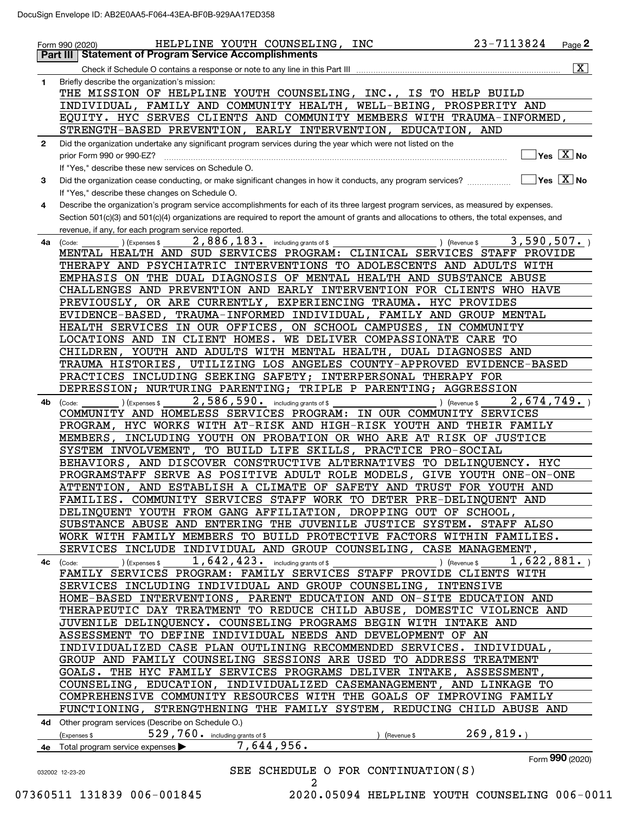|              | HELPLINE YOUTH COUNSELING, INC<br>Form 990 (2020)                                                                                            | 23-7113824                  | Page 2                                           |
|--------------|----------------------------------------------------------------------------------------------------------------------------------------------|-----------------------------|--------------------------------------------------|
|              | <b>Statement of Program Service Accomplishments</b><br>Part III                                                                              |                             |                                                  |
|              | Check if Schedule O contains a response or note to any line in this Part III                                                                 |                             | $\overline{\mathbf{x}}$                          |
| 1            | Briefly describe the organization's mission:<br>THE MISSION OF HELPLINE YOUTH COUNSELING, INC., IS TO HELP BUILD                             |                             |                                                  |
|              | INDIVIDUAL, FAMILY AND COMMUNITY HEALTH,<br>WELL-BEING, PROSPERITY AND                                                                       |                             |                                                  |
|              | EQUITY. HYC SERVES CLIENTS AND COMMUNITY MEMBERS WITH TRAUMA-INFORMED,                                                                       |                             |                                                  |
|              | STRENGTH-BASED PREVENTION, EARLY INTERVENTION, EDUCATION, AND                                                                                |                             |                                                  |
| $\mathbf{2}$ | Did the organization undertake any significant program services during the year which were not listed on the                                 |                             |                                                  |
|              | prior Form 990 or 990-EZ?                                                                                                                    |                             | $\overline{\ }$ Yes $\overline{\phantom{a}X}$ No |
|              | If "Yes," describe these new services on Schedule O.                                                                                         |                             |                                                  |
| 3            | Did the organization cease conducting, or make significant changes in how it conducts, any program services?                                 |                             | $ Yes X $ No                                     |
|              | If "Yes," describe these changes on Schedule O.                                                                                              |                             |                                                  |
| 4            | Describe the organization's program service accomplishments for each of its three largest program services, as measured by expenses.         |                             |                                                  |
|              | Section 501(c)(3) and 501(c)(4) organizations are required to report the amount of grants and allocations to others, the total expenses, and |                             |                                                  |
|              | revenue, if any, for each program service reported.                                                                                          |                             |                                                  |
| 4a           | 2,886,183.<br>including grants of \$<br>(Code:<br>(Expenses \$                                                                               | 3,590,507.<br>) (Revenue \$ |                                                  |
|              | MENTAL HEALTH AND SUD SERVICES PROGRAM: CLINICAL SERVICES STAFF PROVIDE                                                                      |                             |                                                  |
|              | THERAPY AND PSYCHIATRIC INTERVENTIONS TO ADOLESCENTS AND ADULTS WITH                                                                         |                             |                                                  |
|              | EMPHASIS ON THE DUAL DIAGNOSIS OF MENTAL HEALTH AND SUBSTANCE ABUSE                                                                          |                             |                                                  |
|              | CHALLENGES AND PREVENTION AND EARLY INTERVENTION FOR CLIENTS WHO HAVE                                                                        |                             |                                                  |
|              | PREVIOUSLY, OR ARE CURRENTLY, EXPERIENCING TRAUMA. HYC PROVIDES                                                                              |                             |                                                  |
|              | TRAUMA-INFORMED INDIVIDUAL, FAMILY AND GROUP MENTAL<br>EVIDENCE-BASED,                                                                       |                             |                                                  |
|              | HEALTH SERVICES IN OUR OFFICES,<br>ON SCHOOL CAMPUSES,                                                                                       | IN COMMUNITY                |                                                  |
|              | LOCATIONS AND IN CLIENT HOMES. WE DELIVER COMPASSIONATE CARE TO                                                                              |                             |                                                  |
|              | CHILDREN, YOUTH AND ADULTS WITH MENTAL HEALTH, DUAL DIAGNOSES AND                                                                            |                             |                                                  |
|              | TRAUMA HISTORIES, UTILIZING LOS ANGELES COUNTY-APPROVED EVIDENCE-BASED                                                                       |                             |                                                  |
|              | PRACTICES INCLUDING SEEKING SAFETY; INTERPERSONAL THERAPY FOR                                                                                |                             |                                                  |
|              | DEPRESSION; NURTURING PARENTING; TRIPLE P PARENTING; AGGRESSION                                                                              |                             |                                                  |
| 4b           | 2,586,590.<br>including grants of \$<br>) (Expenses \$<br>(Code:                                                                             | 2,674,749.<br>) (Revenue \$ |                                                  |
|              | COMMUNITY AND HOMELESS SERVICES PROGRAM:<br>IN OUR COMMUNITY SERVICES                                                                        |                             |                                                  |
|              | HYC WORKS WITH AT-RISK AND HIGH-RISK YOUTH AND THEIR FAMILY<br>PROGRAM,                                                                      |                             |                                                  |
|              | INCLUDING YOUTH ON PROBATION OR WHO ARE AT RISK OF JUSTICE<br>MEMBERS,                                                                       |                             |                                                  |
|              | SYSTEM INVOLVEMENT, TO BUILD LIFE SKILLS, PRACTICE PRO-SOCIAL                                                                                |                             |                                                  |
|              | AND DISCOVER CONSTRUCTIVE ALTERNATIVES TO DELINQUENCY. HYC<br>BEHAVIORS,                                                                     |                             |                                                  |
|              | PROGRAMSTAFF SERVE AS POSITIVE ADULT ROLE MODELS,                                                                                            | GIVE YOUTH ONE-ON-ONE       |                                                  |
|              | ATTENTION, AND ESTABLISH A CLIMATE OF SAFETY AND TRUST FOR YOUTH AND<br>FAMILIES. COMMUNITY SERVICES STAFF WORK TO DETER PRE-DELINQUENT AND  |                             |                                                  |
|              | DELINQUENT YOUTH FROM GANG AFFILIATION, DROPPING OUT OF SCHOOL,                                                                              |                             |                                                  |
|              | SUBSTANCE ABUSE AND ENTERING THE JUVENILE JUSTICE SYSTEM. STAFF ALSO                                                                         |                             |                                                  |
|              | WORK WITH FAMILY MEMBERS TO BUILD PROTECTIVE FACTORS WITHIN FAMILIES.                                                                        |                             |                                                  |
|              | SERVICES INCLUDE INDIVIDUAL AND GROUP COUNSELING, CASE MANAGEMENT,                                                                           |                             |                                                  |
|              | $1,642,423$ $\cdot$ including grants of \$<br>(Expenses \$<br>4c (Code:                                                                      | 1,622,881.<br>) (Revenue \$ |                                                  |
|              | FAMILY SERVICES PROGRAM: FAMILY SERVICES STAFF PROVIDE CLIENTS WITH                                                                          |                             |                                                  |
|              | SERVICES INCLUDING INDIVIDUAL AND GROUP COUNSELING, INTENSIVE                                                                                |                             |                                                  |
|              | HOME-BASED INTERVENTIONS, PARENT EDUCATION AND ON-SITE EDUCATION AND                                                                         |                             |                                                  |
|              | THERAPEUTIC DAY TREATMENT TO REDUCE CHILD ABUSE, DOMESTIC VIOLENCE AND                                                                       |                             |                                                  |
|              | JUVENILE DELINQUENCY. COUNSELING PROGRAMS BEGIN WITH INTAKE AND                                                                              |                             |                                                  |
|              | ASSESSMENT TO DEFINE INDIVIDUAL NEEDS AND DEVELOPMENT OF AN                                                                                  |                             |                                                  |
|              | INDIVIDUALIZED CASE PLAN OUTLINING RECOMMENDED SERVICES. INDIVIDUAL,                                                                         |                             |                                                  |
|              | GROUP AND FAMILY COUNSELING SESSIONS ARE USED TO ADDRESS TREATMENT                                                                           |                             |                                                  |
|              | GOALS. THE HYC FAMILY SERVICES PROGRAMS DELIVER INTAKE, ASSESSMENT,                                                                          |                             |                                                  |
|              | COUNSELING, EDUCATION, INDIVIDUALIZED CASEMANAGEMENT, AND LINKAGE TO                                                                         |                             |                                                  |
|              | COMPREHENSIVE COMMUNITY RESOURCES WITH THE GOALS OF IMPROVING FAMILY                                                                         |                             |                                                  |
|              | FUNCTIONING, STRENGTHENING THE FAMILY SYSTEM, REDUCING CHILD ABUSE AND                                                                       |                             |                                                  |
|              | 4d Other program services (Describe on Schedule O.)                                                                                          |                             |                                                  |
|              | 529, 760. including grants of \$<br>(Expenses \$<br>(Revenue \$                                                                              | 269,819.                    |                                                  |
|              | 7,644,956.<br>4e Total program service expenses >                                                                                            |                             |                                                  |
|              |                                                                                                                                              |                             | Form 990 (2020)                                  |
|              | SEE SCHEDULE O FOR CONTINUATION(S)<br>032002 12-23-20                                                                                        |                             |                                                  |
|              | 2                                                                                                                                            |                             |                                                  |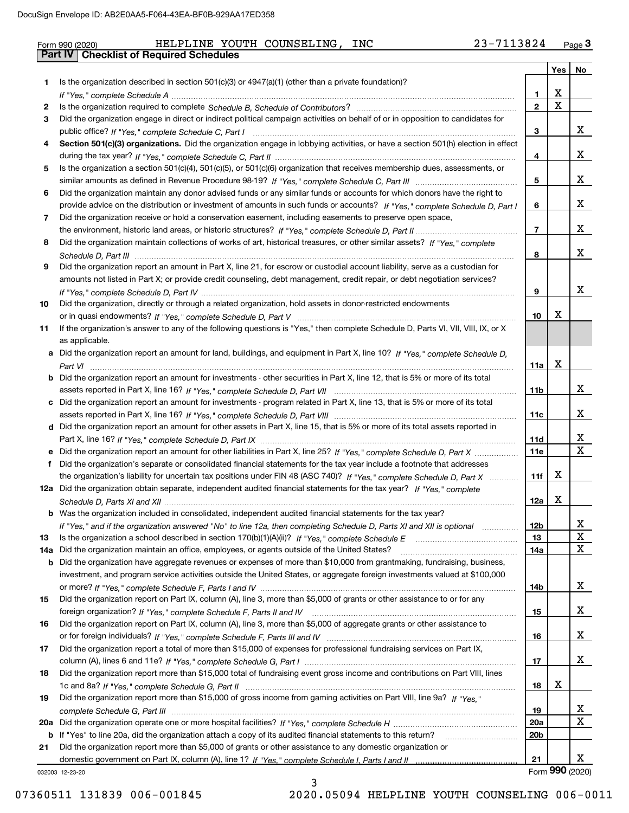## Form 990 (2020) HELPLINE YOUTH COUNSELING,INC 23-7113824 Page Form 990 (2020) **1990 EXELP AND RELP LINE YOUTH COUNSELING**, INC 23-7113824 Page 3<br>Part IV | Checklist of Required Schedules

|              |                                                                                                                                       |                 | Yes         | No                      |
|--------------|---------------------------------------------------------------------------------------------------------------------------------------|-----------------|-------------|-------------------------|
| 1            | Is the organization described in section $501(c)(3)$ or $4947(a)(1)$ (other than a private foundation)?                               |                 |             |                         |
|              |                                                                                                                                       | 1.              | X           |                         |
| $\mathbf{2}$ |                                                                                                                                       | $\mathbf{2}$    | $\mathbf X$ |                         |
| 3            | Did the organization engage in direct or indirect political campaign activities on behalf of or in opposition to candidates for       |                 |             |                         |
|              |                                                                                                                                       | 3               |             | x                       |
|              | Section 501(c)(3) organizations. Did the organization engage in lobbying activities, or have a section 501(h) election in effect      |                 |             |                         |
|              |                                                                                                                                       | 4               |             | x                       |
| 5            | Is the organization a section 501(c)(4), 501(c)(5), or 501(c)(6) organization that receives membership dues, assessments, or          |                 |             |                         |
|              |                                                                                                                                       | 5               |             | x                       |
| 6            | Did the organization maintain any donor advised funds or any similar funds or accounts for which donors have the right to             |                 |             |                         |
|              | provide advice on the distribution or investment of amounts in such funds or accounts? If "Yes," complete Schedule D, Part I          | 6               |             | x                       |
| 7            | Did the organization receive or hold a conservation easement, including easements to preserve open space,                             |                 |             | x                       |
|              |                                                                                                                                       | $\overline{7}$  |             |                         |
| 8            | Did the organization maintain collections of works of art, historical treasures, or other similar assets? If "Yes," complete          | 8               |             | x                       |
| 9            | Did the organization report an amount in Part X, line 21, for escrow or custodial account liability, serve as a custodian for         |                 |             |                         |
|              | amounts not listed in Part X; or provide credit counseling, debt management, credit repair, or debt negotiation services?             |                 |             |                         |
|              |                                                                                                                                       | 9               |             | x                       |
| 10           | Did the organization, directly or through a related organization, hold assets in donor-restricted endowments                          |                 |             |                         |
|              |                                                                                                                                       | 10              | X           |                         |
| 11           | If the organization's answer to any of the following questions is "Yes," then complete Schedule D, Parts VI, VII, VIII, IX, or X      |                 |             |                         |
|              | as applicable.                                                                                                                        |                 |             |                         |
|              | a Did the organization report an amount for land, buildings, and equipment in Part X, line 10? If "Yes," complete Schedule D,         |                 |             |                         |
|              |                                                                                                                                       | 11a             | X           |                         |
|              | <b>b</b> Did the organization report an amount for investments - other securities in Part X, line 12, that is 5% or more of its total |                 |             |                         |
|              |                                                                                                                                       | 11 <sub>b</sub> |             | x                       |
|              | c Did the organization report an amount for investments - program related in Part X, line 13, that is 5% or more of its total         |                 |             |                         |
|              |                                                                                                                                       | 11c             |             | x                       |
|              | d Did the organization report an amount for other assets in Part X, line 15, that is 5% or more of its total assets reported in       |                 |             |                         |
|              |                                                                                                                                       | 11d             |             | X                       |
|              | e Did the organization report an amount for other liabilities in Part X, line 25? If "Yes," complete Schedule D, Part X               | 11e             |             | $\overline{\mathbf{X}}$ |
| f            | Did the organization's separate or consolidated financial statements for the tax year include a footnote that addresses               |                 |             |                         |
|              | the organization's liability for uncertain tax positions under FIN 48 (ASC 740)? If "Yes," complete Schedule D, Part X                | 11f             | X           |                         |
|              | 12a Did the organization obtain separate, independent audited financial statements for the tax year? If "Yes," complete               |                 |             |                         |
|              |                                                                                                                                       | 12a             | X           |                         |
|              | <b>b</b> Was the organization included in consolidated, independent audited financial statements for the tax year?                    |                 |             |                         |
|              | If "Yes," and if the organization answered "No" to line 12a, then completing Schedule D, Parts XI and XII is optional                 | 12b<br>13       |             | X<br>$\mathbf X$        |
| 13<br>14a    | Did the organization maintain an office, employees, or agents outside of the United States?                                           | 14a             |             | X                       |
| b            | Did the organization have aggregate revenues or expenses of more than \$10,000 from grantmaking, fundraising, business,               |                 |             |                         |
|              | investment, and program service activities outside the United States, or aggregate foreign investments valued at \$100,000            |                 |             |                         |
|              |                                                                                                                                       | 14b             |             | x                       |
| 15           | Did the organization report on Part IX, column (A), line 3, more than \$5,000 of grants or other assistance to or for any             |                 |             |                         |
|              |                                                                                                                                       | 15              |             | X                       |
| 16           | Did the organization report on Part IX, column (A), line 3, more than \$5,000 of aggregate grants or other assistance to              |                 |             |                         |
|              |                                                                                                                                       | 16              |             | X                       |
| 17           | Did the organization report a total of more than \$15,000 of expenses for professional fundraising services on Part IX,               |                 |             |                         |
|              |                                                                                                                                       | 17              |             | X                       |
| 18           | Did the organization report more than \$15,000 total of fundraising event gross income and contributions on Part VIII, lines          |                 |             |                         |
|              |                                                                                                                                       | 18              | X           |                         |
| 19           | Did the organization report more than \$15,000 of gross income from gaming activities on Part VIII, line 9a? If "Yes."                |                 |             |                         |
|              |                                                                                                                                       | 19              |             | X                       |
| 20a          |                                                                                                                                       | <b>20a</b>      |             | $\mathbf X$             |
| b            | If "Yes" to line 20a, did the organization attach a copy of its audited financial statements to this return?                          | 20 <sub>b</sub> |             |                         |
| 21           | Did the organization report more than \$5,000 of grants or other assistance to any domestic organization or                           |                 |             |                         |
|              |                                                                                                                                       | 21              |             | x                       |
|              | 032003 12-23-20                                                                                                                       |                 |             | Form 990 (2020)         |

3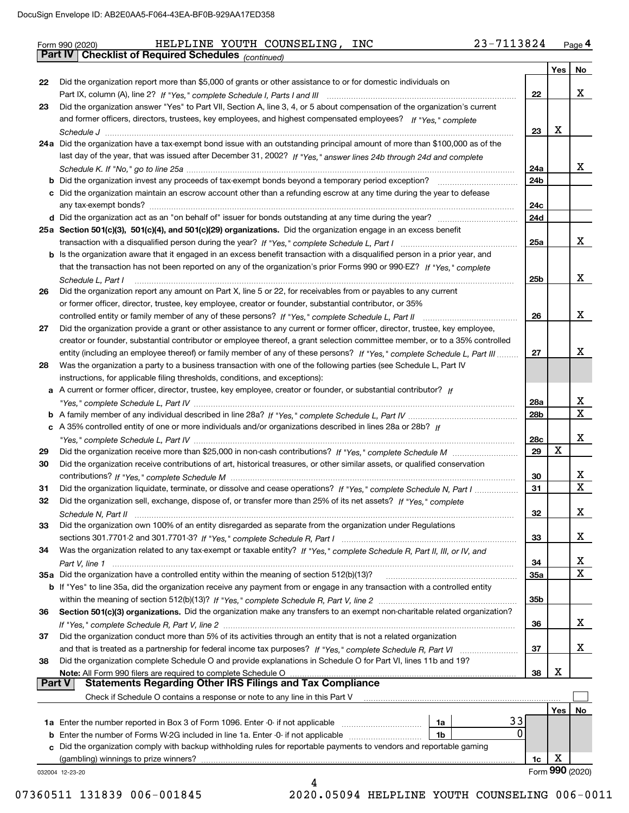### 032004 12-23-20 **Yes No 22**Did the organization report more than \$5,000 of grants or other assistance to or for domestic individuals on **2324a**Did the organization have a tax-exempt bond issue with an outstanding principal amount of more than \$100,000 as of the **25aSection 501(c)(3), 501(c)(4), and 501(c)(29) organizations.**  Did the organization engage in an excess benefit **26272829303132333435a** Did the organization have a controlled entity within the meaning of section 512(b)(13)? **363738222324a24b24c24d25a25b262728a28b28c29303132333435a35b363738b** Did the organization invest any proceeds of tax-exempt bonds beyond a temporary period exception? \_\_\_\_\_\_\_\_\_\_\_\_\_\_\_\_\_ **c**Did the organization maintain an escrow account other than a refunding escrow at any time during the year to defease **d** Did the organization act as an "on behalf of" issuer for bonds outstanding at any time during the year? www.communically **b** Is the organization aware that it engaged in an excess benefit transaction with a disqualified person in a prior year, and **a** A current or former officer, director, trustee, key employee, creator or founder, or substantial contributor? If **b***If "Yes," complete Schedule L, Part IV* A family member of any individual described in line 28a? ~~~~~~~~~~~~~~~**c***If* A 35% controlled entity of one or more individuals and/or organizations described in lines 28a or 28b? **b** If "Yes" to line 35a, did the organization receive any payment from or engage in any transaction with a controlled entity **Section 501(c)(3) organizations.** Did the organization make any transfers to an exempt non-charitable related organization? **Note:**  All Form 990 filers are required to complete Schedule O **Yes No 1a** Enter the number reported in Box 3 of Form 1096. Enter -0- if not applicable  $\ldots$  $\ldots$  $\ldots$  $\ldots$  $\ldots$ **b** Enter the number of Forms W-2G included in line 1a. Enter -0- if not applicable  $\ldots$  $\ldots$  $\ldots$  $\ldots$  ${\bf c}$  Did the organization comply with backup withholding rules for reportable payments to vendors and reportable gaming **1a1b1c** Form (2020) **990**orm 990 (2020) HELPLINE YOUTH COUNSELING , INC 23-7113824 <sub>Page</sub> 4<br><mark>Part IV | Checklist of Required Schedules</mark> <sub>(continued)</sub> Part IX, column (A), line 2? H "Yes," complete Schedule I, Parts I and III **www.www.www.www.www.www.www.ww** *If "Yes," complete* and former officers, directors, trustees, key employees, and highest compensated employees? *Schedule J* last day of the year, that was issued after December 31, 2002? If "Yes," answer lines 24b through 24d and complete *Schedule K. If "No," go to line 25a* ~~~~~~~~~~~~~~~~~~~~~~~~~~~~~~~~~~~~~~~~~~~~~transaction with a disqualified person during the year? If "Yes," complete Schedule L, Part I multimated and the *If "Yes," complete* that the transaction has not been reported on any of the organization's prior Forms 990 or 990-EZ? *Schedule L, Part I* controlled entity or family member of any of these persons?  $H$  "Yes," complete Schedule L, Part II www.www.www.www. entity (including an employee thereof) or family member of any of these persons? If "Yes," c*omplete Schedule L, Part III* ......... *"Yes," complete Schedule L, Part IV* ~~~~~~~~~~~~~~~~~~~~~~~~~~~~~~~~~~~~~~~~~~~~*"Yes," complete Schedule L, Part IV* ~~~~~~~~~~~~~~~~~~~~~~~~~~~~~~~~~~~~~~~~~~~~ Did the organization receive more than \$25,000 in non-cash contributions? If "Yes," complete Schedule M ........................... *If "Yes," complete Schedule M* contributions? ~~~~~~~~~~~~~~~~~~~~~~~~~~~~~~~~~~~~~~~Did the organization liquidate, terminate, or dissolve and cease operations? If "Yes," c*omplete Schedule N, Part I If "Yes," complete* Did the organization sell, exchange, dispose of, or transfer more than 25% of its net assets? *Schedule N, Part II* ~~~~~~~~~~~~~~~~~~~~~~~~~~~~~~~~~~~~~~~~~~~~~~~~~~~~ *If "Yes," complete Schedule R, Part I* sections 301.7701-2 and 301.7701-3? ~~~~~~~~~~~~~~~~~~~~~~~~ Was the organization related to any tax-exempt or taxable entity? If "Yes," complete Schedule R, Part II, III, or IV, and *Part V, line 1* within the meaning of section 512(b)(13)? If "Yes," complete Schedule R, Part V, line 2 ……………………………………………… If "Yes," complete Schedule R, Part V, line 2 …………………………………………………………………………………………… and that is treated as a partnership for federal income tax purposes? *H* "Yes," complete Schedule R, Part VI ......................... Form 990 (2020) HELPLINE YOUTH COUNSELING,INC 23-7113824 Page Did the organization answer "Yes" to Part VII, Section A, line 3, 4, or 5 about compensation of the organization's current any tax-exempt bonds? ~~~~~~~~~~~~~~~~~~~~~~~~~~~~~~~~~~~~~~~~~~~~~~~~~~ Did the organization report any amount on Part X, line 5 or 22, for receivables from or payables to any current or former officer, director, trustee, key employee, creator or founder, substantial contributor, or 35% Did the organization provide a grant or other assistance to any current or former officer, director, trustee, key employee, creator or founder, substantial contributor or employee thereof, a grant selection committee member, or to a 35% controlled Was the organization a party to a business transaction with one of the following parties (see Schedule L, Part IV instructions, for applicable filing thresholds, conditions, and exceptions): Did the organization receive contributions of art, historical treasures, or other similar assets, or qualified conservation Did the organization own 100% of an entity disregarded as separate from the organization under Regulations Did the organization conduct more than 5% of its activities through an entity that is not a related organization Did the organization complete Schedule O and provide explanations in Schedule O for Part VI, lines 11b and 19? Check if Schedule O contains a response or note to any line in this Part V (gambling) winnings to prize winners? **Part V** | Statements Regarding Other IRS Filings and Tax Compliance  $\mathcal{L}^{\text{max}}$ X X X X X X X X X X X X 33 0 X X X X X X X X X 4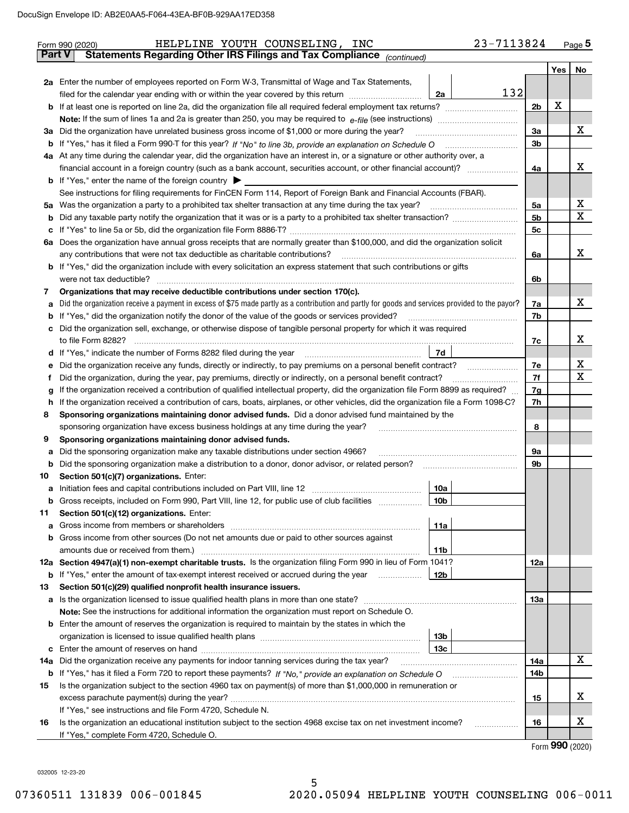|                                                                                                           | 23-7113824<br>HELPLINE YOUTH COUNSELING, INC<br>Form 990 (2020)                                                                                 |                |     | $_{\text{Page}}$ 5 |  |  |  |  |  |
|-----------------------------------------------------------------------------------------------------------|-------------------------------------------------------------------------------------------------------------------------------------------------|----------------|-----|--------------------|--|--|--|--|--|
| Part V                                                                                                    | Statements Regarding Other IRS Filings and Tax Compliance (continued)                                                                           |                |     |                    |  |  |  |  |  |
|                                                                                                           |                                                                                                                                                 |                | Yes | No                 |  |  |  |  |  |
|                                                                                                           | 2a Enter the number of employees reported on Form W-3, Transmittal of Wage and Tax Statements,                                                  |                |     |                    |  |  |  |  |  |
|                                                                                                           | 132<br>filed for the calendar year ending with or within the year covered by this return <i>manumumumum</i><br>2a                               |                | x   |                    |  |  |  |  |  |
|                                                                                                           |                                                                                                                                                 |                |     |                    |  |  |  |  |  |
|                                                                                                           |                                                                                                                                                 |                |     |                    |  |  |  |  |  |
|                                                                                                           | 3a Did the organization have unrelated business gross income of \$1,000 or more during the year?                                                |                |     |                    |  |  |  |  |  |
|                                                                                                           |                                                                                                                                                 | 3b             |     |                    |  |  |  |  |  |
|                                                                                                           | 4a At any time during the calendar year, did the organization have an interest in, or a signature or other authority over, a                    |                |     |                    |  |  |  |  |  |
|                                                                                                           |                                                                                                                                                 |                |     |                    |  |  |  |  |  |
|                                                                                                           | <b>b</b> If "Yes," enter the name of the foreign country $\blacktriangleright$                                                                  |                |     |                    |  |  |  |  |  |
|                                                                                                           | See instructions for filing requirements for FinCEN Form 114, Report of Foreign Bank and Financial Accounts (FBAR).                             |                |     |                    |  |  |  |  |  |
| 5a                                                                                                        | Was the organization a party to a prohibited tax shelter transaction at any time during the tax year?                                           | 5a             |     | x                  |  |  |  |  |  |
| b                                                                                                         |                                                                                                                                                 | 5 <sub>b</sub> |     | х                  |  |  |  |  |  |
| с                                                                                                         |                                                                                                                                                 | 5c             |     |                    |  |  |  |  |  |
|                                                                                                           | 6a Does the organization have annual gross receipts that are normally greater than \$100,000, and did the organization solicit                  |                |     |                    |  |  |  |  |  |
|                                                                                                           | any contributions that were not tax deductible as charitable contributions?                                                                     | 6a             |     | x                  |  |  |  |  |  |
|                                                                                                           | b If "Yes," did the organization include with every solicitation an express statement that such contributions or gifts                          |                |     |                    |  |  |  |  |  |
|                                                                                                           | were not tax deductible?                                                                                                                        | 6b             |     |                    |  |  |  |  |  |
| 7                                                                                                         | Organizations that may receive deductible contributions under section 170(c).                                                                   |                |     |                    |  |  |  |  |  |
| a                                                                                                         | Did the organization receive a payment in excess of \$75 made partly as a contribution and partly for goods and services provided to the payor? | 7a             |     | x                  |  |  |  |  |  |
| b                                                                                                         | If "Yes," did the organization notify the donor of the value of the goods or services provided?                                                 | 7b             |     |                    |  |  |  |  |  |
|                                                                                                           | Did the organization sell, exchange, or otherwise dispose of tangible personal property for which it was required                               |                |     |                    |  |  |  |  |  |
|                                                                                                           |                                                                                                                                                 | 7c             |     | x                  |  |  |  |  |  |
| d                                                                                                         | 7d                                                                                                                                              |                |     |                    |  |  |  |  |  |
| е                                                                                                         | Did the organization receive any funds, directly or indirectly, to pay premiums on a personal benefit contract?                                 | 7e             |     | х                  |  |  |  |  |  |
| f                                                                                                         | Did the organization, during the year, pay premiums, directly or indirectly, on a personal benefit contract?                                    | 7f             |     | х                  |  |  |  |  |  |
| g                                                                                                         | If the organization received a contribution of qualified intellectual property, did the organization file Form 8899 as required?                | 7g<br>7h       |     |                    |  |  |  |  |  |
| h.                                                                                                        | If the organization received a contribution of cars, boats, airplanes, or other vehicles, did the organization file a Form 1098-C?              |                |     |                    |  |  |  |  |  |
| Sponsoring organizations maintaining donor advised funds. Did a donor advised fund maintained by the<br>8 |                                                                                                                                                 |                |     |                    |  |  |  |  |  |
|                                                                                                           | sponsoring organization have excess business holdings at any time during the year?                                                              | 8              |     |                    |  |  |  |  |  |
| 9                                                                                                         | Sponsoring organizations maintaining donor advised funds.                                                                                       |                |     |                    |  |  |  |  |  |
| a                                                                                                         | Did the sponsoring organization make any taxable distributions under section 4966?                                                              | 9а             |     |                    |  |  |  |  |  |
| b                                                                                                         | Did the sponsoring organization make a distribution to a donor, donor advisor, or related person?                                               | 9b             |     |                    |  |  |  |  |  |
| 10                                                                                                        | Section 501(c)(7) organizations. Enter:                                                                                                         |                |     |                    |  |  |  |  |  |
|                                                                                                           | 10a                                                                                                                                             |                |     |                    |  |  |  |  |  |
|                                                                                                           | 10 <sub>b</sub><br>Gross receipts, included on Form 990, Part VIII, line 12, for public use of club facilities                                  |                |     |                    |  |  |  |  |  |
| 11                                                                                                        | Section 501(c)(12) organizations. Enter:                                                                                                        |                |     |                    |  |  |  |  |  |
| a                                                                                                         | 11a<br>Gross income from members or shareholders                                                                                                |                |     |                    |  |  |  |  |  |
|                                                                                                           | b Gross income from other sources (Do not net amounts due or paid to other sources against                                                      |                |     |                    |  |  |  |  |  |
|                                                                                                           | 11 <sub>b</sub><br>amounts due or received from them.)                                                                                          |                |     |                    |  |  |  |  |  |
|                                                                                                           | 12a Section 4947(a)(1) non-exempt charitable trusts. Is the organization filing Form 990 in lieu of Form 1041?                                  | 12a            |     |                    |  |  |  |  |  |
|                                                                                                           | <b>b</b> If "Yes," enter the amount of tax-exempt interest received or accrued during the year<br>12b                                           |                |     |                    |  |  |  |  |  |
| 13                                                                                                        | Section 501(c)(29) qualified nonprofit health insurance issuers.                                                                                |                |     |                    |  |  |  |  |  |
|                                                                                                           | a Is the organization licensed to issue qualified health plans in more than one state?                                                          | 13a            |     |                    |  |  |  |  |  |
|                                                                                                           | Note: See the instructions for additional information the organization must report on Schedule O.                                               |                |     |                    |  |  |  |  |  |
|                                                                                                           | <b>b</b> Enter the amount of reserves the organization is required to maintain by the states in which the<br>13 <sub>b</sub>                    |                |     |                    |  |  |  |  |  |
|                                                                                                           | 13 <sub>c</sub>                                                                                                                                 |                |     |                    |  |  |  |  |  |
| 14a                                                                                                       | Did the organization receive any payments for indoor tanning services during the tax year?                                                      | 14a            |     | x                  |  |  |  |  |  |
|                                                                                                           | <b>b</b> If "Yes," has it filed a Form 720 to report these payments? If "No," provide an explanation on Schedule O                              | 14b            |     |                    |  |  |  |  |  |
| 15                                                                                                        | Is the organization subject to the section 4960 tax on payment(s) of more than \$1,000,000 in remuneration or                                   |                |     |                    |  |  |  |  |  |
|                                                                                                           |                                                                                                                                                 | 15             |     | x                  |  |  |  |  |  |
|                                                                                                           | If "Yes," see instructions and file Form 4720, Schedule N.                                                                                      |                |     |                    |  |  |  |  |  |
| 16                                                                                                        | Is the organization an educational institution subject to the section 4968 excise tax on net investment income?                                 | 16             |     | х                  |  |  |  |  |  |
|                                                                                                           | If "Yes," complete Form 4720, Schedule O.                                                                                                       |                |     |                    |  |  |  |  |  |

5

Form (2020) **990**

032005 12-23-20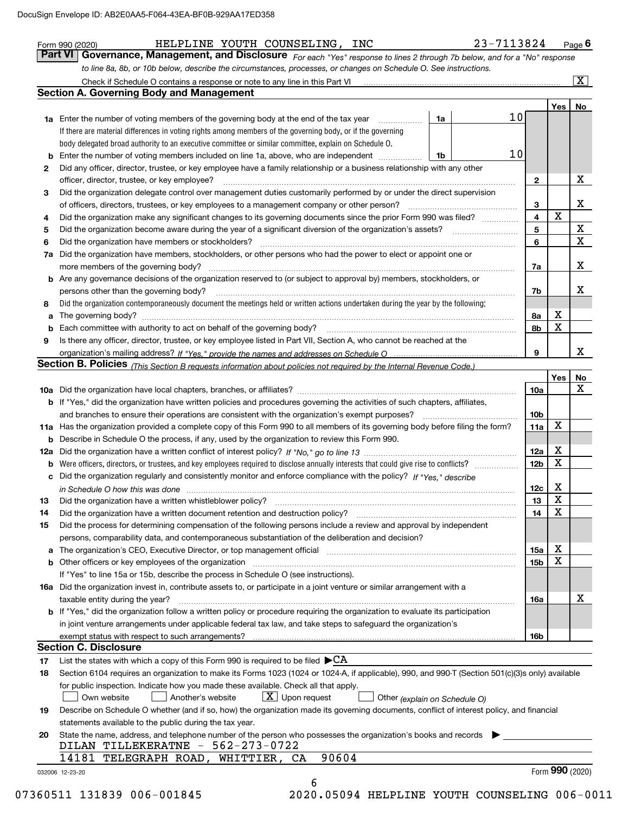|    | <b>Section A. Governing Body and Management</b>                                                                                                                                                                                |                 |                 | $\overline{\mathbf{x}}$ |
|----|--------------------------------------------------------------------------------------------------------------------------------------------------------------------------------------------------------------------------------|-----------------|-----------------|-------------------------|
|    |                                                                                                                                                                                                                                |                 |                 |                         |
|    | 10<br>1a                                                                                                                                                                                                                       |                 | Yes             | No.                     |
|    | 1a Enter the number of voting members of the governing body at the end of the tax year                                                                                                                                         |                 |                 |                         |
|    | If there are material differences in voting rights among members of the governing body, or if the governing                                                                                                                    |                 |                 |                         |
|    | body delegated broad authority to an executive committee or similar committee, explain on Schedule O.                                                                                                                          |                 |                 |                         |
|    | 10<br><b>b</b> Enter the number of voting members included on line 1a, above, who are independent<br>1b                                                                                                                        |                 |                 |                         |
| 2  | Did any officer, director, trustee, or key employee have a family relationship or a business relationship with any other                                                                                                       |                 |                 |                         |
|    | officer, director, trustee, or key employee?                                                                                                                                                                                   | $\mathbf{2}$    |                 | Х                       |
| з  | Did the organization delegate control over management duties customarily performed by or under the direct supervision                                                                                                          |                 |                 |                         |
|    | of officers, directors, trustees, or key employees to a management company or other person?                                                                                                                                    | 3               |                 | X                       |
| 4  | Did the organization make any significant changes to its governing documents since the prior Form 990 was filed?                                                                                                               | 4               | X               |                         |
| 5  |                                                                                                                                                                                                                                | 5               |                 | $\mathbf{X}$            |
| 6  | Did the organization have members or stockholders?                                                                                                                                                                             | 6               |                 | $\overline{\mathbf{x}}$ |
| 7a | Did the organization have members, stockholders, or other persons who had the power to elect or appoint one or                                                                                                                 |                 |                 |                         |
|    | more members of the governing body?                                                                                                                                                                                            | 7a              |                 | х                       |
|    | b Are any governance decisions of the organization reserved to (or subject to approval by) members, stockholders, or                                                                                                           |                 |                 |                         |
|    | persons other than the governing body?                                                                                                                                                                                         |                 |                 | х                       |
|    |                                                                                                                                                                                                                                | 7b              |                 |                         |
| 8  | Did the organization contemporaneously document the meetings held or written actions undertaken during the year by the following:                                                                                              |                 |                 |                         |
| а  |                                                                                                                                                                                                                                | 8а              | х               |                         |
|    | Each committee with authority to act on behalf of the governing body?                                                                                                                                                          | 8b              | X               |                         |
| 9  | Is there any officer, director, trustee, or key employee listed in Part VII, Section A, who cannot be reached at the                                                                                                           |                 |                 |                         |
|    |                                                                                                                                                                                                                                | 9               |                 | x                       |
|    | Section B. Policies (This Section B requests information about policies not required by the Internal Revenue Code.)                                                                                                            |                 |                 |                         |
|    |                                                                                                                                                                                                                                |                 | Yes             | No                      |
|    |                                                                                                                                                                                                                                | 10a             |                 | X                       |
|    | <b>b</b> If "Yes," did the organization have written policies and procedures governing the activities of such chapters, affiliates,                                                                                            |                 |                 |                         |
|    |                                                                                                                                                                                                                                | 10 <sub>b</sub> |                 |                         |
|    | 11a Has the organization provided a complete copy of this Form 990 to all members of its governing body before filing the form?                                                                                                | 11a             | x               |                         |
|    | <b>b</b> Describe in Schedule O the process, if any, used by the organization to review this Form 990.                                                                                                                         |                 |                 |                         |
|    |                                                                                                                                                                                                                                | 12a             | x               |                         |
|    | <b>b</b> Were officers, directors, or trustees, and key employees required to disclose annually interests that could give rise to conflicts?                                                                                   | 12 <sub>b</sub> | X               |                         |
|    | c Did the organization regularly and consistently monitor and enforce compliance with the policy? If "Yes." describe                                                                                                           |                 |                 |                         |
|    | in Schedule O how this was done manufactured and continuum control of the state of the state of the state of t                                                                                                                 | 12c             | х               |                         |
| 13 |                                                                                                                                                                                                                                | 13              | X               |                         |
|    | Did the organization have a written document retention and destruction policy?                                                                                                                                                 | 14              | $\mathbf x$     |                         |
| 14 |                                                                                                                                                                                                                                |                 |                 |                         |
| 15 | Did the process for determining compensation of the following persons include a review and approval by independent                                                                                                             |                 |                 |                         |
|    | persons, comparability data, and contemporaneous substantiation of the deliberation and decision?                                                                                                                              |                 |                 |                         |
|    | a The organization's CEO, Executive Director, or top management official [11] [12] The organization's CEO, Executive Director, or top management official [12] [12] [12] [12] The organization's CEO, Executive Director, or t | 15a             | х               |                         |
|    |                                                                                                                                                                                                                                | 15b             | x               |                         |
|    | If "Yes" to line 15a or 15b, describe the process in Schedule O (see instructions).                                                                                                                                            |                 |                 |                         |
|    | 16a Did the organization invest in, contribute assets to, or participate in a joint venture or similar arrangement with a                                                                                                      |                 |                 |                         |
|    | taxable entity during the year?                                                                                                                                                                                                | 16a             |                 | х                       |
|    | b If "Yes," did the organization follow a written policy or procedure requiring the organization to evaluate its participation                                                                                                 |                 |                 |                         |
|    | in joint venture arrangements under applicable federal tax law, and take steps to safeguard the organization's                                                                                                                 |                 |                 |                         |
|    |                                                                                                                                                                                                                                | 16b             |                 |                         |
|    | <b>Section C. Disclosure</b>                                                                                                                                                                                                   |                 |                 |                         |
| 17 | List the states with which a copy of this Form 990 is required to be filed $\blacktriangleright$ CA                                                                                                                            |                 |                 |                         |
| 18 | Section 6104 requires an organization to make its Forms 1023 (1024 or 1024-A, if applicable), 990, and 990-T (Section 501(c)(3)s only) available                                                                               |                 |                 |                         |
|    | for public inspection. Indicate how you made these available. Check all that apply.                                                                                                                                            |                 |                 |                         |
|    | $\lfloor x \rfloor$ Upon request<br>Own website<br>Another's website<br>Other (explain on Schedule O)                                                                                                                          |                 |                 |                         |
| 19 | Describe on Schedule O whether (and if so, how) the organization made its governing documents, conflict of interest policy, and financial                                                                                      |                 |                 |                         |
|    | statements available to the public during the tax year.                                                                                                                                                                        |                 |                 |                         |
| 20 | State the name, address, and telephone number of the person who possesses the organization's books and records                                                                                                                 |                 |                 |                         |
|    | DILAN TILLEKERATNE - 562-273-0722                                                                                                                                                                                              |                 |                 |                         |
|    | 90604<br>14181 TELEGRAPH ROAD, WHITTIER, CA                                                                                                                                                                                    |                 |                 |                         |
|    |                                                                                                                                                                                                                                |                 | Form 990 (2020) |                         |

Form 990 (2020) **Form 990 (2020)** HELPLINE YOUTH COUNSELING, INC 23-7113824 Page 6<br>**Part VI Governance, Management, and Disclosure** For each "Yes" response to lines 2 through 7b below, and for a "No" response

HELPLINE YOUTH COUNSELING, INC 23-7113824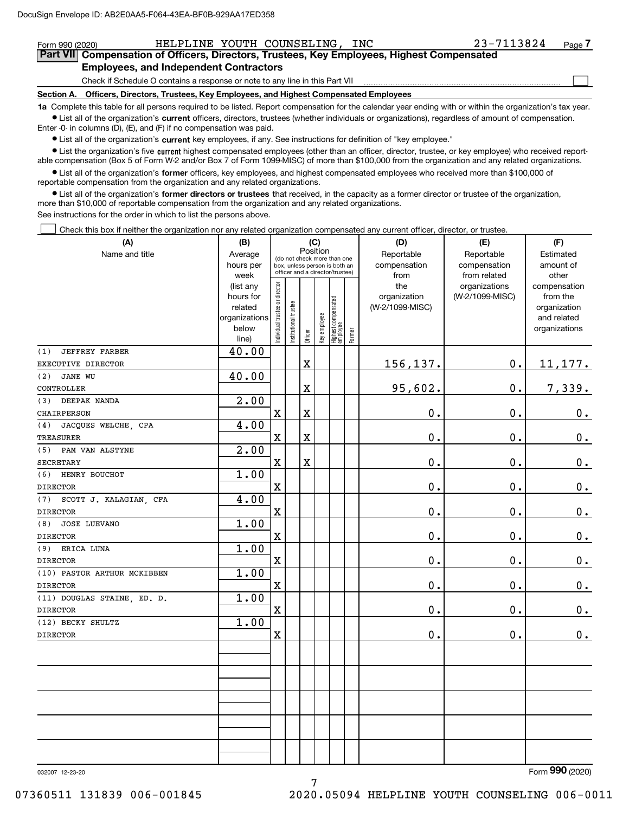| Form 990 (2020)                                                                                                                                      | HELPLINE YOUTH COUNSELING, INC                                                                                                                             | 23-7113824<br>Page <sup>7</sup> |  |  |  |  |  |  |  |
|------------------------------------------------------------------------------------------------------------------------------------------------------|------------------------------------------------------------------------------------------------------------------------------------------------------------|---------------------------------|--|--|--|--|--|--|--|
| Part VII Compensation of Officers, Directors, Trustees, Key Employees, Highest Compensated                                                           |                                                                                                                                                            |                                 |  |  |  |  |  |  |  |
| <b>Employees, and Independent Contractors</b>                                                                                                        |                                                                                                                                                            |                                 |  |  |  |  |  |  |  |
|                                                                                                                                                      | Check if Schedule O contains a response or note to any line in this Part VII                                                                               |                                 |  |  |  |  |  |  |  |
|                                                                                                                                                      | Section A. Officers, Directors, Trustees, Key Employees, and Highest Compensated Employees                                                                 |                                 |  |  |  |  |  |  |  |
|                                                                                                                                                      | 1a Complete this table for all persons required to be listed. Report compensation for the calendar year ending with or within the organization's tax year. |                                 |  |  |  |  |  |  |  |
| • List all of the organization's current officers, directors, trustees (whether individuals or organizations), regardless of amount of compensation. |                                                                                                                                                            |                                 |  |  |  |  |  |  |  |
| Enter -0- in columns (D), (E), and (F) if no compensation was paid.                                                                                  |                                                                                                                                                            |                                 |  |  |  |  |  |  |  |

 $\bullet$  List all of the organization's  $\,$ current key employees, if any. See instructions for definition of "key employee."

**•** List the organization's five current highest compensated employees (other than an officer, director, trustee, or key employee) who received reportable compensation (Box 5 of Form W-2 and/or Box 7 of Form 1099-MISC) of more than \$100,000 from the organization and any related organizations.

**•** List all of the organization's former officers, key employees, and highest compensated employees who received more than \$100,000 of reportable compensation from the organization and any related organizations.

**former directors or trustees**  ¥ List all of the organization's that received, in the capacity as a former director or trustee of the organization, more than \$10,000 of reportable compensation from the organization and any related organizations.

See instructions for the order in which to list the persons above.

Check this box if neither the organization nor any related organization compensated any current officer, director, or trustee.  $\mathcal{L}^{\text{max}}$ 

| (A)                           | (B)                    |                               |                                                                  |                       | (C)          |                                  |           | (D)                 | (E)                              | (F)                      |
|-------------------------------|------------------------|-------------------------------|------------------------------------------------------------------|-----------------------|--------------|----------------------------------|-----------|---------------------|----------------------------------|--------------------------|
| Name and title                | Average                |                               | Position<br>(do not check more than one                          |                       | Reportable   | Reportable                       | Estimated |                     |                                  |                          |
|                               | hours per              |                               | box, unless person is both an<br>officer and a director/trustee) |                       |              |                                  |           | compensation        | compensation                     | amount of                |
|                               | week                   |                               |                                                                  |                       |              |                                  |           | from                | from related                     | other                    |
|                               | (list any<br>hours for |                               |                                                                  |                       |              |                                  |           | the<br>organization | organizations<br>(W-2/1099-MISC) | compensation<br>from the |
|                               | related                |                               |                                                                  |                       |              |                                  |           | (W-2/1099-MISC)     |                                  | organization             |
|                               | organizations          |                               |                                                                  |                       |              |                                  |           |                     |                                  | and related              |
|                               | below                  | ndividual trustee or director | Institutional trustee                                            |                       | Key employee |                                  |           |                     |                                  | organizations            |
|                               | line)                  |                               |                                                                  | Officer               |              | Highest compensated<br> employee | Former    |                     |                                  |                          |
| (1)<br><b>JEFFREY FARBER</b>  | 40.00                  |                               |                                                                  |                       |              |                                  |           |                     |                                  |                          |
| EXECUTIVE DIRECTOR            |                        |                               |                                                                  | $\overline{\text{X}}$ |              |                                  |           | 156,137.            | $0$ .                            | 11, 177.                 |
| <b>JANE WU</b><br>(2)         | 40.00                  |                               |                                                                  |                       |              |                                  |           |                     |                                  |                          |
| CONTROLLER                    |                        |                               |                                                                  | Χ                     |              |                                  |           | 95,602.             | $\mathbf{0}$ .                   | 7,339.                   |
| DEEPAK NANDA<br>(3)           | 2.00                   |                               |                                                                  |                       |              |                                  |           |                     |                                  |                          |
| CHAIRPERSON                   |                        | $\mathbf X$                   |                                                                  | X                     |              |                                  |           | 0.                  | $\mathbf 0$ .                    | $0_{.}$                  |
| JACQUES WELCHE, CPA<br>(4)    | 4.00                   |                               |                                                                  |                       |              |                                  |           |                     |                                  |                          |
| <b>TREASURER</b>              |                        | $\mathbf X$                   |                                                                  | $\mathbf X$           |              |                                  |           | 0.                  | $\mathbf 0$ .                    | $\mathbf 0$ .            |
| PAM VAN ALSTYNE<br>(5)        | 2.00                   |                               |                                                                  |                       |              |                                  |           |                     |                                  |                          |
| <b>SECRETARY</b>              |                        | $\mathbf X$                   |                                                                  | X                     |              |                                  |           | 0.                  | $\mathbf 0$ .                    | $0_{.}$                  |
| (6) HENRY BOUCHOT             | 1.00                   |                               |                                                                  |                       |              |                                  |           |                     |                                  |                          |
| <b>DIRECTOR</b>               |                        | $\mathbf X$                   |                                                                  |                       |              |                                  |           | 0.                  | $\mathbf 0$ .                    | $\mathbf 0$ .            |
| SCOTT J. KALAGIAN, CFA<br>(7) | 4.00                   |                               |                                                                  |                       |              |                                  |           |                     |                                  |                          |
| <b>DIRECTOR</b>               |                        | $\mathbf X$                   |                                                                  |                       |              |                                  |           | 0.                  | 0.                               | $\mathbf 0$ .            |
| JOSE LUEVANO<br>(8)           | 1.00                   |                               |                                                                  |                       |              |                                  |           |                     |                                  |                          |
| <b>DIRECTOR</b>               |                        | $\overline{\mathbf{X}}$       |                                                                  |                       |              |                                  |           | 0.                  | $\mathbf 0$ .                    | $\mathbf 0$ .            |
| (9) ERICA LUNA                | 1.00                   |                               |                                                                  |                       |              |                                  |           |                     |                                  |                          |
| <b>DIRECTOR</b>               |                        | $\mathbf X$                   |                                                                  |                       |              |                                  |           | 0.                  | 0.                               | $0_{\bullet}$            |
| (10) PASTOR ARTHUR MCKIBBEN   | 1.00                   |                               |                                                                  |                       |              |                                  |           |                     |                                  |                          |
| <b>DIRECTOR</b>               |                        | $\mathbf X$                   |                                                                  |                       |              |                                  |           | 0.                  | 0.                               | $\mathbf 0$ .            |
| (11) DOUGLAS STAINE, ED. D.   | 1.00                   |                               |                                                                  |                       |              |                                  |           |                     |                                  |                          |
| <b>DIRECTOR</b>               |                        | $\mathbf X$                   |                                                                  |                       |              |                                  |           | 0.                  | 0.                               | $0_{.}$                  |
| (12) BECKY SHULTZ             | 1.00                   |                               |                                                                  |                       |              |                                  |           |                     |                                  |                          |
| <b>DIRECTOR</b>               |                        | $\mathbf X$                   |                                                                  |                       |              |                                  |           | 0.                  | 0.                               | $0_{.}$                  |
|                               |                        |                               |                                                                  |                       |              |                                  |           |                     |                                  |                          |
|                               |                        |                               |                                                                  |                       |              |                                  |           |                     |                                  |                          |
|                               |                        |                               |                                                                  |                       |              |                                  |           |                     |                                  |                          |
|                               |                        |                               |                                                                  |                       |              |                                  |           |                     |                                  |                          |
|                               |                        |                               |                                                                  |                       |              |                                  |           |                     |                                  |                          |
|                               |                        |                               |                                                                  |                       |              |                                  |           |                     |                                  |                          |
|                               |                        |                               |                                                                  |                       |              |                                  |           |                     |                                  |                          |
|                               |                        |                               |                                                                  |                       |              |                                  |           |                     |                                  |                          |
|                               |                        |                               |                                                                  |                       |              |                                  |           |                     |                                  |                          |
|                               |                        |                               |                                                                  |                       |              |                                  |           |                     |                                  |                          |

7

032007 12-23-20

Form (2020) **990**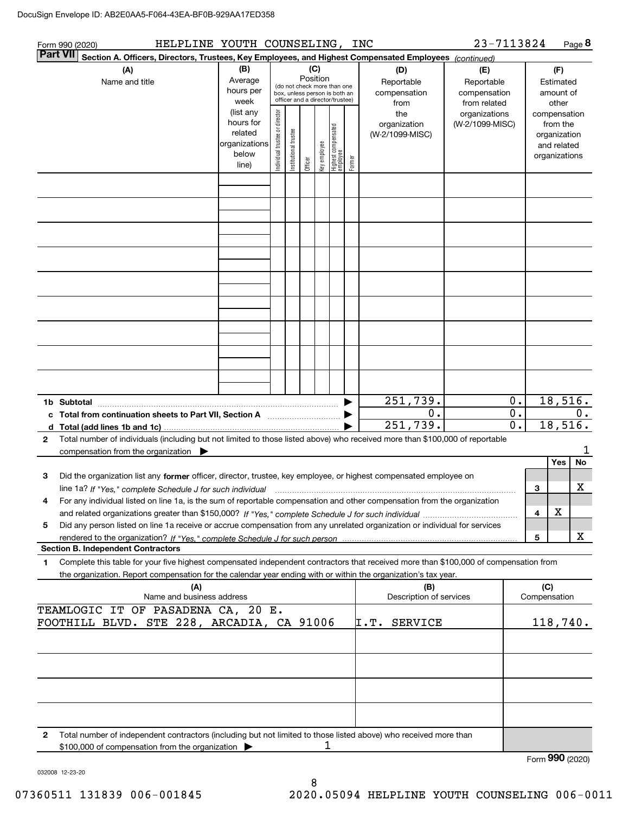|   | HELPLINE YOUTH COUNSELING,<br>Form 990 (2020)                                                                                                                                     |                                                         |                                |                        |         |              |                                                                                                 |                   | INC                                               | 23-7113824                                    |                  |     | Page 8                                                   |  |
|---|-----------------------------------------------------------------------------------------------------------------------------------------------------------------------------------|---------------------------------------------------------|--------------------------------|------------------------|---------|--------------|-------------------------------------------------------------------------------------------------|-------------------|---------------------------------------------------|-----------------------------------------------|------------------|-----|----------------------------------------------------------|--|
|   | <b>Part VII</b><br>Section A. Officers, Directors, Trustees, Key Employees, and Highest Compensated Employees (continued)                                                         |                                                         |                                |                        |         |              |                                                                                                 |                   |                                                   |                                               |                  |     |                                                          |  |
|   | (B)<br>(C)<br>(A)<br>Position<br>Average<br>Name and title                                                                                                                        |                                                         |                                |                        |         |              | (D)<br>Reportable                                                                               | (E)<br>Reportable |                                                   |                                               | (F)<br>Estimated |     |                                                          |  |
|   |                                                                                                                                                                                   | hours per<br>week<br>(list any                          |                                |                        |         |              | (do not check more than one<br>box, unless person is both an<br>officer and a director/trustee) |                   | compensation<br>from<br>the                       | compensation<br>from related<br>organizations |                  |     | amount of<br>other<br>compensation                       |  |
|   |                                                                                                                                                                                   | hours for<br>related<br>organizations<br>below<br>line) | Individual trustee or director | In stitutional trustee | Officer | Key employee | Highest compensated<br>  employee                                                               | Former            | organization<br>(W-2/1099-MISC)                   | (W-2/1099-MISC)                               |                  |     | from the<br>organization<br>and related<br>organizations |  |
|   |                                                                                                                                                                                   |                                                         |                                |                        |         |              |                                                                                                 |                   |                                                   |                                               |                  |     |                                                          |  |
|   |                                                                                                                                                                                   |                                                         |                                |                        |         |              |                                                                                                 |                   |                                                   |                                               |                  |     |                                                          |  |
|   |                                                                                                                                                                                   |                                                         |                                |                        |         |              |                                                                                                 |                   |                                                   |                                               |                  |     |                                                          |  |
|   |                                                                                                                                                                                   |                                                         |                                |                        |         |              |                                                                                                 |                   |                                                   |                                               |                  |     |                                                          |  |
|   |                                                                                                                                                                                   |                                                         |                                |                        |         |              |                                                                                                 |                   |                                                   |                                               |                  |     |                                                          |  |
|   |                                                                                                                                                                                   |                                                         |                                |                        |         |              |                                                                                                 |                   |                                                   |                                               |                  |     |                                                          |  |
|   |                                                                                                                                                                                   |                                                         |                                |                        |         |              |                                                                                                 |                   |                                                   |                                               |                  |     |                                                          |  |
|   |                                                                                                                                                                                   |                                                         |                                |                        |         |              |                                                                                                 |                   |                                                   |                                               |                  |     |                                                          |  |
|   |                                                                                                                                                                                   |                                                         |                                |                        |         |              |                                                                                                 |                   | 251,739.                                          |                                               | 0.               |     | 18,516.                                                  |  |
|   | c Total from continuation sheets to Part VII, Section A [111] [12] Total from continuation sheets to Part VII, Section A                                                          |                                                         |                                |                        |         |              |                                                                                                 |                   | $\mathbf{0}$ .<br>251,739.                        |                                               | $0$ .<br>0.      |     | 0.<br>18,516.                                            |  |
| 2 | Total number of individuals (including but not limited to those listed above) who received more than \$100,000 of reportable<br>compensation from the organization                |                                                         |                                |                        |         |              |                                                                                                 |                   |                                                   |                                               |                  |     | 1<br>Yes<br>No                                           |  |
| 3 | Did the organization list any former officer, director, trustee, key employee, or highest compensated employee on                                                                 |                                                         |                                |                        |         |              |                                                                                                 |                   |                                                   |                                               |                  | 3   | х                                                        |  |
|   | For any individual listed on line 1a, is the sum of reportable compensation and other compensation from the organization                                                          |                                                         |                                |                        |         |              |                                                                                                 |                   |                                                   |                                               |                  | 4   | х                                                        |  |
| 5 | Did any person listed on line 1a receive or accrue compensation from any unrelated organization or individual for services                                                        |                                                         |                                |                        |         |              |                                                                                                 |                   |                                                   |                                               |                  | 5   | x                                                        |  |
| 1 | <b>Section B. Independent Contractors</b><br>Complete this table for your five highest compensated independent contractors that received more than \$100,000 of compensation from |                                                         |                                |                        |         |              |                                                                                                 |                   |                                                   |                                               |                  |     |                                                          |  |
|   | the organization. Report compensation for the calendar year ending with or within the organization's tax year.                                                                    |                                                         |                                |                        |         |              |                                                                                                 |                   |                                                   |                                               |                  | (C) |                                                          |  |
|   | (A)<br>Name and business address<br>TEAMLOGIC IT OF PASADENA CA, 20 E.                                                                                                            |                                                         |                                |                        |         |              |                                                                                                 |                   | (B)<br>Description of services                    |                                               |                  |     | Compensation                                             |  |
|   | FOOTHILL BLVD. STE 228, ARCADIA, CA 91006                                                                                                                                         |                                                         |                                |                        |         |              |                                                                                                 |                   | $\texttt{I} \cdot \texttt{T}$ .<br><b>SERVICE</b> |                                               |                  |     | 118,740.                                                 |  |
|   |                                                                                                                                                                                   |                                                         |                                |                        |         |              |                                                                                                 |                   |                                                   |                                               |                  |     |                                                          |  |
|   |                                                                                                                                                                                   |                                                         |                                |                        |         |              |                                                                                                 |                   |                                                   |                                               |                  |     |                                                          |  |
|   |                                                                                                                                                                                   |                                                         |                                |                        |         |              |                                                                                                 |                   |                                                   |                                               |                  |     |                                                          |  |
| 2 | Total number of independent contractors (including but not limited to those listed above) who received more than<br>\$100,000 of compensation from the organization               |                                                         |                                |                        |         | 1            |                                                                                                 |                   |                                                   |                                               |                  |     |                                                          |  |
|   |                                                                                                                                                                                   |                                                         |                                |                        |         |              |                                                                                                 |                   |                                                   |                                               |                  |     | Form 990 (2020)                                          |  |

032008 12-23-20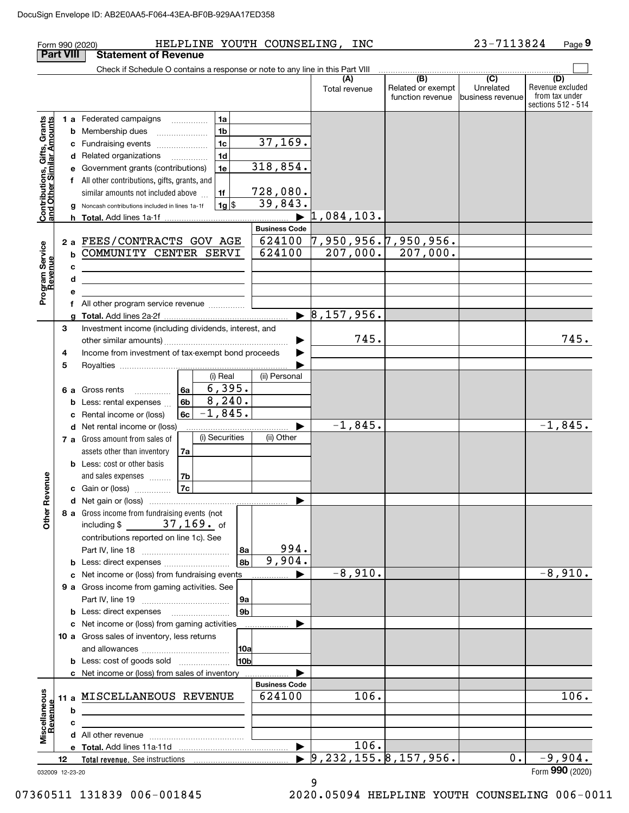|                                                           |    |   | HELPLINE YOUTH COUNSELING, INC<br>Form 990 (2020)                                                                    |                           |                                            |                                       | 23-7113824                                          | Page 9                                                          |
|-----------------------------------------------------------|----|---|----------------------------------------------------------------------------------------------------------------------|---------------------------|--------------------------------------------|---------------------------------------|-----------------------------------------------------|-----------------------------------------------------------------|
| <b>Part VIII</b>                                          |    |   | <b>Statement of Revenue</b>                                                                                          |                           |                                            |                                       |                                                     |                                                                 |
|                                                           |    |   | Check if Schedule O contains a response or note to any line in this Part VIII                                        |                           |                                            |                                       | $\overline{(\mathsf{B})}$ $\overline{(\mathsf{C})}$ |                                                                 |
|                                                           |    |   |                                                                                                                      |                           | (A)<br>Total revenue                       | Related or exempt<br>function revenue | Unrelated<br>business revenue                       | (D)<br>Revenue excluded<br>from tax under<br>sections 512 - 514 |
|                                                           |    |   | 1 a Federated campaigns<br>1a                                                                                        |                           |                                            |                                       |                                                     |                                                                 |
|                                                           |    |   | 1 <sub>b</sub><br><b>b</b> Membership dues                                                                           |                           |                                            |                                       |                                                     |                                                                 |
|                                                           |    |   | 1 <sub>c</sub><br>c Fundraising events                                                                               | 37,169.                   |                                            |                                       |                                                     |                                                                 |
|                                                           |    |   | 1 <sub>d</sub><br>d Related organizations                                                                            |                           |                                            |                                       |                                                     |                                                                 |
|                                                           |    |   | e Government grants (contributions)<br>1e                                                                            | 318,854.                  |                                            |                                       |                                                     |                                                                 |
|                                                           |    |   | f All other contributions, gifts, grants, and                                                                        |                           |                                            |                                       |                                                     |                                                                 |
|                                                           |    |   | 1f<br>similar amounts not included above                                                                             | 728,080.                  |                                            |                                       |                                                     |                                                                 |
| Contributions, Gifts, Grants<br>and Other Similar Amounts |    |   | g Noncash contributions included in lines 1a-1f<br>1g S                                                              | 39,843.                   |                                            |                                       |                                                     |                                                                 |
|                                                           |    |   |                                                                                                                      | ▶<br><b>Business Code</b> | 1,084,103.                                 |                                       |                                                     |                                                                 |
|                                                           |    |   | 2 a FEES/CONTRACTS GOV AGE                                                                                           |                           | $624100$ 7,950,956.7,950,956.              |                                       |                                                     |                                                                 |
| Program Service<br>Revenue                                |    |   | <b>b COMMUNITY CENTER SERVI</b>                                                                                      | 624100                    | 207,000.                                   | $\overline{207,000}$ .                |                                                     |                                                                 |
|                                                           |    | с | the contract of the contract of the contract of the contract of the contract of                                      |                           |                                            |                                       |                                                     |                                                                 |
|                                                           |    | d | the control of the control of the control of the control of the control of                                           |                           |                                            |                                       |                                                     |                                                                 |
|                                                           |    | е |                                                                                                                      |                           |                                            |                                       |                                                     |                                                                 |
|                                                           |    |   | f All other program service revenue                                                                                  |                           |                                            |                                       |                                                     |                                                                 |
|                                                           |    | a |                                                                                                                      |                           | $\blacktriangleright$ 8,157,956.           |                                       |                                                     |                                                                 |
|                                                           | З  |   | Investment income (including dividends, interest, and                                                                |                           |                                            |                                       |                                                     |                                                                 |
|                                                           |    |   |                                                                                                                      | ▶                         | 745.                                       |                                       |                                                     | 745.                                                            |
|                                                           | 4  |   | Income from investment of tax-exempt bond proceeds                                                                   |                           |                                            |                                       |                                                     |                                                                 |
|                                                           | 5  |   |                                                                                                                      |                           |                                            |                                       |                                                     |                                                                 |
|                                                           |    |   | (i) Real                                                                                                             | (ii) Personal             |                                            |                                       |                                                     |                                                                 |
|                                                           |    |   | 6,395.<br>6a<br>6 a Gross rents<br>8,240.                                                                            |                           |                                            |                                       |                                                     |                                                                 |
|                                                           |    |   | 6 <sub>b</sub><br><b>b</b> Less: rental expenses<br>$-1,845.$<br>6c                                                  |                           |                                            |                                       |                                                     |                                                                 |
|                                                           |    |   | c Rental income or (loss)<br><b>d</b> Net rental income or (loss)                                                    |                           | $-1,845.$                                  |                                       |                                                     | $-1,845.$                                                       |
|                                                           |    |   | (i) Securities<br>7 a Gross amount from sales of                                                                     | (ii) Other                |                                            |                                       |                                                     |                                                                 |
|                                                           |    |   | assets other than inventory<br>7a                                                                                    |                           |                                            |                                       |                                                     |                                                                 |
|                                                           |    |   | <b>b</b> Less: cost or other basis                                                                                   |                           |                                            |                                       |                                                     |                                                                 |
|                                                           |    |   | 7b<br>and sales expenses                                                                                             |                           |                                            |                                       |                                                     |                                                                 |
| evenue                                                    |    |   | 7c<br>c Gain or (loss)                                                                                               |                           |                                            |                                       |                                                     |                                                                 |
| Œ                                                         |    |   |                                                                                                                      |                           |                                            |                                       |                                                     |                                                                 |
| Other                                                     |    |   | 8 a Gross income from fundraising events (not<br>including \$ $37,169$ . of                                          |                           |                                            |                                       |                                                     |                                                                 |
|                                                           |    |   | contributions reported on line 1c). See                                                                              |                           |                                            |                                       |                                                     |                                                                 |
|                                                           |    |   | 8а                                                                                                                   | 994.                      |                                            |                                       |                                                     |                                                                 |
|                                                           |    |   | 8b                                                                                                                   | 9,904.                    |                                            |                                       |                                                     |                                                                 |
|                                                           |    |   | c Net income or (loss) from fundraising events                                                                       |                           | $-8,910.$                                  |                                       |                                                     | $-8,910.$                                                       |
|                                                           |    |   | 9 a Gross income from gaming activities. See                                                                         |                           |                                            |                                       |                                                     |                                                                 |
|                                                           |    |   | 9а                                                                                                                   |                           |                                            |                                       |                                                     |                                                                 |
|                                                           |    |   | 9 <sub>b</sub><br><b>b</b> Less: direct expenses <b>manually</b>                                                     |                           |                                            |                                       |                                                     |                                                                 |
|                                                           |    |   | c Net income or (loss) from gaming activities<br>10 a Gross sales of inventory, less returns                         |                           |                                            |                                       |                                                     |                                                                 |
|                                                           |    |   | 10a                                                                                                                  |                           |                                            |                                       |                                                     |                                                                 |
|                                                           |    |   | 10 <sub>b</sub><br><b>b</b> Less: cost of goods sold                                                                 |                           |                                            |                                       |                                                     |                                                                 |
|                                                           |    |   | c Net income or (loss) from sales of inventory                                                                       |                           |                                            |                                       |                                                     |                                                                 |
|                                                           |    |   |                                                                                                                      | <b>Business Code</b>      |                                            |                                       |                                                     |                                                                 |
|                                                           |    |   | 11 a MISCELLANEOUS REVENUE                                                                                           | 624100                    | 106.                                       |                                       |                                                     | 106.                                                            |
|                                                           |    | b | <u> 1989 - Johann Stein, marwolaethau a bhann an t-Amhair an t-Amhair an t-Amhair an t-Amhair an t-Amhair an t-A</u> |                           |                                            |                                       |                                                     |                                                                 |
|                                                           |    | c |                                                                                                                      |                           |                                            |                                       |                                                     |                                                                 |
| Miscellaneous<br>Revenue                                  |    |   |                                                                                                                      |                           |                                            |                                       |                                                     |                                                                 |
|                                                           |    |   |                                                                                                                      | ▶                         | 106.                                       |                                       |                                                     |                                                                 |
|                                                           | 12 |   |                                                                                                                      |                           | $\blacktriangleright$ 9,232,155.8,157,956. |                                       | $0$ .                                               | $-9,904.$                                                       |
| 032009 12-23-20                                           |    |   |                                                                                                                      |                           |                                            |                                       |                                                     | Form 990 (2020)                                                 |

9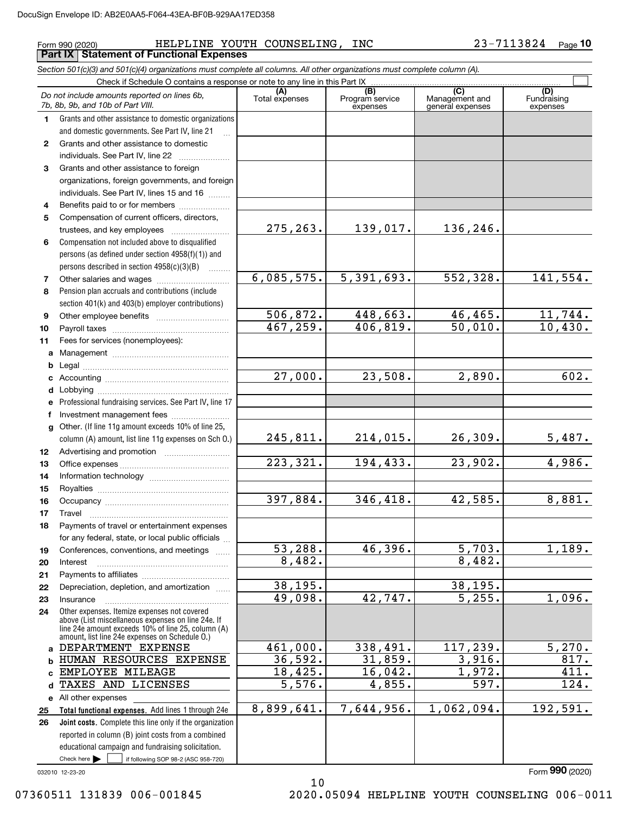## $_{\rm Form}$   $_{990}$  (2020) <code>HELPLINE YOUTH COUNSELING</code> , INC  $_{\rm 23-7113824}$   $_{\rm Page}$ **Part IX Statement of Functional Expenses**

*Section 501(c)(3) and 501(c)(4) organizations must complete all columns. All other organizations must complete column (A).*

|                  | Check if Schedule O contains a response or note to any line in this Part IX                          |                       |                                    |                                           |                                |  |  |  |  |  |
|------------------|------------------------------------------------------------------------------------------------------|-----------------------|------------------------------------|-------------------------------------------|--------------------------------|--|--|--|--|--|
|                  | Do not include amounts reported on lines 6b,<br>7b, 8b, 9b, and 10b of Part VIII.                    | Total expenses        | (B)<br>Program service<br>expenses | (C)<br>Management and<br>general expenses | (D)<br>Fundraising<br>expenses |  |  |  |  |  |
| 1.               | Grants and other assistance to domestic organizations                                                |                       |                                    |                                           |                                |  |  |  |  |  |
|                  | and domestic governments. See Part IV, line 21                                                       |                       |                                    |                                           |                                |  |  |  |  |  |
| $\mathbf{2}$     | Grants and other assistance to domestic                                                              |                       |                                    |                                           |                                |  |  |  |  |  |
|                  | individuals. See Part IV, line 22<br>.                                                               |                       |                                    |                                           |                                |  |  |  |  |  |
| 3                | Grants and other assistance to foreign                                                               |                       |                                    |                                           |                                |  |  |  |  |  |
|                  | organizations, foreign governments, and foreign                                                      |                       |                                    |                                           |                                |  |  |  |  |  |
|                  | individuals. See Part IV, lines 15 and 16                                                            |                       |                                    |                                           |                                |  |  |  |  |  |
| 4                | Benefits paid to or for members                                                                      |                       |                                    |                                           |                                |  |  |  |  |  |
| 5                | Compensation of current officers, directors,                                                         |                       |                                    |                                           |                                |  |  |  |  |  |
|                  | trustees, and key employees                                                                          | 275,263.              | 139,017.                           | 136,246.                                  |                                |  |  |  |  |  |
| 6                | Compensation not included above to disqualified                                                      |                       |                                    |                                           |                                |  |  |  |  |  |
|                  | persons (as defined under section 4958(f)(1)) and                                                    |                       |                                    |                                           |                                |  |  |  |  |  |
|                  | persons described in section 4958(c)(3)(B)                                                           |                       |                                    |                                           |                                |  |  |  |  |  |
| 7                |                                                                                                      | 6,085,575.            | 5,391,693.                         | 552,328.                                  | 141,554.                       |  |  |  |  |  |
| 8                | Pension plan accruals and contributions (include                                                     |                       |                                    |                                           |                                |  |  |  |  |  |
|                  | section 401(k) and 403(b) employer contributions)                                                    |                       | 448,663.                           | 46, 465.                                  |                                |  |  |  |  |  |
| 9                |                                                                                                      | 506,872.<br>467, 259. | 406, 819.                          | 50,010.                                   | 11,744.<br>10,430.             |  |  |  |  |  |
| 10               |                                                                                                      |                       |                                    |                                           |                                |  |  |  |  |  |
| 11<br>a          | Fees for services (nonemployees):                                                                    |                       |                                    |                                           |                                |  |  |  |  |  |
| b                |                                                                                                      |                       |                                    |                                           |                                |  |  |  |  |  |
| c                |                                                                                                      | 27,000.               | 23,508.                            | 2,890.                                    | 602.                           |  |  |  |  |  |
| d                |                                                                                                      |                       |                                    |                                           |                                |  |  |  |  |  |
| e                | Professional fundraising services. See Part IV, line 17                                              |                       |                                    |                                           |                                |  |  |  |  |  |
| f                | Investment management fees                                                                           |                       |                                    |                                           |                                |  |  |  |  |  |
| $\mathbf{q}$     | Other. (If line 11g amount exceeds 10% of line 25,                                                   |                       |                                    |                                           |                                |  |  |  |  |  |
|                  | column (A) amount, list line 11g expenses on Sch O.)                                                 | 245,811.              | 214,015.                           | 26,309.                                   | 5,487.                         |  |  |  |  |  |
| 12 <sup>12</sup> |                                                                                                      |                       |                                    |                                           |                                |  |  |  |  |  |
| 13               |                                                                                                      | 223,321.              | 194, 433.                          | 23,902.                                   | 4,986.                         |  |  |  |  |  |
| 14               |                                                                                                      |                       |                                    |                                           |                                |  |  |  |  |  |
| 15               |                                                                                                      |                       |                                    |                                           |                                |  |  |  |  |  |
| 16               |                                                                                                      | 397,884.              | 346, 418.                          | 42,585.                                   | 8,881.                         |  |  |  |  |  |
| 17               | Travel                                                                                               |                       |                                    |                                           |                                |  |  |  |  |  |
| 18               | Payments of travel or entertainment expenses                                                         |                       |                                    |                                           |                                |  |  |  |  |  |
|                  | for any federal, state, or local public officials                                                    |                       |                                    |                                           |                                |  |  |  |  |  |
| 19               | Conferences, conventions, and meetings                                                               | 53,288.               | 46,396.                            | 5,703.                                    | 1,189.                         |  |  |  |  |  |
| 20               | Interest                                                                                             | 8,482.                |                                    | 8,482.                                    |                                |  |  |  |  |  |
| 21               |                                                                                                      | 38, 195.              |                                    | 38, 195.                                  |                                |  |  |  |  |  |
| 22               | Depreciation, depletion, and amortization                                                            | 49,098.               | 42,747.                            | $\overline{5,255}$ .                      | 1,096.                         |  |  |  |  |  |
| 23<br>24         | Insurance<br>Other expenses. Itemize expenses not covered                                            |                       |                                    |                                           |                                |  |  |  |  |  |
|                  | above (List miscellaneous expenses on line 24e. If                                                   |                       |                                    |                                           |                                |  |  |  |  |  |
|                  | line 24e amount exceeds 10% of line 25, column (A)<br>amount, list line 24e expenses on Schedule O.) |                       |                                    |                                           |                                |  |  |  |  |  |
| a                | DEPARTMENT EXPENSE                                                                                   | 461,000.              | 338,491.                           | 117,239.                                  | 5,270.                         |  |  |  |  |  |
| b                | HUMAN RESOURCES EXPENSE                                                                              | 36,592.               | 31,859.                            | 3,916.                                    | 817.                           |  |  |  |  |  |
| C                | EMPLOYEE MILEAGE                                                                                     | 18,425.               | 16,042.                            | 1,972.                                    | 411.                           |  |  |  |  |  |
| d                | TAXES AND LICENSES                                                                                   | 5,576.                | 4,855.                             | 597.                                      | 124.                           |  |  |  |  |  |
|                  | e All other expenses                                                                                 |                       |                                    |                                           |                                |  |  |  |  |  |
| 25               | Total functional expenses. Add lines 1 through 24e                                                   | 8,899,641.            | 7,644,956.                         | 1,062,094.                                | 192,591.                       |  |  |  |  |  |
| 26               | Joint costs. Complete this line only if the organization                                             |                       |                                    |                                           |                                |  |  |  |  |  |
|                  | reported in column (B) joint costs from a combined                                                   |                       |                                    |                                           |                                |  |  |  |  |  |
|                  | educational campaign and fundraising solicitation.                                                   |                       |                                    |                                           |                                |  |  |  |  |  |
|                  | Check here $\blacktriangleright$<br>if following SOP 98-2 (ASC 958-720)                              |                       |                                    |                                           |                                |  |  |  |  |  |

10

032010 12-23-20

Form (2020) **990**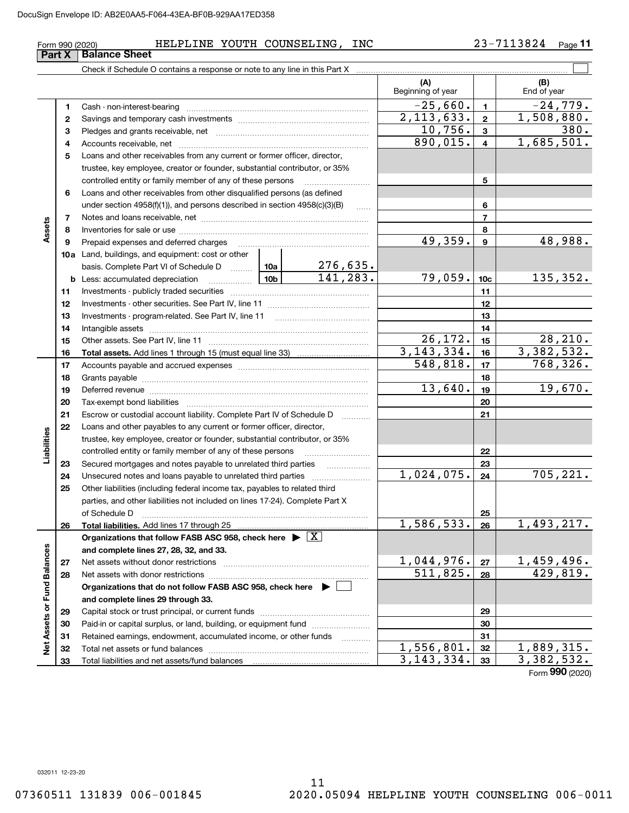### $_{\rm Form}$   $_{990}$  (2020) <code>HELPLINE YOUTH COUNSELING</code> , INC  $_{\rm 23-7113824}$   $_{\rm Page}$ **Porm 990 (2020)**<br>**Part X Balance Sheet**

|                             | Pall A   | Dalalice Sileet                                                                                                                                                                                                                |  |                          |                           |                          |                                   |
|-----------------------------|----------|--------------------------------------------------------------------------------------------------------------------------------------------------------------------------------------------------------------------------------|--|--------------------------|---------------------------|--------------------------|-----------------------------------|
|                             |          |                                                                                                                                                                                                                                |  |                          |                           |                          |                                   |
|                             |          |                                                                                                                                                                                                                                |  |                          | (A)<br>Beginning of year  |                          | (B)<br>End of year                |
|                             | 1.       |                                                                                                                                                                                                                                |  |                          | $-25,660.$                | $\blacksquare$           | $-24,779.$                        |
|                             | 2        |                                                                                                                                                                                                                                |  | $\overline{2,113,633}$ . | $\mathbf{2}$              | $\overline{1,508,880}$ . |                                   |
|                             | 3        |                                                                                                                                                                                                                                |  |                          | 10,756.                   | 3                        | 380.                              |
|                             | 4        |                                                                                                                                                                                                                                |  |                          | 890,015.                  | $\overline{\mathbf{4}}$  | 1,685,501.                        |
|                             | 5        | Loans and other receivables from any current or former officer, director,                                                                                                                                                      |  |                          |                           |                          |                                   |
|                             |          | trustee, key employee, creator or founder, substantial contributor, or 35%                                                                                                                                                     |  |                          |                           |                          |                                   |
|                             |          | controlled entity or family member of any of these persons                                                                                                                                                                     |  |                          |                           | 5                        |                                   |
|                             | 6        | Loans and other receivables from other disqualified persons (as defined                                                                                                                                                        |  |                          |                           |                          |                                   |
|                             |          | under section 4958(f)(1)), and persons described in section 4958(c)(3)(B)                                                                                                                                                      |  |                          |                           | 6                        |                                   |
|                             | 7        |                                                                                                                                                                                                                                |  |                          | $\overline{7}$            |                          |                                   |
| Assets                      | 8        |                                                                                                                                                                                                                                |  |                          |                           | 8                        |                                   |
|                             | 9        | Prepaid expenses and deferred charges                                                                                                                                                                                          |  |                          | 49,359.                   | 9                        | 48,988.                           |
|                             |          | 10a Land, buildings, and equipment: cost or other                                                                                                                                                                              |  |                          |                           |                          |                                   |
|                             |          | basis. Complete Part VI of Schedule D  10a                                                                                                                                                                                     |  | 276,635.                 |                           |                          |                                   |
|                             |          | <b>b</b> Less: accumulated depreciation                                                                                                                                                                                        |  | $\overline{141,}283.$    | 79,059.                   | 10c                      | 135, 352.                         |
|                             | 11       |                                                                                                                                                                                                                                |  | 11                       |                           |                          |                                   |
|                             | 12       |                                                                                                                                                                                                                                |  | 12                       |                           |                          |                                   |
|                             | 13       |                                                                                                                                                                                                                                |  | 13                       |                           |                          |                                   |
|                             | 14       |                                                                                                                                                                                                                                |  |                          | 14                        |                          |                                   |
|                             | 15       |                                                                                                                                                                                                                                |  |                          | 26, 172.<br>3, 143, 334.  | 15                       | 28, 210.<br>3,382,532.            |
|                             | 16       |                                                                                                                                                                                                                                |  |                          | 548,818.                  | 16                       | 768,326.                          |
|                             | 17       |                                                                                                                                                                                                                                |  |                          | 17                        |                          |                                   |
|                             | 18<br>19 |                                                                                                                                                                                                                                |  | 13,640.                  | 18<br>19                  | 19,670.                  |                                   |
|                             | 20       | Deferred revenue information and contain an area of the contained and contain an area of the contained and contain an area of the contained and contain and contain and contain and contain and contain an area of the contain |  |                          |                           | 20                       |                                   |
|                             | 21       | Escrow or custodial account liability. Complete Part IV of Schedule D                                                                                                                                                          |  |                          |                           | 21                       |                                   |
|                             | 22       | Loans and other payables to any current or former officer, director,                                                                                                                                                           |  |                          |                           |                          |                                   |
| Liabilities                 |          | trustee, key employee, creator or founder, substantial contributor, or 35%                                                                                                                                                     |  |                          |                           |                          |                                   |
|                             |          | controlled entity or family member of any of these persons                                                                                                                                                                     |  |                          |                           | 22                       |                                   |
|                             | 23       | Secured mortgages and notes payable to unrelated third parties                                                                                                                                                                 |  |                          |                           | 23                       |                                   |
|                             | 24       |                                                                                                                                                                                                                                |  |                          | 1,024,075.                | 24                       | 705, 221.                         |
|                             | 25       | Other liabilities (including federal income tax, payables to related third                                                                                                                                                     |  |                          |                           |                          |                                   |
|                             |          | parties, and other liabilities not included on lines 17-24). Complete Part X                                                                                                                                                   |  |                          |                           |                          |                                   |
|                             |          | of Schedule D                                                                                                                                                                                                                  |  |                          |                           | 25                       |                                   |
|                             | 26       | <b>Total liabilities.</b> Add lines 17 through 25                                                                                                                                                                              |  |                          | 1,586,533.                | 26                       | 1,493,217.                        |
|                             |          | Organizations that follow FASB ASC 958, check here $\triangleright \lfloor X \rfloor$                                                                                                                                          |  |                          |                           |                          |                                   |
|                             |          | and complete lines 27, 28, 32, and 33.                                                                                                                                                                                         |  |                          |                           |                          |                                   |
|                             | 27       | Net assets without donor restrictions                                                                                                                                                                                          |  |                          | 1,044,976.                | 27                       | <u>1,459,496.</u>                 |
|                             | 28       |                                                                                                                                                                                                                                |  |                          | 511,825.                  | 28                       | 429,819.                          |
|                             |          | Organizations that do not follow FASB ASC 958, check here $\triangleright$                                                                                                                                                     |  |                          |                           |                          |                                   |
|                             |          | and complete lines 29 through 33.                                                                                                                                                                                              |  |                          |                           |                          |                                   |
| Net Assets or Fund Balances | 29       |                                                                                                                                                                                                                                |  |                          |                           | 29                       |                                   |
|                             | 30       |                                                                                                                                                                                                                                |  |                          |                           | 30                       |                                   |
|                             | 31       | Retained earnings, endowment, accumulated income, or other funds                                                                                                                                                               |  |                          |                           | 31                       |                                   |
|                             | 32       |                                                                                                                                                                                                                                |  |                          | $\overline{1,556}$ , 801. | 32                       | 1,889,315.                        |
|                             | 33       |                                                                                                                                                                                                                                |  |                          | 3, 143, 334.              | 33                       | 3,382,532.<br>$.$ QQN $_{(0000)}$ |

Form (2020) **990**

032011 12-23-20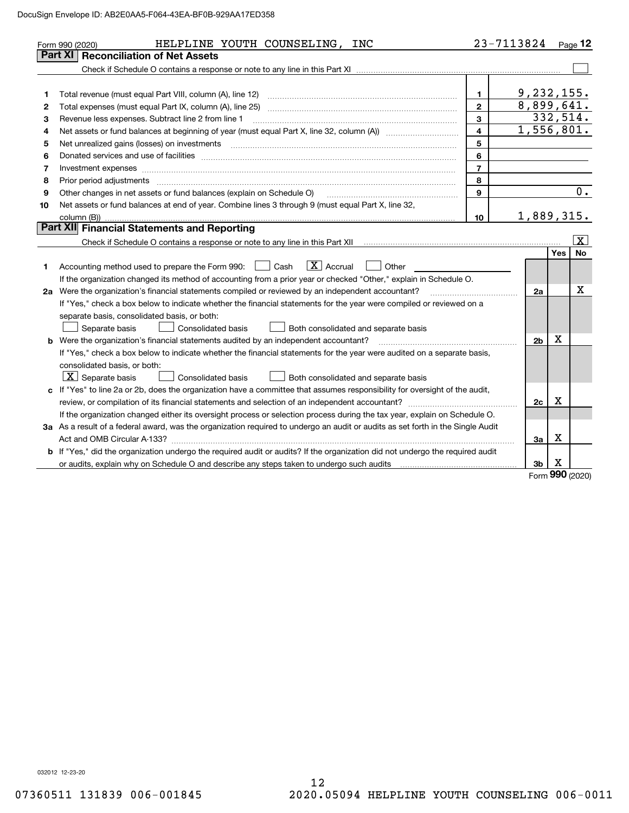|    | HELPLINE YOUTH COUNSELING, INC<br>Form 990 (2020)                                                                               | 23-7113824     |                |            | $P_{aqe}$ 12            |
|----|---------------------------------------------------------------------------------------------------------------------------------|----------------|----------------|------------|-------------------------|
|    | <b>Reconciliation of Net Assets</b><br>Part XI                                                                                  |                |                |            |                         |
|    |                                                                                                                                 |                |                |            |                         |
|    |                                                                                                                                 |                |                |            |                         |
| 1  | Total revenue (must equal Part VIII, column (A), line 12)                                                                       | $\mathbf{1}$   | 9, 232, 155.   |            |                         |
| 2  | Total expenses (must equal Part IX, column (A), line 25)                                                                        | $\overline{2}$ | 8,899,641.     |            |                         |
| 3  | Revenue less expenses. Subtract line 2 from line 1                                                                              | $\mathbf{3}$   |                |            | 332,514.                |
| 4  |                                                                                                                                 | $\overline{4}$ | 1,556,801.     |            |                         |
| 5  | Net unrealized gains (losses) on investments [11] matter continuum matter is a set of the set of the set of the                 | 5              |                |            |                         |
| 6  |                                                                                                                                 | 6              |                |            |                         |
| 7  |                                                                                                                                 | $\overline{7}$ |                |            |                         |
| 8  | Prior period adjustments                                                                                                        | 8              |                |            |                         |
| 9  | Other changes in net assets or fund balances (explain on Schedule O)                                                            | 9              |                |            | $\overline{0}$ .        |
| 10 | Net assets or fund balances at end of year. Combine lines 3 through 9 (must equal Part X, line 32,                              |                |                |            |                         |
|    | column (B))                                                                                                                     | 10             | 1,889,315.     |            |                         |
|    | Part XII Financial Statements and Reporting                                                                                     |                |                |            |                         |
|    |                                                                                                                                 |                |                |            | $\overline{\mathbf{x}}$ |
|    |                                                                                                                                 |                |                | <b>Yes</b> | <b>No</b>               |
| 1  | $ X $ Accrual<br>Accounting method used to prepare the Form 990: <u>I</u> Cash<br>Other                                         |                |                |            |                         |
|    | If the organization changed its method of accounting from a prior year or checked "Other," explain in Schedule O.               |                |                |            |                         |
|    | 2a Were the organization's financial statements compiled or reviewed by an independent accountant?                              |                | 2a             |            | х                       |
|    | If "Yes," check a box below to indicate whether the financial statements for the year were compiled or reviewed on a            |                |                |            |                         |
|    | separate basis, consolidated basis, or both:                                                                                    |                |                |            |                         |
|    | Separate basis<br><b>Consolidated basis</b><br>Both consolidated and separate basis                                             |                |                |            |                         |
|    | b Were the organization's financial statements audited by an independent accountant?                                            |                | 2 <sub>b</sub> | x          |                         |
|    | If "Yes," check a box below to indicate whether the financial statements for the year were audited on a separate basis,         |                |                |            |                         |
|    | consolidated basis, or both:                                                                                                    |                |                |            |                         |
|    | $\lfloor x \rfloor$ Separate basis<br><b>Consolidated basis</b><br>Both consolidated and separate basis                         |                |                |            |                         |
|    | c If "Yes" to line 2a or 2b, does the organization have a committee that assumes responsibility for oversight of the audit,     |                |                |            |                         |
|    |                                                                                                                                 |                | 2c             | Х          |                         |
|    | If the organization changed either its oversight process or selection process during the tax year, explain on Schedule O.       |                |                |            |                         |
|    | 3a As a result of a federal award, was the organization required to undergo an audit or audits as set forth in the Single Audit |                |                |            |                         |
|    |                                                                                                                                 |                | За             | х          |                         |
|    | b If "Yes," did the organization undergo the required audit or audits? If the organization did not undergo the required audit   |                |                |            |                         |
|    |                                                                                                                                 |                | 3b             | х          |                         |

Form (2020) **990**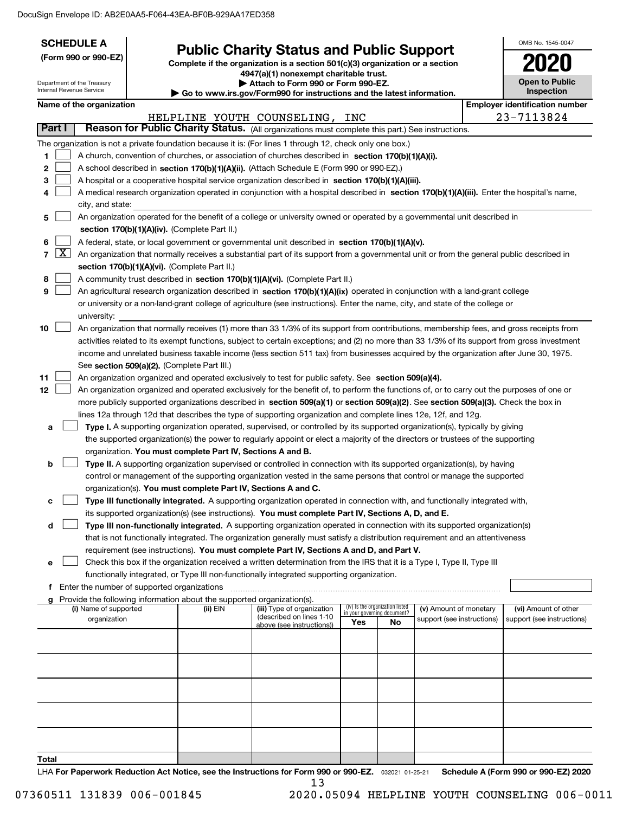| <b>SCHEDULE A</b>                                      |        |                                               |                                                                                                                                  |                                                                                                              |                                                                                                                                                                                                                                                    |                             |                                 |                                                      | OMB No. 1545-0047 |                                                    |  |
|--------------------------------------------------------|--------|-----------------------------------------------|----------------------------------------------------------------------------------------------------------------------------------|--------------------------------------------------------------------------------------------------------------|----------------------------------------------------------------------------------------------------------------------------------------------------------------------------------------------------------------------------------------------------|-----------------------------|---------------------------------|------------------------------------------------------|-------------------|----------------------------------------------------|--|
| (Form 990 or 990-EZ)                                   |        |                                               | <b>Public Charity Status and Public Support</b><br>Complete if the organization is a section 501(c)(3) organization or a section |                                                                                                              |                                                                                                                                                                                                                                                    |                             |                                 |                                                      |                   |                                                    |  |
|                                                        |        |                                               |                                                                                                                                  | 4947(a)(1) nonexempt charitable trust.                                                                       |                                                                                                                                                                                                                                                    |                             |                                 |                                                      |                   |                                                    |  |
| Department of the Treasury<br>Internal Revenue Service |        |                                               |                                                                                                                                  | Attach to Form 990 or Form 990-EZ.<br>Go to www.irs.gov/Form990 for instructions and the latest information. |                                                                                                                                                                                                                                                    |                             |                                 |                                                      |                   | Open to Public<br>Inspection                       |  |
|                                                        |        | Name of the organization                      |                                                                                                                                  |                                                                                                              |                                                                                                                                                                                                                                                    |                             |                                 |                                                      |                   | <b>Employer identification number</b>              |  |
|                                                        |        |                                               |                                                                                                                                  |                                                                                                              | HELPLINE YOUTH COUNSELING,                                                                                                                                                                                                                         | INC                         |                                 |                                                      |                   | 23-7113824                                         |  |
|                                                        | Part I |                                               |                                                                                                                                  |                                                                                                              | Reason for Public Charity Status. (All organizations must complete this part.) See instructions.                                                                                                                                                   |                             |                                 |                                                      |                   |                                                    |  |
|                                                        |        |                                               |                                                                                                                                  |                                                                                                              | The organization is not a private foundation because it is: (For lines 1 through 12, check only one box.)                                                                                                                                          |                             |                                 |                                                      |                   |                                                    |  |
| 1                                                      |        |                                               |                                                                                                                                  |                                                                                                              | A church, convention of churches, or association of churches described in section 170(b)(1)(A)(i).                                                                                                                                                 |                             |                                 |                                                      |                   |                                                    |  |
| 2                                                      |        |                                               |                                                                                                                                  |                                                                                                              | A school described in section 170(b)(1)(A)(ii). (Attach Schedule E (Form 990 or 990-EZ).)                                                                                                                                                          |                             |                                 |                                                      |                   |                                                    |  |
| з<br>4                                                 |        |                                               |                                                                                                                                  |                                                                                                              | A hospital or a cooperative hospital service organization described in section 170(b)(1)(A)(iii).<br>A medical research organization operated in conjunction with a hospital described in section 170(b)(1)(A)(iii). Enter the hospital's name,    |                             |                                 |                                                      |                   |                                                    |  |
|                                                        |        | city, and state:                              |                                                                                                                                  |                                                                                                              |                                                                                                                                                                                                                                                    |                             |                                 |                                                      |                   |                                                    |  |
| 5                                                      |        |                                               |                                                                                                                                  |                                                                                                              | An organization operated for the benefit of a college or university owned or operated by a governmental unit described in                                                                                                                          |                             |                                 |                                                      |                   |                                                    |  |
|                                                        |        |                                               |                                                                                                                                  | section 170(b)(1)(A)(iv). (Complete Part II.)                                                                |                                                                                                                                                                                                                                                    |                             |                                 |                                                      |                   |                                                    |  |
| 6                                                      |        |                                               |                                                                                                                                  |                                                                                                              | A federal, state, or local government or governmental unit described in section 170(b)(1)(A)(v).                                                                                                                                                   |                             |                                 |                                                      |                   |                                                    |  |
| $\overline{7}$                                         | X      |                                               |                                                                                                                                  |                                                                                                              | An organization that normally receives a substantial part of its support from a governmental unit or from the general public described in                                                                                                          |                             |                                 |                                                      |                   |                                                    |  |
|                                                        |        |                                               |                                                                                                                                  | section 170(b)(1)(A)(vi). (Complete Part II.)                                                                |                                                                                                                                                                                                                                                    |                             |                                 |                                                      |                   |                                                    |  |
| 8<br>9                                                 |        |                                               |                                                                                                                                  |                                                                                                              | A community trust described in section 170(b)(1)(A)(vi). (Complete Part II.)<br>An agricultural research organization described in section 170(b)(1)(A)(ix) operated in conjunction with a land-grant college                                      |                             |                                 |                                                      |                   |                                                    |  |
|                                                        |        |                                               |                                                                                                                                  |                                                                                                              | or university or a non-land-grant college of agriculture (see instructions). Enter the name, city, and state of the college or                                                                                                                     |                             |                                 |                                                      |                   |                                                    |  |
|                                                        |        | university:                                   |                                                                                                                                  |                                                                                                              |                                                                                                                                                                                                                                                    |                             |                                 |                                                      |                   |                                                    |  |
| 10                                                     |        |                                               |                                                                                                                                  |                                                                                                              | An organization that normally receives (1) more than 33 1/3% of its support from contributions, membership fees, and gross receipts from                                                                                                           |                             |                                 |                                                      |                   |                                                    |  |
|                                                        |        |                                               |                                                                                                                                  |                                                                                                              | activities related to its exempt functions, subject to certain exceptions; and (2) no more than 33 1/3% of its support from gross investment                                                                                                       |                             |                                 |                                                      |                   |                                                    |  |
|                                                        |        |                                               |                                                                                                                                  |                                                                                                              | income and unrelated business taxable income (less section 511 tax) from businesses acquired by the organization after June 30, 1975.                                                                                                              |                             |                                 |                                                      |                   |                                                    |  |
|                                                        |        |                                               |                                                                                                                                  | See section 509(a)(2). (Complete Part III.)                                                                  |                                                                                                                                                                                                                                                    |                             |                                 |                                                      |                   |                                                    |  |
| 11<br>12                                               |        |                                               |                                                                                                                                  |                                                                                                              | An organization organized and operated exclusively to test for public safety. See section 509(a)(4).<br>An organization organized and operated exclusively for the benefit of, to perform the functions of, or to carry out the purposes of one or |                             |                                 |                                                      |                   |                                                    |  |
|                                                        |        |                                               |                                                                                                                                  |                                                                                                              | more publicly supported organizations described in section 509(a)(1) or section 509(a)(2). See section 509(a)(3). Check the box in                                                                                                                 |                             |                                 |                                                      |                   |                                                    |  |
|                                                        |        |                                               |                                                                                                                                  |                                                                                                              | lines 12a through 12d that describes the type of supporting organization and complete lines 12e, 12f, and 12g.                                                                                                                                     |                             |                                 |                                                      |                   |                                                    |  |
|                                                        | a      |                                               |                                                                                                                                  |                                                                                                              | Type I. A supporting organization operated, supervised, or controlled by its supported organization(s), typically by giving                                                                                                                        |                             |                                 |                                                      |                   |                                                    |  |
|                                                        |        |                                               |                                                                                                                                  |                                                                                                              | the supported organization(s) the power to regularly appoint or elect a majority of the directors or trustees of the supporting                                                                                                                    |                             |                                 |                                                      |                   |                                                    |  |
|                                                        |        |                                               |                                                                                                                                  | organization. You must complete Part IV, Sections A and B.                                                   |                                                                                                                                                                                                                                                    |                             |                                 |                                                      |                   |                                                    |  |
|                                                        | b      |                                               |                                                                                                                                  |                                                                                                              | Type II. A supporting organization supervised or controlled in connection with its supported organization(s), by having<br>control or management of the supporting organization vested in the same persons that control or manage the supported    |                             |                                 |                                                      |                   |                                                    |  |
|                                                        |        |                                               |                                                                                                                                  | organization(s). You must complete Part IV, Sections A and C.                                                |                                                                                                                                                                                                                                                    |                             |                                 |                                                      |                   |                                                    |  |
|                                                        | с      |                                               |                                                                                                                                  |                                                                                                              | Type III functionally integrated. A supporting organization operated in connection with, and functionally integrated with,                                                                                                                         |                             |                                 |                                                      |                   |                                                    |  |
|                                                        |        |                                               |                                                                                                                                  |                                                                                                              | its supported organization(s) (see instructions). You must complete Part IV, Sections A, D, and E.                                                                                                                                                 |                             |                                 |                                                      |                   |                                                    |  |
|                                                        | d      |                                               |                                                                                                                                  |                                                                                                              | Type III non-functionally integrated. A supporting organization operated in connection with its supported organization(s)                                                                                                                          |                             |                                 |                                                      |                   |                                                    |  |
|                                                        |        |                                               |                                                                                                                                  |                                                                                                              | that is not functionally integrated. The organization generally must satisfy a distribution requirement and an attentiveness                                                                                                                       |                             |                                 |                                                      |                   |                                                    |  |
|                                                        |        |                                               |                                                                                                                                  |                                                                                                              | requirement (see instructions). You must complete Part IV, Sections A and D, and Part V.                                                                                                                                                           |                             |                                 |                                                      |                   |                                                    |  |
|                                                        | е      |                                               |                                                                                                                                  |                                                                                                              | Check this box if the organization received a written determination from the IRS that it is a Type I, Type II, Type III<br>functionally integrated, or Type III non-functionally integrated supporting organization.                               |                             |                                 |                                                      |                   |                                                    |  |
|                                                        |        | f Enter the number of supported organizations |                                                                                                                                  |                                                                                                              |                                                                                                                                                                                                                                                    |                             |                                 |                                                      |                   |                                                    |  |
|                                                        | a      |                                               |                                                                                                                                  | Provide the following information about the supported organization(s).                                       |                                                                                                                                                                                                                                                    |                             |                                 |                                                      |                   |                                                    |  |
|                                                        |        | (i) Name of supported<br>organization         |                                                                                                                                  | (ii) EIN                                                                                                     | (iii) Type of organization<br>(described on lines 1-10                                                                                                                                                                                             | in your governing document? | (iv) Is the organization listed | (v) Amount of monetary<br>support (see instructions) |                   | (vi) Amount of other<br>support (see instructions) |  |
|                                                        |        |                                               |                                                                                                                                  |                                                                                                              | above (see instructions))                                                                                                                                                                                                                          | Yes                         | No                              |                                                      |                   |                                                    |  |
|                                                        |        |                                               |                                                                                                                                  |                                                                                                              |                                                                                                                                                                                                                                                    |                             |                                 |                                                      |                   |                                                    |  |
|                                                        |        |                                               |                                                                                                                                  |                                                                                                              |                                                                                                                                                                                                                                                    |                             |                                 |                                                      |                   |                                                    |  |
|                                                        |        |                                               |                                                                                                                                  |                                                                                                              |                                                                                                                                                                                                                                                    |                             |                                 |                                                      |                   |                                                    |  |
|                                                        |        |                                               |                                                                                                                                  |                                                                                                              |                                                                                                                                                                                                                                                    |                             |                                 |                                                      |                   |                                                    |  |
|                                                        |        |                                               |                                                                                                                                  |                                                                                                              |                                                                                                                                                                                                                                                    |                             |                                 |                                                      |                   |                                                    |  |
|                                                        |        |                                               |                                                                                                                                  |                                                                                                              |                                                                                                                                                                                                                                                    |                             |                                 |                                                      |                   |                                                    |  |
|                                                        |        |                                               |                                                                                                                                  |                                                                                                              |                                                                                                                                                                                                                                                    |                             |                                 |                                                      |                   |                                                    |  |
|                                                        |        |                                               |                                                                                                                                  |                                                                                                              |                                                                                                                                                                                                                                                    |                             |                                 |                                                      |                   |                                                    |  |
| Total                                                  |        |                                               |                                                                                                                                  |                                                                                                              |                                                                                                                                                                                                                                                    |                             |                                 |                                                      |                   |                                                    |  |
|                                                        |        |                                               |                                                                                                                                  |                                                                                                              |                                                                                                                                                                                                                                                    |                             |                                 |                                                      |                   |                                                    |  |

LHA For Paperwork Reduction Act Notice, see the Instructions for Form 990 or 990-EZ. <sub>032021</sub> o1-25-21 Schedule A (Form 990 or 990-EZ) 2020 13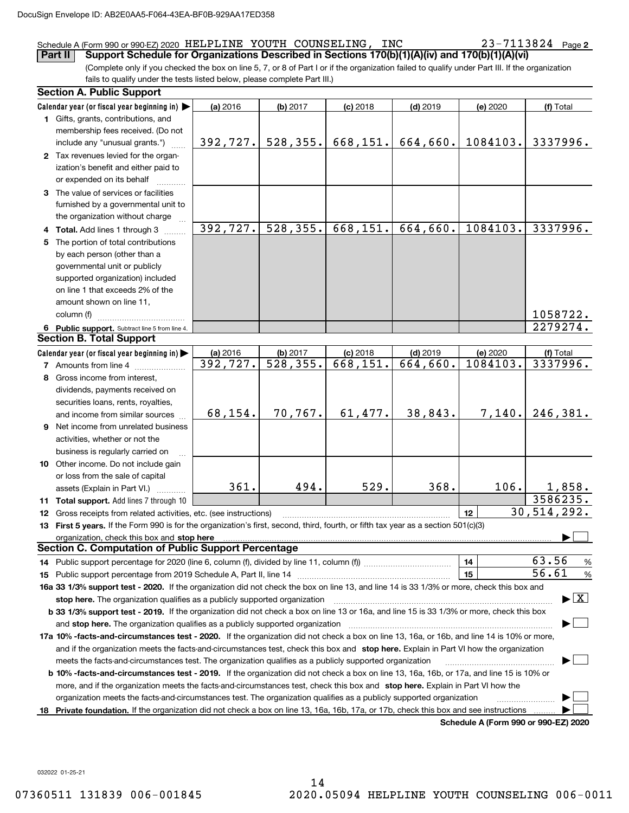### 23-7113824 Page 2 Schedule A (Form 990 or 990-EZ) 2020 <code>HELPLINE YOUTH COUNSELING</code> , <code>INC</code>  $23$   $-7113824$  <code>Page</code>

(Complete only if you checked the box on line 5, 7, or 8 of Part I or if the organization failed to qualify under Part III. If the organization **Part II Support Schedule for Organizations Described in Sections 170(b)(1)(A)(iv) and 170(b)(1)(A)(vi)**

fails to qualify under the tests listed below, please complete Part III.)

|     | <b>Section A. Public Support</b>                                                                                                                                                                                               |            |                         |            |            |                                      |                                          |
|-----|--------------------------------------------------------------------------------------------------------------------------------------------------------------------------------------------------------------------------------|------------|-------------------------|------------|------------|--------------------------------------|------------------------------------------|
|     | Calendar year (or fiscal year beginning in)                                                                                                                                                                                    | (a) 2016   | $(b)$ 2017              | $(c)$ 2018 | $(d)$ 2019 | (e) 2020                             | (f) Total                                |
|     | 1 Gifts, grants, contributions, and                                                                                                                                                                                            |            |                         |            |            |                                      |                                          |
|     | membership fees received. (Do not                                                                                                                                                                                              |            |                         |            |            |                                      |                                          |
|     | include any "unusual grants.")                                                                                                                                                                                                 | 392, 727.  | 528, 355.               | 668,151.   | 664,660.   | 1084103.                             | 3337996.                                 |
|     | 2 Tax revenues levied for the organ-                                                                                                                                                                                           |            |                         |            |            |                                      |                                          |
|     | ization's benefit and either paid to                                                                                                                                                                                           |            |                         |            |            |                                      |                                          |
|     | or expended on its behalf                                                                                                                                                                                                      |            |                         |            |            |                                      |                                          |
|     | 3 The value of services or facilities                                                                                                                                                                                          |            |                         |            |            |                                      |                                          |
|     | furnished by a governmental unit to                                                                                                                                                                                            |            |                         |            |            |                                      |                                          |
|     | the organization without charge                                                                                                                                                                                                |            |                         |            |            |                                      |                                          |
|     | 4 Total. Add lines 1 through 3                                                                                                                                                                                                 | 392,727.   | 528, 355.               | 668,151.   | 664,660.   | 1084103.                             | 3337996.                                 |
| 5   | The portion of total contributions                                                                                                                                                                                             |            |                         |            |            |                                      |                                          |
|     | by each person (other than a                                                                                                                                                                                                   |            |                         |            |            |                                      |                                          |
|     | governmental unit or publicly                                                                                                                                                                                                  |            |                         |            |            |                                      |                                          |
|     | supported organization) included                                                                                                                                                                                               |            |                         |            |            |                                      |                                          |
|     | on line 1 that exceeds 2% of the                                                                                                                                                                                               |            |                         |            |            |                                      |                                          |
|     | amount shown on line 11,                                                                                                                                                                                                       |            |                         |            |            |                                      |                                          |
|     | column (f)                                                                                                                                                                                                                     |            |                         |            |            |                                      | 1058722.                                 |
|     | 6 Public support. Subtract line 5 from line 4.                                                                                                                                                                                 |            |                         |            |            |                                      | $\overline{2279274}$ .                   |
|     | <b>Section B. Total Support</b>                                                                                                                                                                                                |            |                         |            |            |                                      |                                          |
|     | Calendar year (or fiscal year beginning in)                                                                                                                                                                                    | $(a)$ 2016 | (b) 2017                | $(c)$ 2018 | $(d)$ 2019 | (e) 2020                             | (f) Total                                |
|     | <b>7</b> Amounts from line 4                                                                                                                                                                                                   | 392,727.   | $\overline{528}$ , 355. | 668, 151.  | 664,660.   | 1084103.                             | 3337996.                                 |
|     | 8 Gross income from interest,                                                                                                                                                                                                  |            |                         |            |            |                                      |                                          |
|     | dividends, payments received on                                                                                                                                                                                                |            |                         |            |            |                                      |                                          |
|     | securities loans, rents, royalties,                                                                                                                                                                                            |            |                         |            |            |                                      |                                          |
|     | and income from similar sources                                                                                                                                                                                                | 68,154.    | 70, 767.                | 61,477.    | 38,843.    | 7, 140.                              | 246,381.                                 |
|     | 9 Net income from unrelated business                                                                                                                                                                                           |            |                         |            |            |                                      |                                          |
|     | activities, whether or not the                                                                                                                                                                                                 |            |                         |            |            |                                      |                                          |
|     | business is regularly carried on                                                                                                                                                                                               |            |                         |            |            |                                      |                                          |
|     | 10 Other income. Do not include gain                                                                                                                                                                                           |            |                         |            |            |                                      |                                          |
|     | or loss from the sale of capital                                                                                                                                                                                               |            |                         |            |            |                                      |                                          |
|     | assets (Explain in Part VI.)                                                                                                                                                                                                   | 361.       | 494.                    | 529.       | 368.       | 106.                                 | 1,858.                                   |
|     | <b>11 Total support.</b> Add lines 7 through 10                                                                                                                                                                                |            |                         |            |            |                                      | 3586235.                                 |
|     | 12 Gross receipts from related activities, etc. (see instructions)                                                                                                                                                             |            |                         |            |            | 12                                   | 30,514,292.                              |
|     | 13 First 5 years. If the Form 990 is for the organization's first, second, third, fourth, or fifth tax year as a section 501(c)(3)                                                                                             |            |                         |            |            |                                      |                                          |
|     | organization, check this box and stop here manufactured and according to the state of the state of the state of the state of the state of the state of the state of the state of the state of the state of the state of the st |            |                         |            |            |                                      |                                          |
|     | <b>Section C. Computation of Public Support Percentage</b>                                                                                                                                                                     |            |                         |            |            |                                      |                                          |
|     |                                                                                                                                                                                                                                |            |                         |            |            | 14                                   | 63.56<br>$\frac{9}{6}$                   |
|     |                                                                                                                                                                                                                                |            |                         |            |            | 15                                   | 56.61<br>%                               |
|     | 16a 33 1/3% support test - 2020. If the organization did not check the box on line 13, and line 14 is 33 1/3% or more, check this box and                                                                                      |            |                         |            |            |                                      |                                          |
|     | stop here. The organization qualifies as a publicly supported organization                                                                                                                                                     |            |                         |            |            |                                      | $\blacktriangleright$ $\boxed{\text{X}}$ |
|     | b 33 1/3% support test - 2019. If the organization did not check a box on line 13 or 16a, and line 15 is 33 1/3% or more, check this box                                                                                       |            |                         |            |            |                                      |                                          |
|     | and stop here. The organization qualifies as a publicly supported organization                                                                                                                                                 |            |                         |            |            |                                      |                                          |
|     | 17a 10% -facts-and-circumstances test - 2020. If the organization did not check a box on line 13, 16a, or 16b, and line 14 is 10% or more,                                                                                     |            |                         |            |            |                                      |                                          |
|     | and if the organization meets the facts-and-circumstances test, check this box and stop here. Explain in Part VI how the organization                                                                                          |            |                         |            |            |                                      |                                          |
|     | meets the facts-and-circumstances test. The organization qualifies as a publicly supported organization                                                                                                                        |            |                         |            |            |                                      |                                          |
|     | <b>b 10% -facts-and-circumstances test - 2019.</b> If the organization did not check a box on line 13, 16a, 16b, or 17a, and line 15 is 10% or                                                                                 |            |                         |            |            |                                      |                                          |
|     | more, and if the organization meets the facts-and-circumstances test, check this box and stop here. Explain in Part VI how the                                                                                                 |            |                         |            |            |                                      |                                          |
|     | organization meets the facts-and-circumstances test. The organization qualifies as a publicly supported organization                                                                                                           |            |                         |            |            |                                      |                                          |
| 18. | Private foundation. If the organization did not check a box on line 13, 16a, 16b, 17a, or 17b, check this box and see instructions                                                                                             |            |                         |            |            |                                      |                                          |
|     |                                                                                                                                                                                                                                |            |                         |            |            | Schedule A (Form 990 or 990-EZ) 2020 |                                          |

032022 01-25-21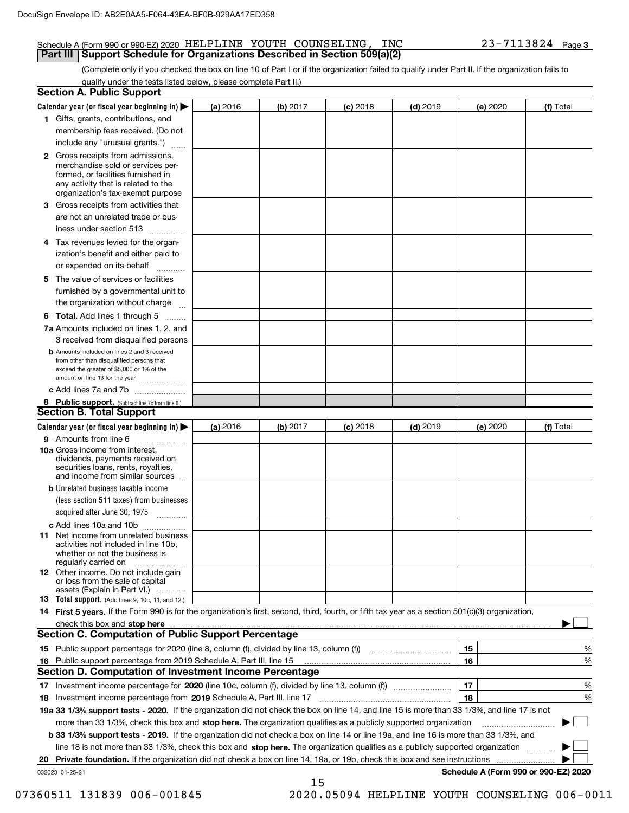## Schedule A (Form 990 or 990-EZ) 2020 <code>HELPLINE YOUTH COUNSELING</code> , <code>INC</code>  $23$   $-7113824$  <code>Page</code> **Part III Support Schedule for Organizations Described in Section 509(a)(2)**

(Complete only if you checked the box on line 10 of Part I or if the organization failed to qualify under Part II. If the organization fails to qualify under the tests listed below, please complete Part II.)

|     | <b>Section A. Public Support</b>                                                                                                                                                                |          |            |            |            |                                      |           |
|-----|-------------------------------------------------------------------------------------------------------------------------------------------------------------------------------------------------|----------|------------|------------|------------|--------------------------------------|-----------|
|     | Calendar year (or fiscal year beginning in) $\blacktriangleright$                                                                                                                               | (a) 2016 | (b) 2017   | $(c)$ 2018 | $(d)$ 2019 | (e) 2020                             | (f) Total |
|     | 1 Gifts, grants, contributions, and                                                                                                                                                             |          |            |            |            |                                      |           |
|     | membership fees received. (Do not                                                                                                                                                               |          |            |            |            |                                      |           |
|     | include any "unusual grants.")                                                                                                                                                                  |          |            |            |            |                                      |           |
|     | <b>2</b> Gross receipts from admissions,<br>merchandise sold or services per-<br>formed, or facilities furnished in<br>any activity that is related to the<br>organization's tax-exempt purpose |          |            |            |            |                                      |           |
|     | 3 Gross receipts from activities that                                                                                                                                                           |          |            |            |            |                                      |           |
|     | are not an unrelated trade or bus-                                                                                                                                                              |          |            |            |            |                                      |           |
|     | iness under section 513                                                                                                                                                                         |          |            |            |            |                                      |           |
|     | 4 Tax revenues levied for the organ-                                                                                                                                                            |          |            |            |            |                                      |           |
|     | ization's benefit and either paid to<br>or expended on its behalf<br>.                                                                                                                          |          |            |            |            |                                      |           |
|     | 5 The value of services or facilities                                                                                                                                                           |          |            |            |            |                                      |           |
|     | furnished by a governmental unit to                                                                                                                                                             |          |            |            |            |                                      |           |
|     | the organization without charge                                                                                                                                                                 |          |            |            |            |                                      |           |
|     | <b>6 Total.</b> Add lines 1 through 5                                                                                                                                                           |          |            |            |            |                                      |           |
|     | 7a Amounts included on lines 1, 2, and<br>3 received from disqualified persons                                                                                                                  |          |            |            |            |                                      |           |
|     | <b>b</b> Amounts included on lines 2 and 3 received<br>from other than disqualified persons that<br>exceed the greater of \$5,000 or 1% of the<br>amount on line 13 for the year                |          |            |            |            |                                      |           |
|     | c Add lines 7a and 7b                                                                                                                                                                           |          |            |            |            |                                      |           |
|     | 8 Public support. (Subtract line 7c from line 6.)<br><b>Section B. Total Support</b>                                                                                                            |          |            |            |            |                                      |           |
|     | Calendar year (or fiscal year beginning in)                                                                                                                                                     | (a) 2016 | $(b)$ 2017 | $(c)$ 2018 | $(d)$ 2019 | (e) 2020                             | (f) Total |
|     | 9 Amounts from line 6                                                                                                                                                                           |          |            |            |            |                                      |           |
|     | <b>10a</b> Gross income from interest,<br>dividends, payments received on<br>securities loans, rents, royalties,<br>and income from similar sources                                             |          |            |            |            |                                      |           |
|     | <b>b</b> Unrelated business taxable income                                                                                                                                                      |          |            |            |            |                                      |           |
|     | (less section 511 taxes) from businesses<br>acquired after June 30, 1975                                                                                                                        |          |            |            |            |                                      |           |
|     | c Add lines 10a and 10b                                                                                                                                                                         |          |            |            |            |                                      |           |
|     | 11 Net income from unrelated business<br>activities not included in line 10b,<br>whether or not the business is<br>regularly carried on                                                         |          |            |            |            |                                      |           |
|     | 12 Other income. Do not include gain<br>or loss from the sale of capital<br>assets (Explain in Part VI.)                                                                                        |          |            |            |            |                                      |           |
|     | <b>13</b> Total support. (Add lines 9, 10c, 11, and 12.)                                                                                                                                        |          |            |            |            |                                      |           |
|     | 14 First 5 years. If the Form 990 is for the organization's first, second, third, fourth, or fifth tax year as a section 501(c)(3) organization,                                                |          |            |            |            |                                      |           |
|     | check this box and stop here with the continuum control to the state of the state of the state of the state of                                                                                  |          |            |            |            |                                      |           |
|     | <b>Section C. Computation of Public Support Percentage</b>                                                                                                                                      |          |            |            |            |                                      |           |
|     |                                                                                                                                                                                                 |          |            |            |            | 15                                   | %         |
| 16. | Public support percentage from 2019 Schedule A, Part III, line 15                                                                                                                               |          |            |            |            | 16                                   | $\%$      |
|     | <b>Section D. Computation of Investment Income Percentage</b>                                                                                                                                   |          |            |            |            |                                      |           |
|     | 17 Investment income percentage for 2020 (line 10c, column (f), divided by line 13, column (f))                                                                                                 |          |            |            |            | 17                                   | %         |
|     | 18 Investment income percentage from 2019 Schedule A, Part III, line 17                                                                                                                         |          |            |            |            | 18                                   | %         |
|     | 19a 33 1/3% support tests - 2020. If the organization did not check the box on line 14, and line 15 is more than 33 1/3%, and line 17 is not                                                    |          |            |            |            |                                      |           |
|     | more than 33 1/3%, check this box and stop here. The organization qualifies as a publicly supported organization                                                                                |          |            |            |            |                                      |           |
|     | <b>b 33 1/3% support tests - 2019.</b> If the organization did not check a box on line 14 or line 19a, and line 16 is more than 33 1/3%, and                                                    |          |            |            |            |                                      |           |
|     | line 18 is not more than 33 1/3%, check this box and stop here. The organization qualifies as a publicly supported organization                                                                 |          |            |            |            |                                      |           |
| 20  | Private foundation. If the organization did not check a box on line 14, 19a, or 19b, check this box and see instructions                                                                        |          |            |            |            |                                      |           |
|     | 032023 01-25-21                                                                                                                                                                                 |          | 15         |            |            | Schedule A (Form 990 or 990-EZ) 2020 |           |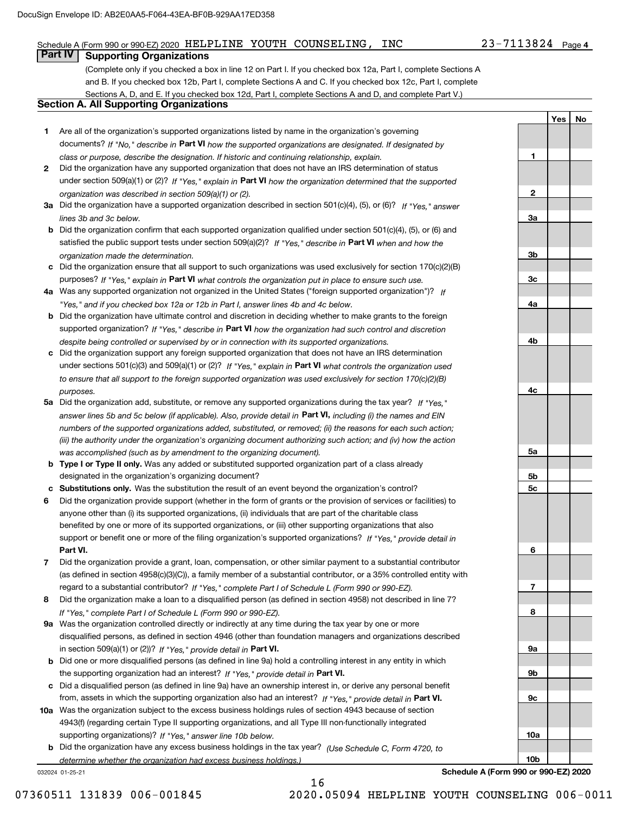## Schedule A (Form 990 or 990-EZ) 2020 <code>HELPLINE YOUTH COUNSELING</code> , <code>INC</code>  $23$   $-7113824$  <code>Page</code>

## 23-7113824 Page 4

**1**

**2**

**3a**

**3b**

**3c**

**4a**

**4b**

**4c**

**5a**

**5b5c**

**6**

**7**

**8**

**9a**

**9b**

**9c**

**10a**

**10b**

**YesNo**

(Complete only if you checked a box in line 12 on Part I. If you checked box 12a, Part I, complete Sections A and B. If you checked box 12b, Part I, complete Sections A and C. If you checked box 12c, Part I, complete Sections A, D, and E. If you checked box 12d, Part I, complete Sections A and D, and complete Part V.) **Part IV Supporting Organizations**

## **Section A. All Supporting Organizations**

- **1** Are all of the organization's supported organizations listed by name in the organization's governing documents? If "No," describe in **Part VI** how the supported organizations are designated. If designated by *class or purpose, describe the designation. If historic and continuing relationship, explain.*
- **2** Did the organization have any supported organization that does not have an IRS determination of status under section 509(a)(1) or (2)? If "Yes," explain in Part VI how the organization determined that the supported *organization was described in section 509(a)(1) or (2).*
- **3a** Did the organization have a supported organization described in section 501(c)(4), (5), or (6)? If "Yes," answer *lines 3b and 3c below.*
- **b** Did the organization confirm that each supported organization qualified under section 501(c)(4), (5), or (6) and satisfied the public support tests under section 509(a)(2)? If "Yes," describe in **Part VI** when and how the *organization made the determination.*
- **c**Did the organization ensure that all support to such organizations was used exclusively for section 170(c)(2)(B) purposes? If "Yes," explain in **Part VI** what controls the organization put in place to ensure such use.
- **4a***If* Was any supported organization not organized in the United States ("foreign supported organization")? *"Yes," and if you checked box 12a or 12b in Part I, answer lines 4b and 4c below.*
- **b** Did the organization have ultimate control and discretion in deciding whether to make grants to the foreign supported organization? If "Yes," describe in **Part VI** how the organization had such control and discretion *despite being controlled or supervised by or in connection with its supported organizations.*
- **c** Did the organization support any foreign supported organization that does not have an IRS determination under sections 501(c)(3) and 509(a)(1) or (2)? If "Yes," explain in **Part VI** what controls the organization used *to ensure that all support to the foreign supported organization was used exclusively for section 170(c)(2)(B) purposes.*
- **5a** Did the organization add, substitute, or remove any supported organizations during the tax year? If "Yes," answer lines 5b and 5c below (if applicable). Also, provide detail in **Part VI,** including (i) the names and EIN *numbers of the supported organizations added, substituted, or removed; (ii) the reasons for each such action; (iii) the authority under the organization's organizing document authorizing such action; and (iv) how the action was accomplished (such as by amendment to the organizing document).*
- **b** Type I or Type II only. Was any added or substituted supported organization part of a class already designated in the organization's organizing document?
- **cSubstitutions only.**  Was the substitution the result of an event beyond the organization's control?
- **6** Did the organization provide support (whether in the form of grants or the provision of services or facilities) to **Part VI.** *If "Yes," provide detail in* support or benefit one or more of the filing organization's supported organizations? anyone other than (i) its supported organizations, (ii) individuals that are part of the charitable class benefited by one or more of its supported organizations, or (iii) other supporting organizations that also
- **7**Did the organization provide a grant, loan, compensation, or other similar payment to a substantial contributor *If "Yes," complete Part I of Schedule L (Form 990 or 990-EZ).* regard to a substantial contributor? (as defined in section 4958(c)(3)(C)), a family member of a substantial contributor, or a 35% controlled entity with
- **8** Did the organization make a loan to a disqualified person (as defined in section 4958) not described in line 7? *If "Yes," complete Part I of Schedule L (Form 990 or 990-EZ).*
- **9a** Was the organization controlled directly or indirectly at any time during the tax year by one or more in section 509(a)(1) or (2))? If "Yes," *provide detail in* <code>Part VI.</code> disqualified persons, as defined in section 4946 (other than foundation managers and organizations described
- **b** Did one or more disqualified persons (as defined in line 9a) hold a controlling interest in any entity in which the supporting organization had an interest? If "Yes," provide detail in P**art VI**.
- **c**Did a disqualified person (as defined in line 9a) have an ownership interest in, or derive any personal benefit from, assets in which the supporting organization also had an interest? If "Yes," provide detail in P**art VI.**
- **10a** Was the organization subject to the excess business holdings rules of section 4943 because of section supporting organizations)? If "Yes," answer line 10b below. 4943(f) (regarding certain Type II supporting organizations, and all Type III non-functionally integrated
- **b** Did the organization have any excess business holdings in the tax year? (Use Schedule C, Form 4720, to *determine whether the organization had excess business holdings.)*

16

032024 01-25-21

**Schedule A (Form 990 or 990-EZ) 2020**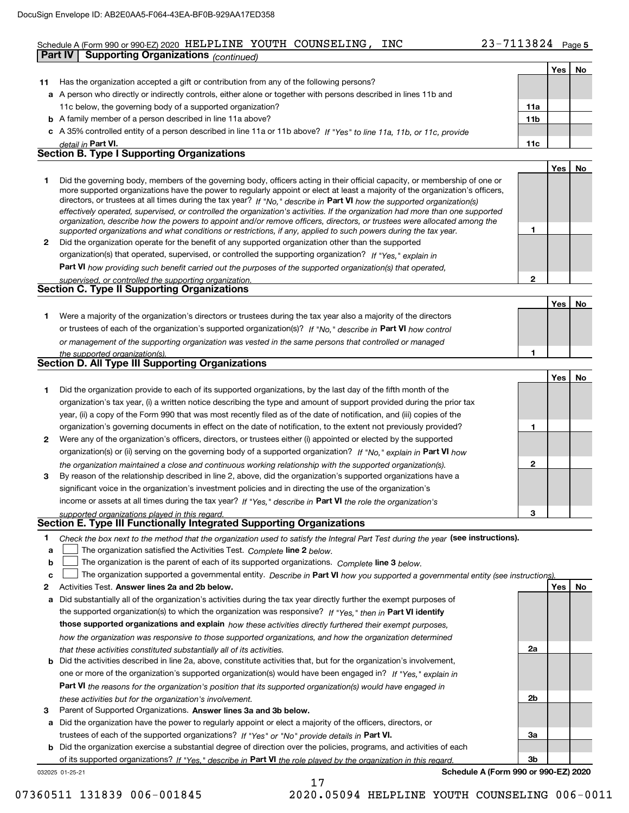## Schedule A (Form 990 or 990-EZ) 2020 <code>HELPLINE YOUTH COUNSELING</code> , <code>INC</code>  $23$   $-7113824$  <code>Page</code>

|    | Part IV<br><b>Supporting Organizations (continued)</b>                                                                                                                                                                                                    |                 |            |    |
|----|-----------------------------------------------------------------------------------------------------------------------------------------------------------------------------------------------------------------------------------------------------------|-----------------|------------|----|
|    |                                                                                                                                                                                                                                                           |                 | Yes        | No |
| 11 | Has the organization accepted a gift or contribution from any of the following persons?                                                                                                                                                                   |                 |            |    |
|    | a A person who directly or indirectly controls, either alone or together with persons described in lines 11b and                                                                                                                                          |                 |            |    |
|    | 11c below, the governing body of a supported organization?                                                                                                                                                                                                | 11a             |            |    |
|    | <b>b</b> A family member of a person described in line 11a above?                                                                                                                                                                                         | 11 <sub>b</sub> |            |    |
|    | c A 35% controlled entity of a person described in line 11a or 11b above? If "Yes" to line 11a, 11b, or 11c, provide                                                                                                                                      |                 |            |    |
|    | detail in <b>Part VI.</b>                                                                                                                                                                                                                                 | 11c             |            |    |
|    | <b>Section B. Type I Supporting Organizations</b>                                                                                                                                                                                                         |                 |            |    |
|    |                                                                                                                                                                                                                                                           |                 | Yes        | No |
| 1  | Did the governing body, members of the governing body, officers acting in their official capacity, or membership of one or                                                                                                                                |                 |            |    |
|    | more supported organizations have the power to regularly appoint or elect at least a majority of the organization's officers,                                                                                                                             |                 |            |    |
|    | directors, or trustees at all times during the tax year? If "No," describe in Part VI how the supported organization(s)<br>effectively operated, supervised, or controlled the organization's activities. If the organization had more than one supported |                 |            |    |
|    | organization, describe how the powers to appoint and/or remove officers, directors, or trustees were allocated among the                                                                                                                                  |                 |            |    |
|    | supported organizations and what conditions or restrictions, if any, applied to such powers during the tax year.                                                                                                                                          | 1               |            |    |
| 2  | Did the organization operate for the benefit of any supported organization other than the supported                                                                                                                                                       |                 |            |    |
|    | organization(s) that operated, supervised, or controlled the supporting organization? If "Yes," explain in                                                                                                                                                |                 |            |    |
|    | <b>Part VI</b> how providing such benefit carried out the purposes of the supported organization(s) that operated,                                                                                                                                        |                 |            |    |
|    | supervised, or controlled the supporting organization.<br><b>Section C. Type II Supporting Organizations</b>                                                                                                                                              | $\mathbf 2$     |            |    |
|    |                                                                                                                                                                                                                                                           |                 |            |    |
|    |                                                                                                                                                                                                                                                           |                 | Yes        | No |
| 1. | Were a majority of the organization's directors or trustees during the tax year also a majority of the directors<br>or trustees of each of the organization's supported organization(s)? If "No," describe in Part VI how control                         |                 |            |    |
|    |                                                                                                                                                                                                                                                           |                 |            |    |
|    | or management of the supporting organization was vested in the same persons that controlled or managed<br>the supported organization(s).                                                                                                                  | 1               |            |    |
|    | <b>Section D. All Type III Supporting Organizations</b>                                                                                                                                                                                                   |                 |            |    |
|    |                                                                                                                                                                                                                                                           |                 | <b>Yes</b> | No |
| 1  | Did the organization provide to each of its supported organizations, by the last day of the fifth month of the                                                                                                                                            |                 |            |    |
|    | organization's tax year, (i) a written notice describing the type and amount of support provided during the prior tax                                                                                                                                     |                 |            |    |
|    | year, (ii) a copy of the Form 990 that was most recently filed as of the date of notification, and (iii) copies of the                                                                                                                                    |                 |            |    |
|    | organization's governing documents in effect on the date of notification, to the extent not previously provided?                                                                                                                                          | 1               |            |    |
| 2  | Were any of the organization's officers, directors, or trustees either (i) appointed or elected by the supported                                                                                                                                          |                 |            |    |
|    | organization(s) or (ii) serving on the governing body of a supported organization? If "No," explain in Part VI how                                                                                                                                        |                 |            |    |
|    | the organization maintained a close and continuous working relationship with the supported organization(s).                                                                                                                                               | 2               |            |    |
| 3  | By reason of the relationship described in line 2, above, did the organization's supported organizations have a                                                                                                                                           |                 |            |    |
|    | significant voice in the organization's investment policies and in directing the use of the organization's                                                                                                                                                |                 |            |    |
|    | income or assets at all times during the tax year? If "Yes," describe in Part VI the role the organization's                                                                                                                                              |                 |            |    |
|    | supported organizations played in this regard.                                                                                                                                                                                                            | 3               |            |    |
|    | Section E. Type III Functionally Integrated Supporting Organizations                                                                                                                                                                                      |                 |            |    |
| 1  | Check the box next to the method that the organization used to satisfy the Integral Part Test during the year (see instructions).                                                                                                                         |                 |            |    |
| a  | The organization satisfied the Activities Test. Complete line 2 below.                                                                                                                                                                                    |                 |            |    |
| b  | The organization is the parent of each of its supported organizations. Complete line 3 below.                                                                                                                                                             |                 |            |    |
| c  | The organization supported a governmental entity. Describe in Part VI how you supported a governmental entity (see instructions)                                                                                                                          |                 |            |    |
| 2  | Activities Test. Answer lines 2a and 2b below.                                                                                                                                                                                                            |                 | Yes        | No |
| а  | Did substantially all of the organization's activities during the tax year directly further the exempt purposes of                                                                                                                                        |                 |            |    |
|    | the supported organization(s) to which the organization was responsive? If "Yes," then in Part VI identify                                                                                                                                                |                 |            |    |
|    | those supported organizations and explain how these activities directly furthered their exempt purposes,                                                                                                                                                  |                 |            |    |
|    | how the organization was responsive to those supported organizations, and how the organization determined                                                                                                                                                 |                 |            |    |
| b  | that these activities constituted substantially all of its activities.<br>Did the activities described in line 2a, above, constitute activities that, but for the organization's involvement,                                                             | 2a              |            |    |
|    | one or more of the organization's supported organization(s) would have been engaged in? If "Yes," explain in                                                                                                                                              |                 |            |    |

**3** Parent of Supported Organizations. Answer lines 3a and 3b below. *these activities but for the organization's involvement.*

**a** Did the organization have the power to regularly appoint or elect a majority of the officers, directors, or trustees of each of the supported organizations? If "Yes" or "No" provide details in P**art VI.** 

**Part VI**  *the reasons for the organization's position that its supported organization(s) would have engaged in*

**b** Did the organization exercise a substantial degree of direction over the policies, programs, and activities of each of its supported organizations? If "Yes," describe in Part VI the role played by the organization in this regard.

17

032025 01-25-21

**Schedule A (Form 990 or 990-EZ) 2020**

**2b**

**3a**

**3b**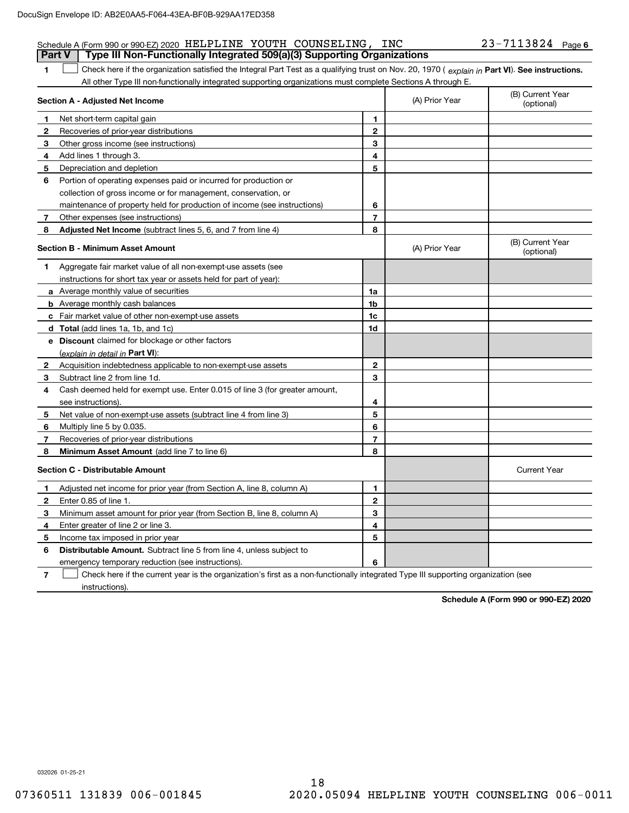## Schedule A (Form 990 or 990-EZ) 2020 <code>HELPLINE YOUTH COUNSELING</code> , <code>INC</code>  $23$   $-7113824$  <code>Page</code> **Part V Type III Non-Functionally Integrated 509(a)(3) Supporting Organizations**

**1**1 Check here if the organization satisfied the Integral Part Test as a qualifying trust on Nov. 20, 1970 (explain in Part VI). See instructions. All other Type III non-functionally integrated supporting organizations must complete Sections A through E.

|              | Section A - Adjusted Net Income                                             | (A) Prior Year | (B) Current Year<br>(optional) |                                |
|--------------|-----------------------------------------------------------------------------|----------------|--------------------------------|--------------------------------|
| 1.           | Net short-term capital gain                                                 | 1              |                                |                                |
| $\mathbf{2}$ | Recoveries of prior-year distributions                                      | $\overline{2}$ |                                |                                |
| 3            | Other gross income (see instructions)                                       | 3              |                                |                                |
| 4            | Add lines 1 through 3.                                                      | 4              |                                |                                |
| 5            | Depreciation and depletion                                                  | 5              |                                |                                |
| 6            | Portion of operating expenses paid or incurred for production or            |                |                                |                                |
|              | collection of gross income or for management, conservation, or              |                |                                |                                |
|              | maintenance of property held for production of income (see instructions)    | 6              |                                |                                |
| 7            | Other expenses (see instructions)                                           | $\overline{7}$ |                                |                                |
| 8            | Adjusted Net Income (subtract lines 5, 6, and 7 from line 4)                | 8              |                                |                                |
|              | Section B - Minimum Asset Amount                                            |                | (A) Prior Year                 | (B) Current Year<br>(optional) |
| 1            | Aggregate fair market value of all non-exempt-use assets (see               |                |                                |                                |
|              | instructions for short tax year or assets held for part of year):           |                |                                |                                |
|              | <b>a</b> Average monthly value of securities                                | 1a             |                                |                                |
|              | <b>b</b> Average monthly cash balances                                      | 1b             |                                |                                |
|              | c Fair market value of other non-exempt-use assets                          | 1c             |                                |                                |
|              | <b>d</b> Total (add lines 1a, 1b, and 1c)                                   | 1d             |                                |                                |
|              | e Discount claimed for blockage or other factors                            |                |                                |                                |
|              | (explain in detail in Part VI):                                             |                |                                |                                |
| 2            | Acquisition indebtedness applicable to non-exempt-use assets                | $\mathbf{2}$   |                                |                                |
| 3            | Subtract line 2 from line 1d.                                               | 3              |                                |                                |
| 4            | Cash deemed held for exempt use. Enter 0.015 of line 3 (for greater amount, |                |                                |                                |
|              | see instructions)                                                           | 4              |                                |                                |
| 5            | Net value of non-exempt-use assets (subtract line 4 from line 3)            | 5              |                                |                                |
| 6            | Multiply line 5 by 0.035.                                                   | 6              |                                |                                |
| 7            | Recoveries of prior-year distributions                                      | $\overline{7}$ |                                |                                |
| 8            | Minimum Asset Amount (add line 7 to line 6)                                 | 8              |                                |                                |
|              | <b>Section C - Distributable Amount</b>                                     |                |                                | <b>Current Year</b>            |
| 1            | Adjusted net income for prior year (from Section A, line 8, column A)       | 1              |                                |                                |
| $\mathbf{2}$ | Enter 0.85 of line 1                                                        | $\overline{2}$ |                                |                                |
| 3            | Minimum asset amount for prior year (from Section B, line 8, column A)      | 3              |                                |                                |
| 4            | Enter greater of line 2 or line 3.                                          | 4              |                                |                                |
| 5            | Income tax imposed in prior year                                            | 5              |                                |                                |
| 6            | <b>Distributable Amount.</b> Subtract line 5 from line 4, unless subject to |                |                                |                                |
|              | emergency temporary reduction (see instructions).                           | 6              |                                |                                |
|              |                                                                             |                |                                |                                |

**7**Check here if the current year is the organization's first as a non-functionally integrated Type III supporting organization (see instructions).

**Schedule A (Form 990 or 990-EZ) 2020**

032026 01-25-21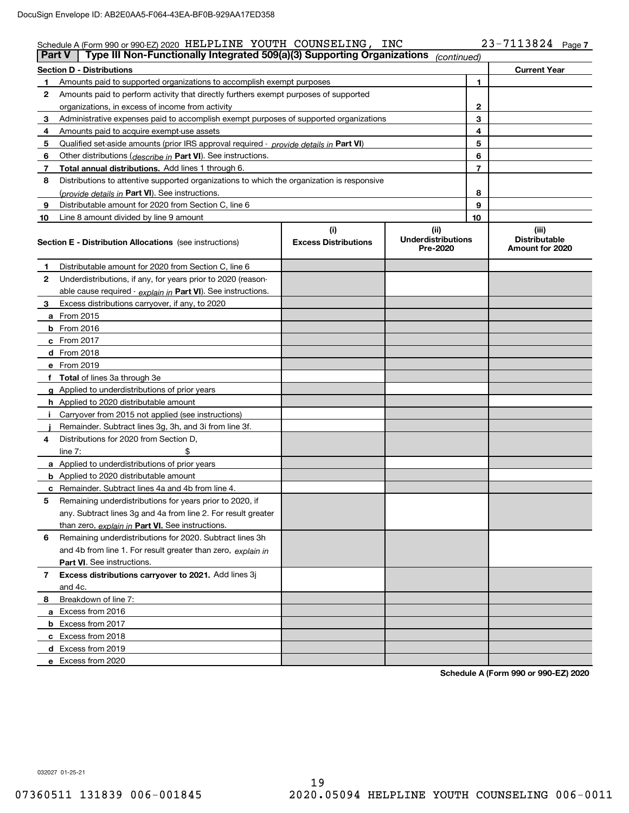|               | Schedule A (Form 990 or 990-EZ) 2020 HELPLINE YOUTH COUNSELING, INC                        |                                    |                                                |              | 23-7113824 Page 7                                |
|---------------|--------------------------------------------------------------------------------------------|------------------------------------|------------------------------------------------|--------------|--------------------------------------------------|
| <b>Part V</b> | Type III Non-Functionally Integrated 509(a)(3) Supporting Organizations                    |                                    | (continued)                                    |              |                                                  |
|               | <b>Section D - Distributions</b>                                                           |                                    |                                                |              | <b>Current Year</b>                              |
| 1             | Amounts paid to supported organizations to accomplish exempt purposes                      |                                    |                                                | $\mathbf{1}$ |                                                  |
| 2             | Amounts paid to perform activity that directly furthers exempt purposes of supported       |                                    |                                                |              |                                                  |
|               | organizations, in excess of income from activity                                           |                                    |                                                | $\mathbf{2}$ |                                                  |
| 3             | Administrative expenses paid to accomplish exempt purposes of supported organizations      |                                    |                                                | 3            |                                                  |
| 4             | Amounts paid to acquire exempt-use assets                                                  |                                    |                                                | 4            |                                                  |
| 5             | Qualified set-aside amounts (prior IRS approval required - provide details in Part VI)     |                                    |                                                | 5            |                                                  |
| 6             | Other distributions ( <i>describe in</i> Part VI). See instructions.                       |                                    |                                                | 6            |                                                  |
| 7             | Total annual distributions. Add lines 1 through 6.                                         |                                    |                                                | 7            |                                                  |
| 8             | Distributions to attentive supported organizations to which the organization is responsive |                                    |                                                |              |                                                  |
|               | (provide details in Part VI). See instructions.                                            |                                    |                                                | 8            |                                                  |
| 9             | Distributable amount for 2020 from Section C, line 6                                       |                                    |                                                | 9            |                                                  |
| 10            | Line 8 amount divided by line 9 amount                                                     |                                    |                                                | 10           |                                                  |
|               | <b>Section E - Distribution Allocations</b> (see instructions)                             | (i)<br><b>Excess Distributions</b> | (iii)<br><b>Underdistributions</b><br>Pre-2020 |              | (iii)<br><b>Distributable</b><br>Amount for 2020 |
| 1             | Distributable amount for 2020 from Section C, line 6                                       |                                    |                                                |              |                                                  |
| 2             | Underdistributions, if any, for years prior to 2020 (reason-                               |                                    |                                                |              |                                                  |
|               | able cause required - explain in Part VI). See instructions.                               |                                    |                                                |              |                                                  |
| 3             | Excess distributions carryover, if any, to 2020                                            |                                    |                                                |              |                                                  |
|               | <b>a</b> From 2015                                                                         |                                    |                                                |              |                                                  |
|               | <b>b</b> From 2016                                                                         |                                    |                                                |              |                                                  |
|               | c From 2017                                                                                |                                    |                                                |              |                                                  |
|               | d From 2018                                                                                |                                    |                                                |              |                                                  |
|               | e From 2019                                                                                |                                    |                                                |              |                                                  |
|               | f Total of lines 3a through 3e                                                             |                                    |                                                |              |                                                  |
|               | <b>g</b> Applied to underdistributions of prior years                                      |                                    |                                                |              |                                                  |
|               | <b>h</b> Applied to 2020 distributable amount                                              |                                    |                                                |              |                                                  |
|               | Carryover from 2015 not applied (see instructions)                                         |                                    |                                                |              |                                                  |
|               | Remainder. Subtract lines 3g, 3h, and 3i from line 3f.                                     |                                    |                                                |              |                                                  |
| 4             | Distributions for 2020 from Section D,                                                     |                                    |                                                |              |                                                  |
|               | line $7:$                                                                                  |                                    |                                                |              |                                                  |
|               | a Applied to underdistributions of prior years                                             |                                    |                                                |              |                                                  |
|               | <b>b</b> Applied to 2020 distributable amount                                              |                                    |                                                |              |                                                  |
|               | <b>c</b> Remainder. Subtract lines 4a and 4b from line 4.                                  |                                    |                                                |              |                                                  |
| 5             | Remaining underdistributions for years prior to 2020, if                                   |                                    |                                                |              |                                                  |
|               | any. Subtract lines 3g and 4a from line 2. For result greater                              |                                    |                                                |              |                                                  |
|               | than zero, explain in Part VI. See instructions.                                           |                                    |                                                |              |                                                  |
| 6             | Remaining underdistributions for 2020. Subtract lines 3h                                   |                                    |                                                |              |                                                  |
|               | and 4b from line 1. For result greater than zero, explain in                               |                                    |                                                |              |                                                  |
|               | Part VI. See instructions.                                                                 |                                    |                                                |              |                                                  |
| 7             | Excess distributions carryover to 2021. Add lines 3j                                       |                                    |                                                |              |                                                  |
|               | and 4c.                                                                                    |                                    |                                                |              |                                                  |
| 8.            | Breakdown of line 7:                                                                       |                                    |                                                |              |                                                  |
|               | a Excess from 2016                                                                         |                                    |                                                |              |                                                  |
|               | <b>b</b> Excess from 2017                                                                  |                                    |                                                |              |                                                  |
|               | c Excess from 2018                                                                         |                                    |                                                |              |                                                  |
|               | d Excess from 2019                                                                         |                                    |                                                |              |                                                  |
|               | e Excess from 2020                                                                         |                                    |                                                |              |                                                  |
|               |                                                                                            |                                    |                                                |              |                                                  |

**Schedule A (Form 990 or 990-EZ) 2020**

032027 01-25-21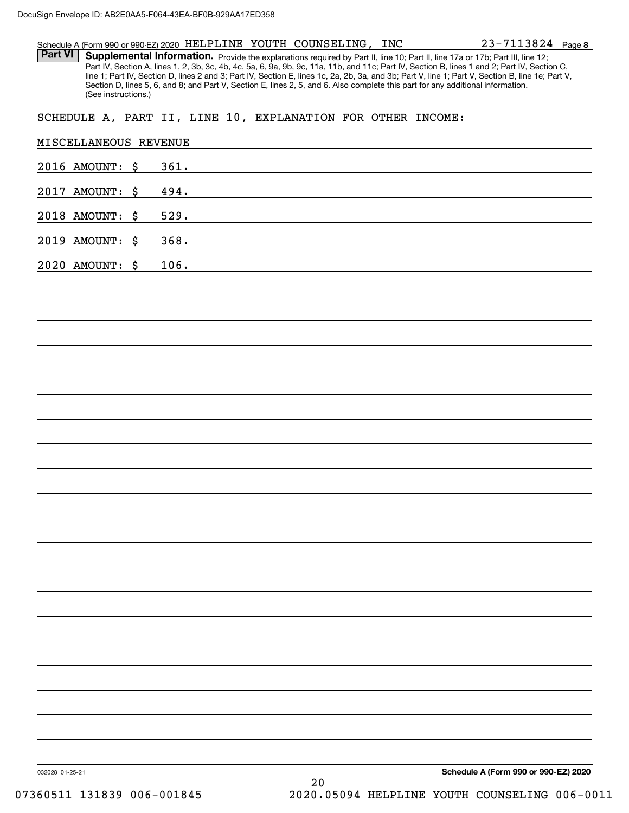## Schedule A (Form 990 or 990-EZ) 2020 <code>HELPLINE YOUTH COUNSELING</code> , <code>INC</code>  $23$   $-7113824$  <code>Page</code>

**8** 23-7113824

Part VI | Supplemental Information. Provide the explanations required by Part II, line 10; Part II, line 17a or 17b; Part III, line 12; Part IV, Section A, lines 1, 2, 3b, 3c, 4b, 4c, 5a, 6, 9a, 9b, 9c, 11a, 11b, and 11c; Part IV, Section B, lines 1 and 2; Part IV, Section C, line 1; Part IV, Section D, lines 2 and 3; Part IV, Section E, lines 1c, 2a, 2b, 3a, and 3b; Part V, line 1; Part V, Section B, line 1e; Part V, Section D, lines 5, 6, and 8; and Part V, Section E, lines 2, 5, and 6. Also complete this part for any additional information. (See instructions.)

## SCHEDULE A, PART II, LINE 10, EXPLANATION FOR OTHER INCOME:

| MISCELLANEOUS REVENUE |      |    | <u> 1989 - Johann Stoff, Amerikaansk politiker († 1908)</u>                                                           |  |                                      |
|-----------------------|------|----|-----------------------------------------------------------------------------------------------------------------------|--|--------------------------------------|
| 2016 AMOUNT: \$       | 361. |    |                                                                                                                       |  |                                      |
| 2017 AMOUNT: \$       | 494. |    | <u> 1989 - Johann Stoff, deutscher Stoff, der Stoff, der Stoff, der Stoff, der Stoff, der Stoff, der Stoff, der S</u> |  |                                      |
| 2018 AMOUNT: \$       | 529. |    | <u> 1989 - Johann Barn, amerikansk politiker (d. 1989)</u>                                                            |  |                                      |
| 2019 AMOUNT: \$       | 368. |    | <u> 1989 - Johann Barn, amerikansk politiker (d. 1989)</u>                                                            |  |                                      |
| 2020 AMOUNT: \$       | 106. |    |                                                                                                                       |  |                                      |
|                       |      |    |                                                                                                                       |  |                                      |
|                       |      |    |                                                                                                                       |  |                                      |
|                       |      |    |                                                                                                                       |  |                                      |
|                       |      |    |                                                                                                                       |  |                                      |
|                       |      |    |                                                                                                                       |  |                                      |
|                       |      |    |                                                                                                                       |  |                                      |
|                       |      |    |                                                                                                                       |  |                                      |
|                       |      |    |                                                                                                                       |  |                                      |
|                       |      |    |                                                                                                                       |  |                                      |
|                       |      |    |                                                                                                                       |  |                                      |
|                       |      |    |                                                                                                                       |  |                                      |
|                       |      |    |                                                                                                                       |  |                                      |
|                       |      |    |                                                                                                                       |  |                                      |
|                       |      |    |                                                                                                                       |  |                                      |
|                       |      |    |                                                                                                                       |  |                                      |
|                       |      |    |                                                                                                                       |  |                                      |
|                       |      |    |                                                                                                                       |  |                                      |
|                       |      |    |                                                                                                                       |  |                                      |
|                       |      |    |                                                                                                                       |  |                                      |
|                       |      |    |                                                                                                                       |  |                                      |
| 032028 01-25-21       |      | 20 |                                                                                                                       |  | Schedule A (Form 990 or 990-EZ) 2020 |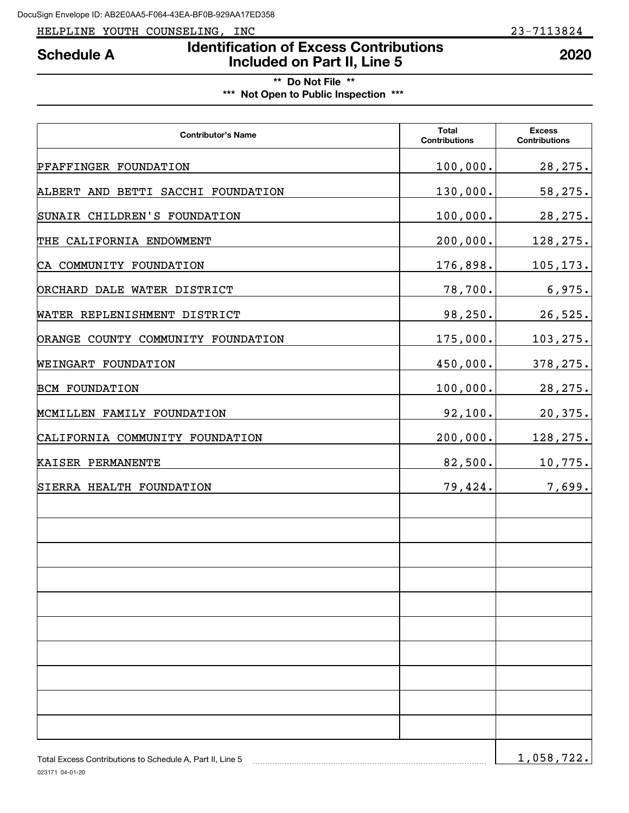HELPLINE YOUTH COUNSELING, INC 23-7113824

## **Identification of Excess Contributions Included on Part II, Line 5 Schedule A 2020**

## **\*\* Do Not File \*\* \*\*\* Not Open to Public Inspection \*\*\***

| <b>Contributor's Name</b>                                 | <b>Total</b><br><b>Contributions</b> | <b>Excess</b><br><b>Contributions</b> |
|-----------------------------------------------------------|--------------------------------------|---------------------------------------|
| PFAFFINGER FOUNDATION                                     | 100,000.                             | 28, 275.                              |
| ALBERT AND BETTI SACCHI FOUNDATION                        | 130,000.                             | 58,275.                               |
| SUNAIR CHILDREN'S FOUNDATION                              | 100,000.                             | 28, 275.                              |
| THE CALIFORNIA ENDOWMENT                                  | 200,000.                             | 128,275.                              |
| CA COMMUNITY FOUNDATION                                   | 176,898.                             | 105, 173.                             |
| ORCHARD DALE WATER DISTRICT                               | 78,700.                              | 6,975.                                |
| WATER REPLENISHMENT DISTRICT                              | 98,250.                              | 26,525.                               |
| ORANGE COUNTY COMMUNITY FOUNDATION                        | 175,000.                             | 103,275.                              |
| WEINGART FOUNDATION                                       | 450,000.                             | 378, 275.                             |
| <b>BCM FOUNDATION</b>                                     | 100,000.                             | 28, 275.                              |
| MCMILLEN FAMILY FOUNDATION                                | 92,100.                              | 20,375.                               |
| CALIFORNIA COMMUNITY FOUNDATION                           | 200,000.                             | 128,275.                              |
| KAISER PERMANENTE                                         | 82,500.                              | 10,775.                               |
| SIERRA HEALTH FOUNDATION                                  | 79,424.                              | 7,699.                                |
|                                                           |                                      |                                       |
|                                                           |                                      |                                       |
|                                                           |                                      |                                       |
|                                                           |                                      |                                       |
|                                                           |                                      |                                       |
|                                                           |                                      |                                       |
|                                                           |                                      |                                       |
|                                                           |                                      |                                       |
|                                                           |                                      |                                       |
|                                                           |                                      |                                       |
| Total Excess Contributions to Schedule A, Part II, Line 5 |                                      | 1,058,722.                            |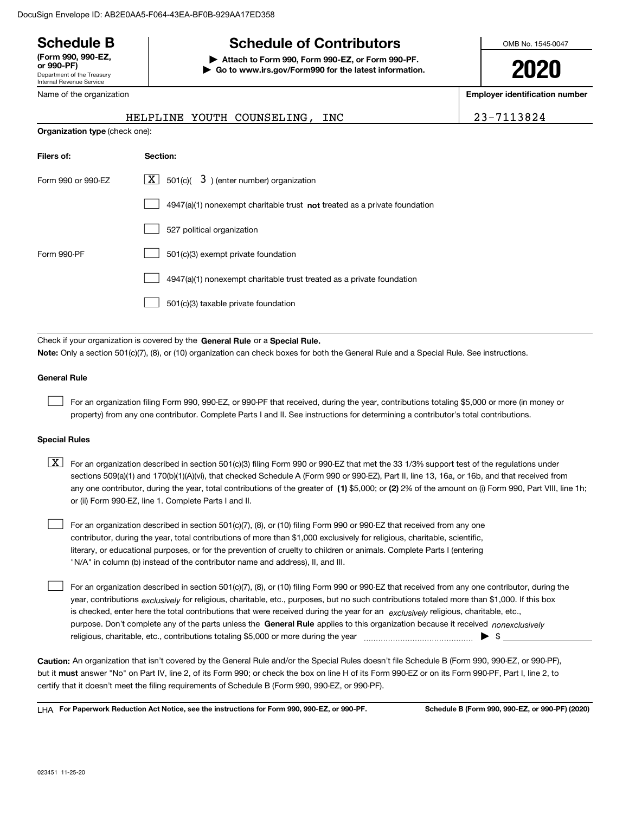**(Form 990, 990-EZ, or 990-PF)**

Department of the Treasury Internal Revenue Service

|  | Name of the organization |
|--|--------------------------|
|  |                          |

# **Schedule B Schedule of Contributors**

**| Attach to Form 990, Form 990-EZ, or Form 990-PF. | Go to www.irs.gov/Form990 for the latest information.** OMB No. 1545-0047

**2020**

**Employer identification number**

|                    | HELPLINE YOUTH COUNSELING, INC                                            | 23-7113824 |  |  |  |  |  |
|--------------------|---------------------------------------------------------------------------|------------|--|--|--|--|--|
|                    | Organization type (check one):                                            |            |  |  |  |  |  |
| Filers of:         | Section:                                                                  |            |  |  |  |  |  |
| Form 990 or 990-EZ | $\boxed{\mathbf{X}}$ 501(c)( 3) (enter number) organization               |            |  |  |  |  |  |
|                    | 4947(a)(1) nonexempt charitable trust not treated as a private foundation |            |  |  |  |  |  |
|                    | 527 political organization                                                |            |  |  |  |  |  |
| Form 990-PF        | 501(c)(3) exempt private foundation                                       |            |  |  |  |  |  |
|                    | 4947(a)(1) nonexempt charitable trust treated as a private foundation     |            |  |  |  |  |  |
|                    | 501(c)(3) taxable private foundation                                      |            |  |  |  |  |  |

Check if your organization is covered by the **General Rule** or a **Special Rule. Note:**  Only a section 501(c)(7), (8), or (10) organization can check boxes for both the General Rule and a Special Rule. See instructions.

### **General Rule**

 $\mathcal{L}^{\text{max}}$ 

For an organization filing Form 990, 990-EZ, or 990-PF that received, during the year, contributions totaling \$5,000 or more (in money or property) from any one contributor. Complete Parts I and II. See instructions for determining a contributor's total contributions.

### **Special Rules**

any one contributor, during the year, total contributions of the greater of  $\,$  (1) \$5,000; or **(2)** 2% of the amount on (i) Form 990, Part VIII, line 1h;  $\boxed{\textbf{X}}$  For an organization described in section 501(c)(3) filing Form 990 or 990-EZ that met the 33 1/3% support test of the regulations under sections 509(a)(1) and 170(b)(1)(A)(vi), that checked Schedule A (Form 990 or 990-EZ), Part II, line 13, 16a, or 16b, and that received from or (ii) Form 990-EZ, line 1. Complete Parts I and II.

For an organization described in section 501(c)(7), (8), or (10) filing Form 990 or 990-EZ that received from any one contributor, during the year, total contributions of more than \$1,000 exclusively for religious, charitable, scientific, literary, or educational purposes, or for the prevention of cruelty to children or animals. Complete Parts I (entering "N/A" in column (b) instead of the contributor name and address), II, and III.  $\mathcal{L}^{\text{max}}$ 

purpose. Don't complete any of the parts unless the **General Rule** applies to this organization because it received *nonexclusively* year, contributions <sub>exclusively</sub> for religious, charitable, etc., purposes, but no such contributions totaled more than \$1,000. If this box is checked, enter here the total contributions that were received during the year for an  $\;$ exclusively religious, charitable, etc., For an organization described in section 501(c)(7), (8), or (10) filing Form 990 or 990-EZ that received from any one contributor, during the religious, charitable, etc., contributions totaling \$5,000 or more during the year  $\Box$ — $\Box$   $\Box$  $\mathcal{L}^{\text{max}}$ 

**Caution:**  An organization that isn't covered by the General Rule and/or the Special Rules doesn't file Schedule B (Form 990, 990-EZ, or 990-PF),  **must** but it answer "No" on Part IV, line 2, of its Form 990; or check the box on line H of its Form 990-EZ or on its Form 990-PF, Part I, line 2, to certify that it doesn't meet the filing requirements of Schedule B (Form 990, 990-EZ, or 990-PF).

**For Paperwork Reduction Act Notice, see the instructions for Form 990, 990-EZ, or 990-PF. Schedule B (Form 990, 990-EZ, or 990-PF) (2020)** LHA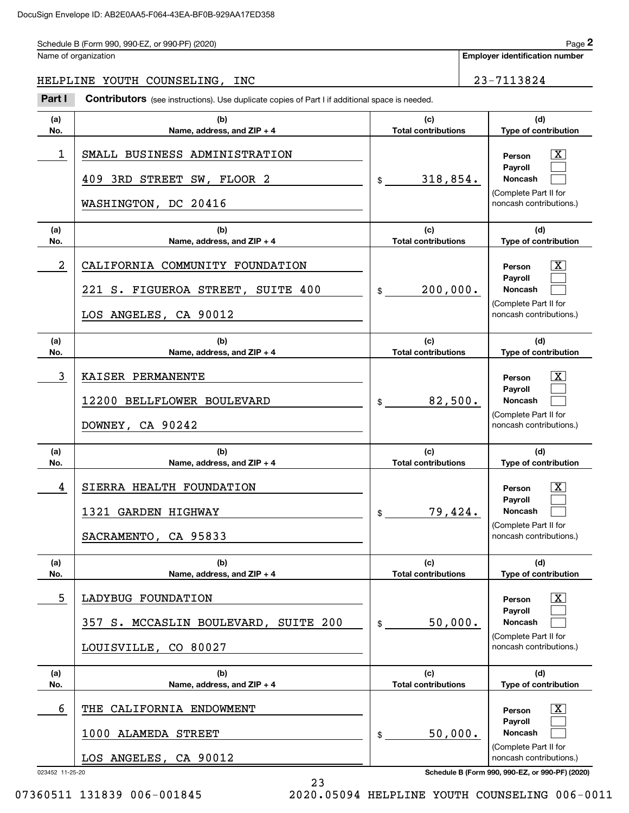Schedule B (Form 990, 990-EZ, or 990-PF) (2020) Page 2

Name of organization

HELPLINE YOUTH COUNSELING, INC 23-7113824

(schedule B (Form 990, 990-EZ, or 990-PF) (2020)<br> **23-7113824**<br> **23-7113824**<br> **23-7113824**<br> **23-7113824**<br> **23-7113824** 

| (b)                                                                                           | (c)                               | (d)                                                                                                         |
|-----------------------------------------------------------------------------------------------|-----------------------------------|-------------------------------------------------------------------------------------------------------------|
| Name, address, and ZIP + 4                                                                    | <b>Total contributions</b>        | Type of contribution                                                                                        |
| SMALL BUSINESS ADMINISTRATION<br>409 3RD STREET SW, FLOOR 2<br>WASHINGTON, DC 20416           | 318,854.<br>\$                    | x<br>Person<br>Payroll<br><b>Noncash</b><br>(Complete Part II for<br>noncash contributions.)                |
| (b)<br>Name, address, and $ZIP + 4$                                                           | (c)<br><b>Total contributions</b> | (d)<br>Type of contribution                                                                                 |
| CALIFORNIA COMMUNITY FOUNDATION<br>221 S. FIGUEROA STREET, SUITE 400<br>LOS ANGELES, CA 90012 | 200,000.<br>\$                    | x<br>Person<br>Payroll<br><b>Noncash</b><br>(Complete Part II for<br>noncash contributions.)                |
| (b)<br>Name, address, and ZIP + 4                                                             | (c)<br><b>Total contributions</b> | (d)<br>Type of contribution                                                                                 |
| KAISER PERMANENTE<br>12200 BELLFLOWER BOULEVARD<br>DOWNEY, CA 90242                           | 82,500.<br>$^{\circ}$             | x<br>Person<br>Payroll<br><b>Noncash</b><br>(Complete Part II for<br>noncash contributions.)                |
| (b)<br>Name, address, and ZIP + 4                                                             | (c)<br><b>Total contributions</b> | (d)<br>Type of contribution                                                                                 |
| SIERRA HEALTH FOUNDATION<br>1321 GARDEN HIGHWAY<br>SACRAMENTO, CA 95833                       | 79,424.<br>\$                     | x<br>Person<br>Payroll<br><b>Noncash</b><br>(Complete Part II for<br>noncash contributions.)                |
| (b)<br>Name, address, and ZIP + 4                                                             | (c)<br><b>Total contributions</b> | (d)<br>Type of contribution                                                                                 |
| LADYBUG FOUNDATION<br>357 S. MCCASLIN BOULEVARD, SUITE 200<br>LOUISVILLE, CO 80027            | 50,000.<br>\$                     | x<br>Person<br>Payroll<br>Noncash<br>(Complete Part II for<br>noncash contributions.)                       |
| (b)<br>Name, address, and ZIP + 4                                                             | (c)<br><b>Total contributions</b> | (d)<br>Type of contribution                                                                                 |
| THE CALIFORNIA ENDOWMENT<br>1000 ALAMEDA STREET<br>LOS ANGELES, CA 90012                      | 50,000.<br>\$                     | $\overline{\mathbf{X}}$<br>Person<br>Payroll<br>Noncash<br>(Complete Part II for<br>noncash contributions.) |
|                                                                                               | 023452 11-25-20                   | Schedule B (Form 990, 990-EZ, or 990-PF) (2020)                                                             |

23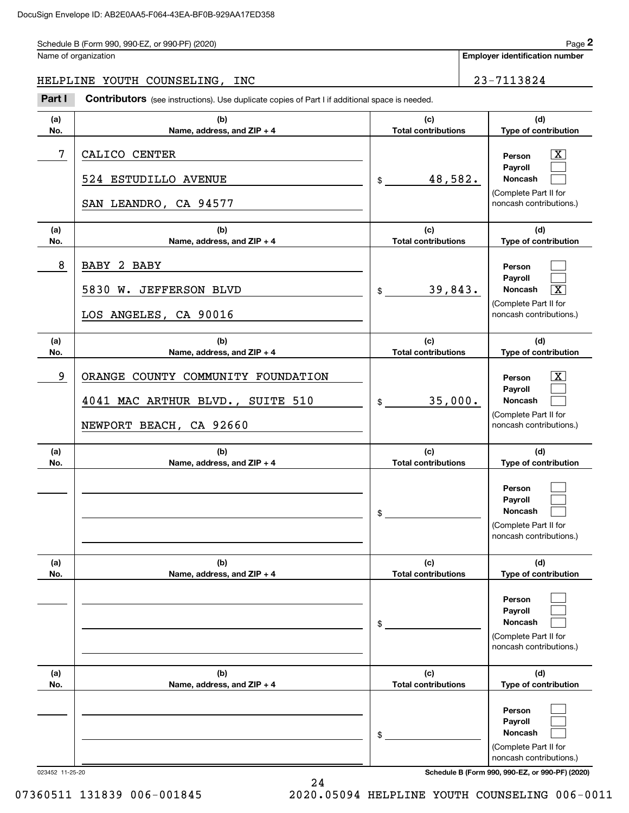Schedule B (Form 990, 990-EZ, or 990-PF) (2020) Page 2

Name of organization

**Employer identification number**

## HELPLINE YOUTH COUNSELING, INC 23-7113824

(schedule B (Form 990, 990-EZ, or 990-PF) (2020)<br> **23-7113824**<br> **23-7113824**<br> **23-7113824**<br> **23-7113824**<br> **23-7113824** 

| (a) | (b)                                                                                               | (c)                        | (d)                                                                                                         |
|-----|---------------------------------------------------------------------------------------------------|----------------------------|-------------------------------------------------------------------------------------------------------------|
| No. | Name, address, and ZIP + 4                                                                        | <b>Total contributions</b> | Type of contribution                                                                                        |
| 7   | CALICO CENTER<br>524 ESTUDILLO AVENUE<br>SAN LEANDRO, CA 94577                                    | 48,582.<br>$\frac{1}{2}$   | $\overline{\mathbf{x}}$<br>Person<br>Payroll<br>Noncash<br>(Complete Part II for<br>noncash contributions.) |
| (a) | (b)                                                                                               | (c)                        | (d)                                                                                                         |
| No. | Name, address, and ZIP + 4                                                                        | <b>Total contributions</b> | Type of contribution                                                                                        |
| 8   | BABY 2 BABY<br>5830 W. JEFFERSON BLVD<br>LOS ANGELES, CA 90016                                    | 39,843.<br>$\mathsf{\$}$   | Person<br>Payroll<br>Noncash<br>$\overline{\mathbf{x}}$<br>(Complete Part II for<br>noncash contributions.) |
| (a) | (b)                                                                                               | (c)                        | (d)                                                                                                         |
| No. | Name, address, and ZIP + 4                                                                        | <b>Total contributions</b> | Type of contribution                                                                                        |
| 9   | ORANGE COUNTY COMMUNITY FOUNDATION<br>4041 MAC ARTHUR BLVD., SUITE 510<br>NEWPORT BEACH, CA 92660 | 35,000.<br>$\frac{1}{2}$   | $\boxed{\text{X}}$<br>Person<br>Payroll<br>Noncash<br>(Complete Part II for<br>noncash contributions.)      |
| (a) | (b)                                                                                               | (c)                        | (d)                                                                                                         |
| No. | Name, address, and ZIP + 4                                                                        | <b>Total contributions</b> | Type of contribution                                                                                        |
|     |                                                                                                   | \$                         | Person<br>Payroll<br>Noncash<br>(Complete Part II for<br>noncash contributions.)                            |
| (a) | (b)                                                                                               | (c)                        | (d)                                                                                                         |
| No. | Name, address, and ZIP + 4                                                                        | <b>Total contributions</b> | Type of contribution                                                                                        |
|     |                                                                                                   | \$                         | Person<br>Payroll<br>Noncash<br>(Complete Part II for<br>noncash contributions.)                            |
| (a) | (b)                                                                                               | (c)                        | (d)                                                                                                         |
| No. | Name, address, and ZIP + 4                                                                        | <b>Total contributions</b> | Type of contribution                                                                                        |
|     |                                                                                                   | \$                         | Person<br>Payroll<br>Noncash<br>(Complete Part II for<br>noncash contributions.)                            |

023452 11-25-20 **Schedule B (Form 990, 990-EZ, or 990-PF) (2020)**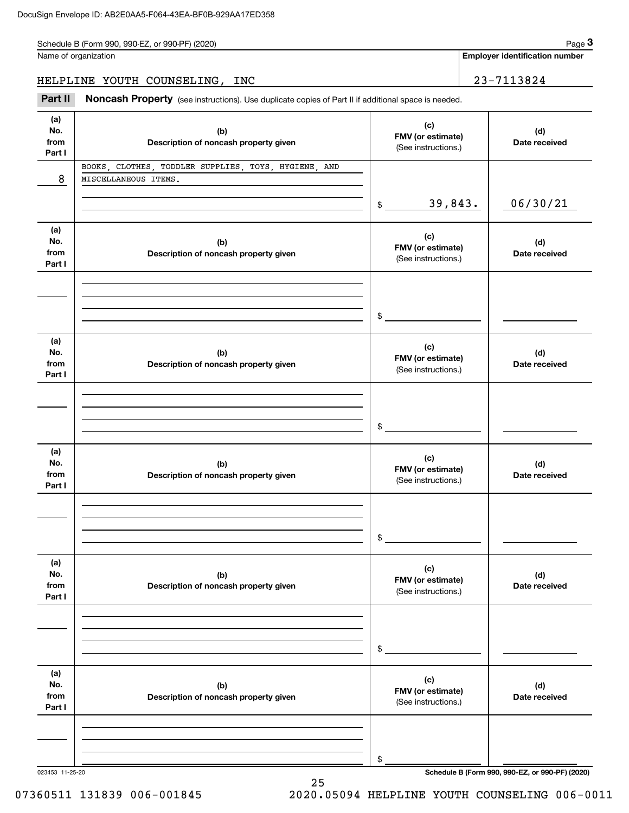| Schedule B (Form 990, 990-EZ, or 990-PF) (2020) | Page |
|-------------------------------------------------|------|
|-------------------------------------------------|------|

Name of organization

**Employer identification number**

## HELPLINE YOUTH COUNSELING, INC | 23-7113824

(see instructions). Use duplicate copies of Part II if additional space is needed.<br> **1999 Employer identification number**<br> **1999 Employer identification number**<br> **1999 Part II Noncash Property** (see instructions). Use du

| (a)<br>No.<br>from<br>Part I | (b)<br>Description of noncash property given                                 | (c)<br>FMV (or estimate)<br>(See instructions.) | (d)<br>Date received                            |
|------------------------------|------------------------------------------------------------------------------|-------------------------------------------------|-------------------------------------------------|
| 8                            | BOOKS, CLOTHES, TODDLER SUPPLIES, TOYS, HYGIENE, AND<br>MISCELLANEOUS ITEMS. |                                                 |                                                 |
|                              |                                                                              | 39,843.<br>$\frac{1}{2}$                        | 06/30/21                                        |
| (a)<br>No.<br>from<br>Part I | (b)<br>Description of noncash property given                                 | (c)<br>FMV (or estimate)<br>(See instructions.) | (d)<br>Date received                            |
|                              |                                                                              | $$\overbrace{\hspace{2.5cm}}$                   |                                                 |
| (a)<br>No.<br>from<br>Part I | (b)<br>Description of noncash property given                                 | (c)<br>FMV (or estimate)<br>(See instructions.) | (d)<br>Date received                            |
|                              |                                                                              | $$\overbrace{\hspace{2.5cm}}$                   |                                                 |
| (a)<br>No.<br>from<br>Part I | (b)<br>Description of noncash property given                                 | (c)<br>FMV (or estimate)<br>(See instructions.) | (d)<br>Date received                            |
|                              |                                                                              | $\frac{1}{2}$                                   |                                                 |
| (a)<br>No.<br>from<br>Part I | (b)<br>Description of noncash property given                                 | (c)<br>FMV (or estimate)<br>(See instructions.) | (d)<br>Date received                            |
|                              |                                                                              | \$                                              |                                                 |
| (a)<br>No.<br>from<br>Part I | (b)<br>Description of noncash property given                                 | (c)<br>FMV (or estimate)<br>(See instructions.) | (d)<br>Date received                            |
|                              |                                                                              | \$                                              |                                                 |
| 023453 11-25-20              |                                                                              |                                                 | Schedule B (Form 990, 990-EZ, or 990-PF) (2020) |

25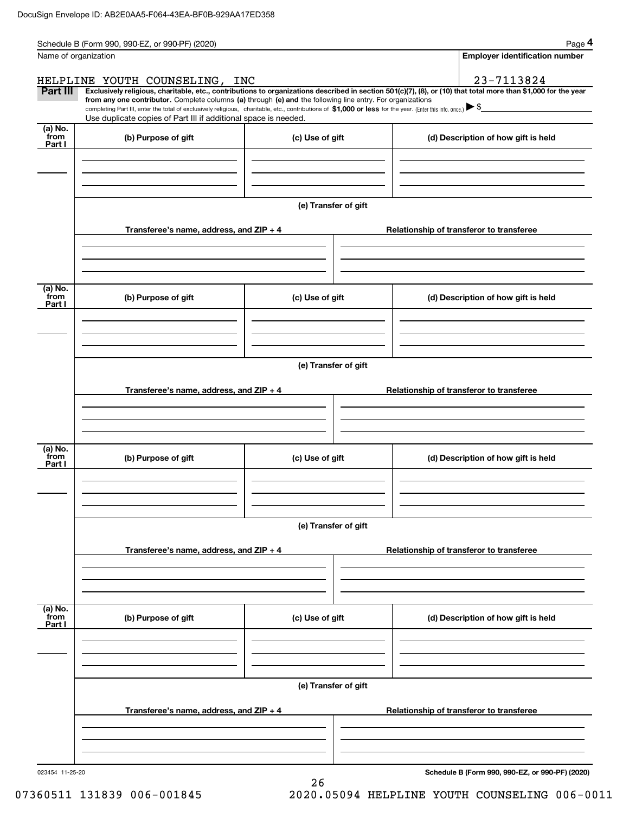|                 | Schedule B (Form 990, 990-EZ, or 990-PF) (2020)                                                                                                                                                                                                                             |                      |  | Page 4                                          |  |  |
|-----------------|-----------------------------------------------------------------------------------------------------------------------------------------------------------------------------------------------------------------------------------------------------------------------------|----------------------|--|-------------------------------------------------|--|--|
|                 | Name of organization                                                                                                                                                                                                                                                        |                      |  | <b>Employer identification number</b>           |  |  |
|                 | HELPLINE YOUTH COUNSELING, INC                                                                                                                                                                                                                                              |                      |  | 23-7113824                                      |  |  |
| Part III        | Exclusively religious, charitable, etc., contributions to organizations described in section 501(c)(7), (8), or (10) that total more than \$1,000 for the year                                                                                                              |                      |  |                                                 |  |  |
|                 | from any one contributor. Complete columns (a) through (e) and the following line entry. For organizations<br>completing Part III, enter the total of exclusively religious, charitable, etc., contributions of \$1,000 or less for the year. (Enter this info. once.) > \$ |                      |  |                                                 |  |  |
| (a) No.         | Use duplicate copies of Part III if additional space is needed.                                                                                                                                                                                                             |                      |  |                                                 |  |  |
| from<br>Part I  | (b) Purpose of gift                                                                                                                                                                                                                                                         | (c) Use of gift      |  | (d) Description of how gift is held             |  |  |
|                 |                                                                                                                                                                                                                                                                             |                      |  |                                                 |  |  |
|                 |                                                                                                                                                                                                                                                                             |                      |  |                                                 |  |  |
|                 |                                                                                                                                                                                                                                                                             |                      |  |                                                 |  |  |
|                 |                                                                                                                                                                                                                                                                             | (e) Transfer of gift |  |                                                 |  |  |
|                 | Transferee's name, address, and ZIP + 4                                                                                                                                                                                                                                     |                      |  | Relationship of transferor to transferee        |  |  |
|                 |                                                                                                                                                                                                                                                                             |                      |  |                                                 |  |  |
|                 |                                                                                                                                                                                                                                                                             |                      |  |                                                 |  |  |
|                 |                                                                                                                                                                                                                                                                             |                      |  |                                                 |  |  |
| (a) No.<br>from | (b) Purpose of gift                                                                                                                                                                                                                                                         | (c) Use of gift      |  | (d) Description of how gift is held             |  |  |
| Part I          |                                                                                                                                                                                                                                                                             |                      |  |                                                 |  |  |
|                 |                                                                                                                                                                                                                                                                             |                      |  |                                                 |  |  |
|                 |                                                                                                                                                                                                                                                                             |                      |  |                                                 |  |  |
|                 |                                                                                                                                                                                                                                                                             | (e) Transfer of gift |  |                                                 |  |  |
|                 |                                                                                                                                                                                                                                                                             |                      |  |                                                 |  |  |
|                 | Transferee's name, address, and ZIP + 4                                                                                                                                                                                                                                     |                      |  | Relationship of transferor to transferee        |  |  |
|                 |                                                                                                                                                                                                                                                                             |                      |  |                                                 |  |  |
|                 |                                                                                                                                                                                                                                                                             |                      |  |                                                 |  |  |
| (a) No.<br>from | (b) Purpose of gift                                                                                                                                                                                                                                                         |                      |  |                                                 |  |  |
| Part I          |                                                                                                                                                                                                                                                                             | (c) Use of gift      |  | (d) Description of how gift is held             |  |  |
|                 |                                                                                                                                                                                                                                                                             |                      |  |                                                 |  |  |
|                 |                                                                                                                                                                                                                                                                             |                      |  |                                                 |  |  |
|                 |                                                                                                                                                                                                                                                                             | (e) Transfer of gift |  |                                                 |  |  |
|                 |                                                                                                                                                                                                                                                                             |                      |  |                                                 |  |  |
|                 | Transferee's name, address, and ZIP + 4                                                                                                                                                                                                                                     |                      |  | Relationship of transferor to transferee        |  |  |
|                 |                                                                                                                                                                                                                                                                             |                      |  |                                                 |  |  |
|                 |                                                                                                                                                                                                                                                                             |                      |  |                                                 |  |  |
| (a) No.         |                                                                                                                                                                                                                                                                             |                      |  |                                                 |  |  |
| from<br>Part I  | (b) Purpose of gift                                                                                                                                                                                                                                                         | (c) Use of gift      |  | (d) Description of how gift is held             |  |  |
|                 |                                                                                                                                                                                                                                                                             |                      |  |                                                 |  |  |
|                 |                                                                                                                                                                                                                                                                             |                      |  |                                                 |  |  |
|                 |                                                                                                                                                                                                                                                                             |                      |  |                                                 |  |  |
|                 |                                                                                                                                                                                                                                                                             | (e) Transfer of gift |  |                                                 |  |  |
|                 | Transferee's name, address, and ZIP + 4                                                                                                                                                                                                                                     |                      |  | Relationship of transferor to transferee        |  |  |
|                 |                                                                                                                                                                                                                                                                             |                      |  |                                                 |  |  |
|                 |                                                                                                                                                                                                                                                                             |                      |  |                                                 |  |  |
|                 |                                                                                                                                                                                                                                                                             |                      |  |                                                 |  |  |
| 023454 11-25-20 |                                                                                                                                                                                                                                                                             | 26                   |  | Schedule B (Form 990, 990-EZ, or 990-PF) (2020) |  |  |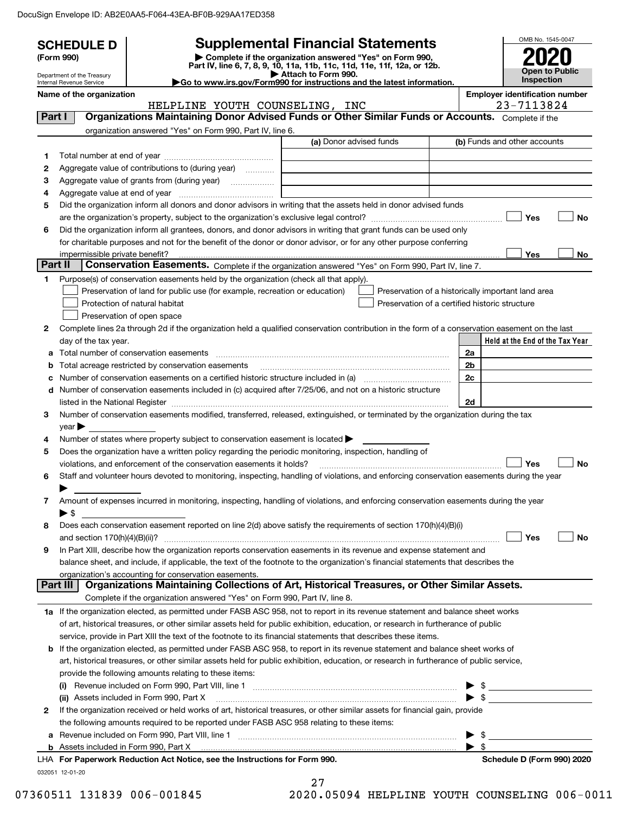DocuSign Envelope ID: AB2E0AA5-F064-43EA-BF0B-929AA17ED358

|         | <b>Supplemental Financial Statements</b><br><b>SCHEDULE D</b>                                               |                                                                                                        |                                                                                                                                                                                                                                                |                                       |                         | OMB No. 1545-0047                   |           |  |
|---------|-------------------------------------------------------------------------------------------------------------|--------------------------------------------------------------------------------------------------------|------------------------------------------------------------------------------------------------------------------------------------------------------------------------------------------------------------------------------------------------|---------------------------------------|-------------------------|-------------------------------------|-----------|--|
|         | (Form 990)                                                                                                  |                                                                                                        | Complete if the organization answered "Yes" on Form 990,<br>Part IV, line 6, 7, 8, 9, 10, 11a, 11b, 11c, 11d, 11e, 11f, 12a, or 12b.                                                                                                           |                                       |                         |                                     |           |  |
|         | Department of the Treasury<br>Internal Revenue Service                                                      |                                                                                                        | Attach to Form 990.<br>Go to www.irs.gov/Form990 for instructions and the latest information.                                                                                                                                                  |                                       |                         | <b>Open to Public</b><br>Inspection |           |  |
|         | Name of the organization                                                                                    |                                                                                                        |                                                                                                                                                                                                                                                | <b>Employer identification number</b> |                         |                                     |           |  |
|         | 23-7113824<br>HELPLINE YOUTH COUNSELING, INC                                                                |                                                                                                        |                                                                                                                                                                                                                                                |                                       |                         |                                     |           |  |
|         | Organizations Maintaining Donor Advised Funds or Other Similar Funds or Accounts. Complete if the<br>Part I |                                                                                                        |                                                                                                                                                                                                                                                |                                       |                         |                                     |           |  |
|         |                                                                                                             | organization answered "Yes" on Form 990, Part IV, line 6.                                              | (a) Donor advised funds                                                                                                                                                                                                                        |                                       |                         | (b) Funds and other accounts        |           |  |
| 1       |                                                                                                             |                                                                                                        |                                                                                                                                                                                                                                                |                                       |                         |                                     |           |  |
| 2       |                                                                                                             | Aggregate value of contributions to (during year)                                                      |                                                                                                                                                                                                                                                |                                       |                         |                                     |           |  |
| З       |                                                                                                             |                                                                                                        |                                                                                                                                                                                                                                                |                                       |                         |                                     |           |  |
| 4       |                                                                                                             |                                                                                                        |                                                                                                                                                                                                                                                |                                       |                         |                                     |           |  |
| 5       |                                                                                                             |                                                                                                        | Did the organization inform all donors and donor advisors in writing that the assets held in donor advised funds                                                                                                                               |                                       |                         |                                     |           |  |
|         |                                                                                                             |                                                                                                        |                                                                                                                                                                                                                                                |                                       |                         | Yes                                 | No        |  |
| 6       |                                                                                                             |                                                                                                        | Did the organization inform all grantees, donors, and donor advisors in writing that grant funds can be used only                                                                                                                              |                                       |                         |                                     |           |  |
|         |                                                                                                             |                                                                                                        | for charitable purposes and not for the benefit of the donor or donor advisor, or for any other purpose conferring                                                                                                                             |                                       |                         |                                     |           |  |
|         | impermissible private benefit?                                                                              |                                                                                                        |                                                                                                                                                                                                                                                |                                       |                         | Yes                                 | No        |  |
| Part II |                                                                                                             |                                                                                                        | Conservation Easements. Complete if the organization answered "Yes" on Form 990, Part IV, line 7.                                                                                                                                              |                                       |                         |                                     |           |  |
| 1       |                                                                                                             | Purpose(s) of conservation easements held by the organization (check all that apply).                  |                                                                                                                                                                                                                                                |                                       |                         |                                     |           |  |
|         |                                                                                                             | Preservation of land for public use (for example, recreation or education)                             | Preservation of a historically important land area                                                                                                                                                                                             |                                       |                         |                                     |           |  |
|         |                                                                                                             | Protection of natural habitat                                                                          | Preservation of a certified historic structure                                                                                                                                                                                                 |                                       |                         |                                     |           |  |
| 2       | Preservation of open space                                                                                  |                                                                                                        | Complete lines 2a through 2d if the organization held a qualified conservation contribution in the form of a conservation easement on the last                                                                                                 |                                       |                         |                                     |           |  |
|         | day of the tax year.                                                                                        |                                                                                                        |                                                                                                                                                                                                                                                |                                       |                         | Held at the End of the Tax Year     |           |  |
| а       |                                                                                                             |                                                                                                        |                                                                                                                                                                                                                                                |                                       | 2a                      |                                     |           |  |
| b       |                                                                                                             | Total acreage restricted by conservation easements                                                     |                                                                                                                                                                                                                                                |                                       | 2b                      |                                     |           |  |
| с       |                                                                                                             |                                                                                                        | Number of conservation easements on a certified historic structure included in (a) manufacture included in (a)                                                                                                                                 |                                       | 2c                      |                                     |           |  |
|         |                                                                                                             |                                                                                                        | d Number of conservation easements included in (c) acquired after 7/25/06, and not on a historic structure                                                                                                                                     |                                       |                         |                                     |           |  |
|         |                                                                                                             |                                                                                                        | listed in the National Register [111] Marshall Register [11] Marshall Register [11] Marshall Register [11] Marshall Register [11] Marshall Register [11] Marshall Register [11] Marshall Register [11] Marshall Register [11]                  |                                       | 2d                      |                                     |           |  |
| 3       |                                                                                                             |                                                                                                        | Number of conservation easements modified, transferred, released, extinguished, or terminated by the organization during the tax                                                                                                               |                                       |                         |                                     |           |  |
|         | $year \blacktriangleright$                                                                                  |                                                                                                        |                                                                                                                                                                                                                                                |                                       |                         |                                     |           |  |
| 4       |                                                                                                             | Number of states where property subject to conservation easement is located                            |                                                                                                                                                                                                                                                |                                       |                         |                                     |           |  |
| 5       |                                                                                                             | Does the organization have a written policy regarding the periodic monitoring, inspection, handling of |                                                                                                                                                                                                                                                |                                       |                         |                                     |           |  |
|         |                                                                                                             | violations, and enforcement of the conservation easements it holds?                                    |                                                                                                                                                                                                                                                |                                       |                         | Yes                                 | <b>No</b> |  |
| 6       |                                                                                                             |                                                                                                        | Staff and volunteer hours devoted to monitoring, inspecting, handling of violations, and enforcing conservation easements during the year                                                                                                      |                                       |                         |                                     |           |  |
|         |                                                                                                             |                                                                                                        | Amount of expenses incurred in monitoring, inspecting, handling of violations, and enforcing conservation easements during the year                                                                                                            |                                       |                         |                                     |           |  |
| 7       | $\blacktriangleright$ \$                                                                                    |                                                                                                        |                                                                                                                                                                                                                                                |                                       |                         |                                     |           |  |
| 8       |                                                                                                             |                                                                                                        | Does each conservation easement reported on line 2(d) above satisfy the requirements of section 170(h)(4)(B)(i)                                                                                                                                |                                       |                         |                                     |           |  |
|         |                                                                                                             |                                                                                                        |                                                                                                                                                                                                                                                |                                       |                         | Yes                                 | No        |  |
| 9       |                                                                                                             |                                                                                                        | In Part XIII, describe how the organization reports conservation easements in its revenue and expense statement and                                                                                                                            |                                       |                         |                                     |           |  |
|         |                                                                                                             |                                                                                                        | balance sheet, and include, if applicable, the text of the footnote to the organization's financial statements that describes the                                                                                                              |                                       |                         |                                     |           |  |
|         |                                                                                                             | organization's accounting for conservation easements.                                                  |                                                                                                                                                                                                                                                |                                       |                         |                                     |           |  |
|         | Part III                                                                                                    |                                                                                                        | Organizations Maintaining Collections of Art, Historical Treasures, or Other Similar Assets.                                                                                                                                                   |                                       |                         |                                     |           |  |
|         |                                                                                                             | Complete if the organization answered "Yes" on Form 990, Part IV, line 8.                              |                                                                                                                                                                                                                                                |                                       |                         |                                     |           |  |
|         |                                                                                                             |                                                                                                        | 1a If the organization elected, as permitted under FASB ASC 958, not to report in its revenue statement and balance sheet works                                                                                                                |                                       |                         |                                     |           |  |
|         |                                                                                                             |                                                                                                        | of art, historical treasures, or other similar assets held for public exhibition, education, or research in furtherance of public                                                                                                              |                                       |                         |                                     |           |  |
|         |                                                                                                             |                                                                                                        | service, provide in Part XIII the text of the footnote to its financial statements that describes these items.                                                                                                                                 |                                       |                         |                                     |           |  |
|         |                                                                                                             |                                                                                                        | <b>b</b> If the organization elected, as permitted under FASB ASC 958, to report in its revenue statement and balance sheet works of                                                                                                           |                                       |                         |                                     |           |  |
|         |                                                                                                             |                                                                                                        | art, historical treasures, or other similar assets held for public exhibition, education, or research in furtherance of public service,                                                                                                        |                                       |                         |                                     |           |  |
|         |                                                                                                             | provide the following amounts relating to these items:                                                 |                                                                                                                                                                                                                                                |                                       |                         |                                     |           |  |
|         |                                                                                                             |                                                                                                        |                                                                                                                                                                                                                                                |                                       |                         | $\blacktriangleright$ \$            |           |  |
| 2       |                                                                                                             |                                                                                                        | (ii) Assets included in Form 990, Part X [11] [2000] [2010] Assets included in Form 990, Part X [11] [11] [200<br>If the organization received or held works of art, historical treasures, or other similar assets for financial gain, provide |                                       |                         |                                     |           |  |
|         |                                                                                                             | the following amounts required to be reported under FASB ASC 958 relating to these items:              |                                                                                                                                                                                                                                                |                                       |                         |                                     |           |  |
| a       |                                                                                                             |                                                                                                        |                                                                                                                                                                                                                                                |                                       |                         | $\blacktriangleright$ \$            |           |  |
|         |                                                                                                             |                                                                                                        |                                                                                                                                                                                                                                                |                                       | $\blacktriangleright$ s |                                     |           |  |
|         |                                                                                                             | LHA For Paperwork Reduction Act Notice, see the Instructions for Form 990.                             |                                                                                                                                                                                                                                                |                                       |                         | Schedule D (Form 990) 2020          |           |  |
|         | 032051 12-01-20                                                                                             |                                                                                                        |                                                                                                                                                                                                                                                |                                       |                         |                                     |           |  |
|         |                                                                                                             |                                                                                                        | 27                                                                                                                                                                                                                                             |                                       |                         |                                     |           |  |

 <sup>07360511 131839 006-001845 2020.05094</sup> HELPLINE YOUTH COUNSELING 006-0011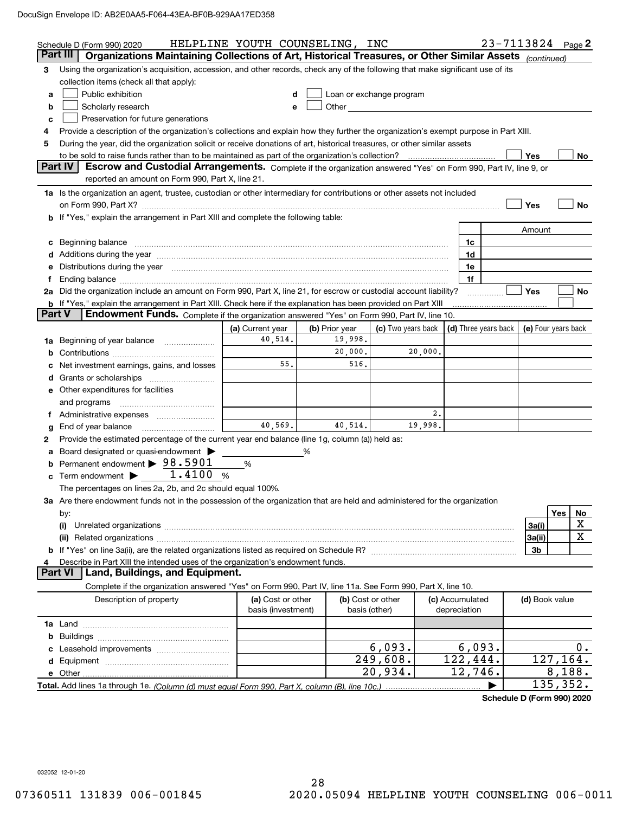DocuSign Envelope ID: AB2E0AA5-F064-43EA-BF0B-929AA17ED358

|        | Schedule D (Form 990) 2020                                                                                                                                                                                                     | HELPLINE YOUTH COUNSELING, INC |                |                                                                                                                                                                                                                                |                 | $23 - 7113824$ Page 2      |                |     |          |
|--------|--------------------------------------------------------------------------------------------------------------------------------------------------------------------------------------------------------------------------------|--------------------------------|----------------|--------------------------------------------------------------------------------------------------------------------------------------------------------------------------------------------------------------------------------|-----------------|----------------------------|----------------|-----|----------|
|        | Part III<br>Organizations Maintaining Collections of Art, Historical Treasures, or Other Similar Assets (continued)                                                                                                            |                                |                |                                                                                                                                                                                                                                |                 |                            |                |     |          |
| 3      | Using the organization's acquisition, accession, and other records, check any of the following that make significant use of its                                                                                                |                                |                |                                                                                                                                                                                                                                |                 |                            |                |     |          |
|        | collection items (check all that apply):                                                                                                                                                                                       |                                |                |                                                                                                                                                                                                                                |                 |                            |                |     |          |
| a      | Public exhibition                                                                                                                                                                                                              | d                              |                | Loan or exchange program                                                                                                                                                                                                       |                 |                            |                |     |          |
| b      | Scholarly research                                                                                                                                                                                                             | e                              |                | Other and the control of the control of the control of the control of the control of the control of the control of the control of the control of the control of the control of the control of the control of the control of th |                 |                            |                |     |          |
| c      | Preservation for future generations                                                                                                                                                                                            |                                |                |                                                                                                                                                                                                                                |                 |                            |                |     |          |
| 4      | Provide a description of the organization's collections and explain how they further the organization's exempt purpose in Part XIII.                                                                                           |                                |                |                                                                                                                                                                                                                                |                 |                            |                |     |          |
| 5      | During the year, did the organization solicit or receive donations of art, historical treasures, or other similar assets                                                                                                       |                                |                |                                                                                                                                                                                                                                |                 |                            |                |     |          |
|        |                                                                                                                                                                                                                                |                                |                |                                                                                                                                                                                                                                |                 |                            | Yes            |     | No       |
|        | <b>Part IV</b><br>Escrow and Custodial Arrangements. Complete if the organization answered "Yes" on Form 990, Part IV, line 9, or                                                                                              |                                |                |                                                                                                                                                                                                                                |                 |                            |                |     |          |
|        | reported an amount on Form 990, Part X, line 21.                                                                                                                                                                               |                                |                |                                                                                                                                                                                                                                |                 |                            |                |     |          |
|        | 1a Is the organization an agent, trustee, custodian or other intermediary for contributions or other assets not included                                                                                                       |                                |                |                                                                                                                                                                                                                                |                 |                            |                |     |          |
|        |                                                                                                                                                                                                                                |                                |                |                                                                                                                                                                                                                                |                 |                            | Yes            |     | No       |
|        | <b>b</b> If "Yes," explain the arrangement in Part XIII and complete the following table:                                                                                                                                      |                                |                |                                                                                                                                                                                                                                |                 |                            |                |     |          |
|        |                                                                                                                                                                                                                                |                                |                |                                                                                                                                                                                                                                |                 |                            | Amount         |     |          |
| c      | Beginning balance                                                                                                                                                                                                              |                                |                |                                                                                                                                                                                                                                |                 | 1c                         |                |     |          |
|        |                                                                                                                                                                                                                                |                                |                |                                                                                                                                                                                                                                |                 | 1d                         |                |     |          |
| е      | Distributions during the year manufactured and continuum control of the year manufactured and the year manufactured and the year manufactured and the year manufactured and the year manufactured and the year manufactured an |                                |                |                                                                                                                                                                                                                                |                 | 1e                         |                |     |          |
| f      |                                                                                                                                                                                                                                |                                |                |                                                                                                                                                                                                                                |                 | 1f                         |                |     |          |
|        | 2a Did the organization include an amount on Form 990, Part X, line 21, for escrow or custodial account liability?                                                                                                             |                                |                |                                                                                                                                                                                                                                |                 |                            | Yes            |     | No       |
|        | <b>b</b> If "Yes," explain the arrangement in Part XIII. Check here if the explanation has been provided on Part XIII                                                                                                          |                                |                |                                                                                                                                                                                                                                |                 |                            |                |     |          |
| Part V | Endowment Funds. Complete if the organization answered "Yes" on Form 990, Part IV, line 10.                                                                                                                                    |                                |                |                                                                                                                                                                                                                                |                 |                            |                |     |          |
|        |                                                                                                                                                                                                                                | (a) Current year               | (b) Prior year | (c) Two years back $\vert$ (d) Three years back $\vert$ (e) Four years back                                                                                                                                                    |                 |                            |                |     |          |
|        |                                                                                                                                                                                                                                | 40,514.                        | 19,998.        |                                                                                                                                                                                                                                |                 |                            |                |     |          |
|        | <b>1a</b> Beginning of year balance                                                                                                                                                                                            |                                | 20,000.        | 20,000.                                                                                                                                                                                                                        |                 |                            |                |     |          |
| b      |                                                                                                                                                                                                                                | 55.                            | 516.           |                                                                                                                                                                                                                                |                 |                            |                |     |          |
| с      | Net investment earnings, gains, and losses                                                                                                                                                                                     |                                |                |                                                                                                                                                                                                                                |                 |                            |                |     |          |
| d      | Grants or scholarships                                                                                                                                                                                                         |                                |                |                                                                                                                                                                                                                                |                 |                            |                |     |          |
|        | e Other expenditures for facilities                                                                                                                                                                                            |                                |                |                                                                                                                                                                                                                                |                 |                            |                |     |          |
|        | and programs                                                                                                                                                                                                                   |                                |                |                                                                                                                                                                                                                                |                 |                            |                |     |          |
|        |                                                                                                                                                                                                                                |                                |                | 2.                                                                                                                                                                                                                             |                 |                            |                |     |          |
| g      | End of year balance                                                                                                                                                                                                            | 40,569.                        | 40,514.        | 19,998.                                                                                                                                                                                                                        |                 |                            |                |     |          |
| 2      | Provide the estimated percentage of the current year end balance (line 1g, column (a)) held as:                                                                                                                                |                                |                |                                                                                                                                                                                                                                |                 |                            |                |     |          |
| a      | Board designated or quasi-endowment                                                                                                                                                                                            |                                | %              |                                                                                                                                                                                                                                |                 |                            |                |     |          |
|        | <b>b</b> Permanent endowment $\triangleright$ 98.5901                                                                                                                                                                          | %                              |                |                                                                                                                                                                                                                                |                 |                            |                |     |          |
|        | c Term endowment $\blacktriangleright$ 1.4100 %                                                                                                                                                                                |                                |                |                                                                                                                                                                                                                                |                 |                            |                |     |          |
|        | The percentages on lines 2a, 2b, and 2c should equal 100%.                                                                                                                                                                     |                                |                |                                                                                                                                                                                                                                |                 |                            |                |     |          |
|        | 3a Are there endowment funds not in the possession of the organization that are held and administered for the organization                                                                                                     |                                |                |                                                                                                                                                                                                                                |                 |                            |                |     |          |
|        | by:                                                                                                                                                                                                                            |                                |                |                                                                                                                                                                                                                                |                 |                            |                | Yes | No       |
|        |                                                                                                                                                                                                                                |                                |                |                                                                                                                                                                                                                                |                 |                            | 3a(i)          |     | X        |
|        |                                                                                                                                                                                                                                |                                |                |                                                                                                                                                                                                                                |                 |                            | 3a(ii)         |     | X        |
|        |                                                                                                                                                                                                                                |                                |                |                                                                                                                                                                                                                                |                 |                            | 3 <sub>b</sub> |     |          |
| 4      | Describe in Part XIII the intended uses of the organization's endowment funds.                                                                                                                                                 |                                |                |                                                                                                                                                                                                                                |                 |                            |                |     |          |
|        | Land, Buildings, and Equipment.<br><b>Part VI</b>                                                                                                                                                                              |                                |                |                                                                                                                                                                                                                                |                 |                            |                |     |          |
|        | Complete if the organization answered "Yes" on Form 990, Part IV, line 11a. See Form 990, Part X, line 10.                                                                                                                     |                                |                |                                                                                                                                                                                                                                |                 |                            |                |     |          |
|        | Description of property                                                                                                                                                                                                        | (a) Cost or other              |                | (b) Cost or other                                                                                                                                                                                                              | (c) Accumulated |                            | (d) Book value |     |          |
|        |                                                                                                                                                                                                                                | basis (investment)             |                | basis (other)                                                                                                                                                                                                                  | depreciation    |                            |                |     |          |
|        |                                                                                                                                                                                                                                |                                |                |                                                                                                                                                                                                                                |                 |                            |                |     |          |
|        |                                                                                                                                                                                                                                |                                |                |                                                                                                                                                                                                                                |                 |                            |                |     |          |
|        |                                                                                                                                                                                                                                |                                |                | 6,093.                                                                                                                                                                                                                         |                 | 6,093.                     |                |     | 0.       |
|        |                                                                                                                                                                                                                                |                                |                | 249,608.                                                                                                                                                                                                                       |                 | 122,444.                   |                |     | 127,164. |
|        |                                                                                                                                                                                                                                |                                |                | 20,934.                                                                                                                                                                                                                        |                 | 12,746.                    |                |     | 8,188.   |
|        |                                                                                                                                                                                                                                |                                |                |                                                                                                                                                                                                                                |                 |                            |                |     | 135,352. |
|        |                                                                                                                                                                                                                                |                                |                |                                                                                                                                                                                                                                |                 | Schedule D (Form 990) 2020 |                |     |          |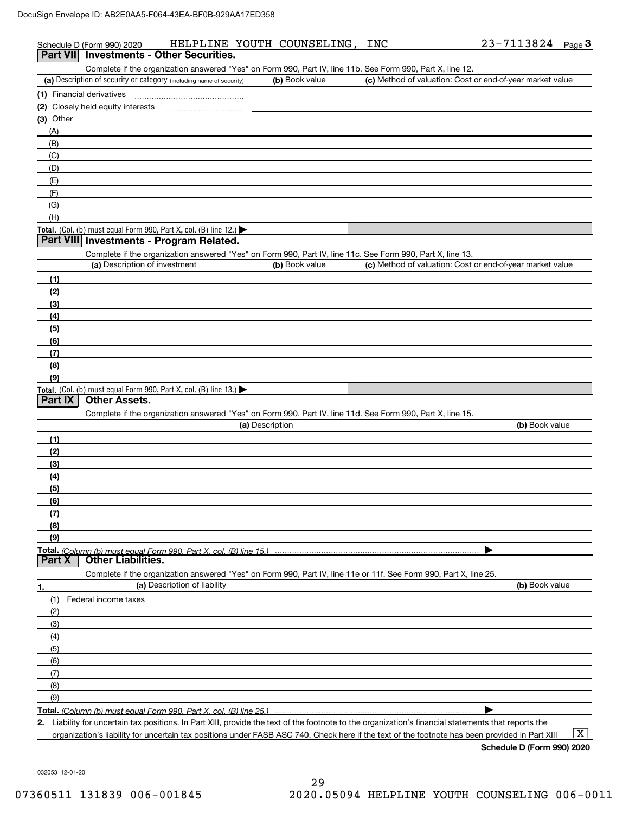|                 | Schedule D (Form 990) 2020                                                                                                                  |                 | HELPLINE YOUTH COUNSELING, | INC | $23 - 7113824$ Page 3                                     |  |
|-----------------|---------------------------------------------------------------------------------------------------------------------------------------------|-----------------|----------------------------|-----|-----------------------------------------------------------|--|
| <b>Part VII</b> | <b>Investments - Other Securities.</b>                                                                                                      |                 |                            |     |                                                           |  |
|                 | Complete if the organization answered "Yes" on Form 990, Part IV, line 11b. See Form 990, Part X, line 12.                                  |                 |                            |     |                                                           |  |
|                 | (a) Description of security or category (including name of security)                                                                        |                 | (b) Book value             |     | (c) Method of valuation: Cost or end-of-year market value |  |
|                 | (1) Financial derivatives                                                                                                                   |                 |                            |     |                                                           |  |
|                 |                                                                                                                                             |                 |                            |     |                                                           |  |
| (3) Other       |                                                                                                                                             |                 |                            |     |                                                           |  |
| (A)             |                                                                                                                                             |                 |                            |     |                                                           |  |
| (B)             |                                                                                                                                             |                 |                            |     |                                                           |  |
| (C)             |                                                                                                                                             |                 |                            |     |                                                           |  |
| (D)             |                                                                                                                                             |                 |                            |     |                                                           |  |
| (E)             |                                                                                                                                             |                 |                            |     |                                                           |  |
| (F)             |                                                                                                                                             |                 |                            |     |                                                           |  |
| (G)             |                                                                                                                                             |                 |                            |     |                                                           |  |
| (H)             |                                                                                                                                             |                 |                            |     |                                                           |  |
|                 | Total. (Col. (b) must equal Form 990, Part X, col. (B) line 12.)<br>Part VIII Investments - Program Related.                                |                 |                            |     |                                                           |  |
|                 |                                                                                                                                             |                 |                            |     |                                                           |  |
|                 | Complete if the organization answered "Yes" on Form 990, Part IV, line 11c. See Form 990, Part X, line 13.<br>(a) Description of investment |                 | (b) Book value             |     | (c) Method of valuation: Cost or end-of-year market value |  |
|                 |                                                                                                                                             |                 |                            |     |                                                           |  |
| (1)             |                                                                                                                                             |                 |                            |     |                                                           |  |
| (2)             |                                                                                                                                             |                 |                            |     |                                                           |  |
| (3)             |                                                                                                                                             |                 |                            |     |                                                           |  |
| (4)             |                                                                                                                                             |                 |                            |     |                                                           |  |
| (5)             |                                                                                                                                             |                 |                            |     |                                                           |  |
| (6)             |                                                                                                                                             |                 |                            |     |                                                           |  |
| (7)             |                                                                                                                                             |                 |                            |     |                                                           |  |
| (8)<br>(9)      |                                                                                                                                             |                 |                            |     |                                                           |  |
|                 | Total. (Col. (b) must equal Form 990, Part X, col. (B) line 13.)                                                                            |                 |                            |     |                                                           |  |
| <b>Part IX</b>  | <b>Other Assets.</b>                                                                                                                        |                 |                            |     |                                                           |  |
|                 | Complete if the organization answered "Yes" on Form 990, Part IV, line 11d. See Form 990, Part X, line 15.                                  |                 |                            |     |                                                           |  |
|                 |                                                                                                                                             | (a) Description |                            |     | (b) Book value                                            |  |
| (1)             |                                                                                                                                             |                 |                            |     |                                                           |  |
| (2)             |                                                                                                                                             |                 |                            |     |                                                           |  |
| (3)             |                                                                                                                                             |                 |                            |     |                                                           |  |
| (4)             |                                                                                                                                             |                 |                            |     |                                                           |  |
| (5)             |                                                                                                                                             |                 |                            |     |                                                           |  |
| (6)             |                                                                                                                                             |                 |                            |     |                                                           |  |
| (7)             |                                                                                                                                             |                 |                            |     |                                                           |  |
| (8)             |                                                                                                                                             |                 |                            |     |                                                           |  |
| (9)             |                                                                                                                                             |                 |                            |     |                                                           |  |
|                 | Total. (Column (b) must equal Form 990. Part X, col. (B) line 15.)                                                                          |                 |                            |     |                                                           |  |
| Part X          | <b>Other Liabilities.</b>                                                                                                                   |                 |                            |     |                                                           |  |
|                 | Complete if the organization answered "Yes" on Form 990, Part IV, line 11e or 11f. See Form 990, Part X, line 25.                           |                 |                            |     |                                                           |  |
| 1.              | (a) Description of liability                                                                                                                |                 |                            |     | (b) Book value                                            |  |
| (1)             | Federal income taxes                                                                                                                        |                 |                            |     |                                                           |  |
| (2)             |                                                                                                                                             |                 |                            |     |                                                           |  |
| (3)             |                                                                                                                                             |                 |                            |     |                                                           |  |
| (4)             |                                                                                                                                             |                 |                            |     |                                                           |  |
| (5)             |                                                                                                                                             |                 |                            |     |                                                           |  |
| (6)             |                                                                                                                                             |                 |                            |     |                                                           |  |
| (7)             |                                                                                                                                             |                 |                            |     |                                                           |  |
| (8)             |                                                                                                                                             |                 |                            |     |                                                           |  |
| (9)             |                                                                                                                                             |                 |                            |     |                                                           |  |
|                 | Total. (Column (b) must equal Form 990, Part X, col. (B) line 25.)                                                                          |                 |                            |     |                                                           |  |

**2.** Liability for uncertain tax positions. In Part XIII, provide the text of the footnote to the organization's financial statements that reports the organization's liability for uncertain tax positions under FASB ASC 740. Check here if the text of the footnote has been provided in Part XIII

**Schedule D (Form 990) 2020**

 $\boxed{\text{X}}$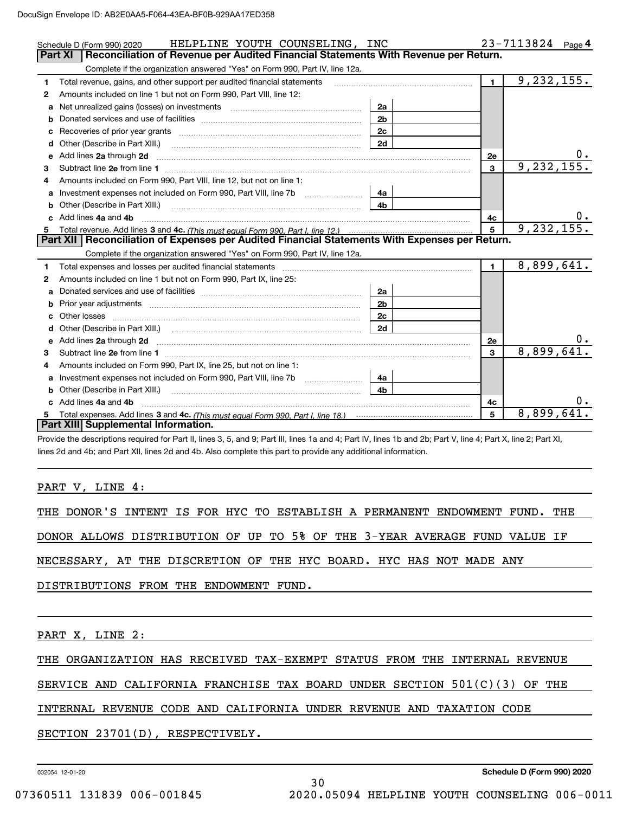|    | HELPLINE YOUTH COUNSELING, INC<br>Schedule D (Form 990) 2020                                                                                                                                                                   |                |                | 23-7113824 Page 4 |
|----|--------------------------------------------------------------------------------------------------------------------------------------------------------------------------------------------------------------------------------|----------------|----------------|-------------------|
|    | Reconciliation of Revenue per Audited Financial Statements With Revenue per Return.<br><b>Part XI</b>                                                                                                                          |                |                |                   |
|    | Complete if the organization answered "Yes" on Form 990, Part IV, line 12a.                                                                                                                                                    |                |                |                   |
| 1  | Total revenue, gains, and other support per audited financial statements                                                                                                                                                       |                | 1 <sup>1</sup> | 9, 232, 155.      |
| 2  | Amounts included on line 1 but not on Form 990, Part VIII, line 12:                                                                                                                                                            |                |                |                   |
| a  |                                                                                                                                                                                                                                | 2a             |                |                   |
| b  |                                                                                                                                                                                                                                | 2 <sub>b</sub> |                |                   |
| c  |                                                                                                                                                                                                                                | 2c             |                |                   |
| d  | Other (Describe in Part XIII.)                                                                                                                                                                                                 | 2d             |                |                   |
| е  | Add lines 2a through 2d <b>must be a constructed as the constant of the constant of the constant of the construction</b>                                                                                                       |                | <b>2e</b>      |                   |
| 3  |                                                                                                                                                                                                                                |                | $\mathbf{3}$   | 9, 232, 155.      |
|    | Amounts included on Form 990, Part VIII, line 12, but not on line 1:                                                                                                                                                           |                |                |                   |
| a  | Investment expenses not included on Form 990, Part VIII, line 7b [1000000000000000000000000000000000                                                                                                                           | 4a             |                |                   |
| b  | Other (Describe in Part XIII.)                                                                                                                                                                                                 | 4 <sub>b</sub> |                |                   |
|    | Add lines 4a and 4b                                                                                                                                                                                                            |                | 4c             |                   |
| 5  |                                                                                                                                                                                                                                |                | 5              | 9, 232, 155.      |
|    |                                                                                                                                                                                                                                |                |                |                   |
|    | Part XII   Reconciliation of Expenses per Audited Financial Statements With Expenses per Return.                                                                                                                               |                |                |                   |
|    | Complete if the organization answered "Yes" on Form 990, Part IV, line 12a.                                                                                                                                                    |                |                |                   |
| 1  |                                                                                                                                                                                                                                |                | $\mathbf{1}$   | 8,899,641.        |
| 2  | Amounts included on line 1 but not on Form 990, Part IX, line 25:                                                                                                                                                              |                |                |                   |
| a  |                                                                                                                                                                                                                                | 2a             |                |                   |
| b  |                                                                                                                                                                                                                                | 2 <sub>b</sub> |                |                   |
|    |                                                                                                                                                                                                                                | 2c             |                |                   |
|    | Other (Describe in Part XIII.) (2000) (2000) (2000) (2000) (2000) (2000) (2000) (2000) (2000) (2000) (2000) (2000) (2000) (2000) (2000) (2000) (2000) (2000) (2000) (2000) (2000) (2000) (2000) (2000) (2000) (2000) (2000) (2 | 2d             |                |                   |
| e  |                                                                                                                                                                                                                                |                | 2e             |                   |
| З. |                                                                                                                                                                                                                                |                | 3              | 8,899,641         |
| 4  | Amounts included on Form 990, Part IX, line 25, but not on line 1:                                                                                                                                                             |                |                |                   |
| a  | Investment expenses not included on Form 990, Part VIII, line 7b [1000000000000000000000000000000000                                                                                                                           | 4a             |                |                   |
| b  |                                                                                                                                                                                                                                | 4b             |                |                   |
|    | Add lines 4a and 4b                                                                                                                                                                                                            |                | 4с             |                   |
|    | Part XIII Supplemental Information.                                                                                                                                                                                            |                | 5              | 8,899,641         |

Provide the descriptions required for Part II, lines 3, 5, and 9; Part III, lines 1a and 4; Part IV, lines 1b and 2b; Part V, line 4; Part X, line 2; Part XI, lines 2d and 4b; and Part XII, lines 2d and 4b. Also complete this part to provide any additional information.

PART V, LINE 4:

THE DONOR'S INTENT IS FOR HYC TO ESTABLISH A PERMANENT ENDOWMENT FUND. THE

DONOR ALLOWS DISTRIBUTION OF UP TO 5% OF THE 3-YEAR AVERAGE FUND VALUE IF

NECESSARY, AT THE DISCRETION OF THE HYC BOARD. HYC HAS NOT MADE ANY

DISTRIBUTIONS FROM THE ENDOWMENT FUND.

PART X, LINE 2:

THE ORGANIZATION HAS RECEIVED TAX-EXEMPT STATUS FROM THE INTERNAL REVENUE

SERVICE AND CALIFORNIA FRANCHISE TAX BOARD UNDER SECTION 501(C)(3) OF THE

30

INTERNAL REVENUE CODE AND CALIFORNIA UNDER REVENUE AND TAXATION CODE

SECTION 23701(D), RESPECTIVELY.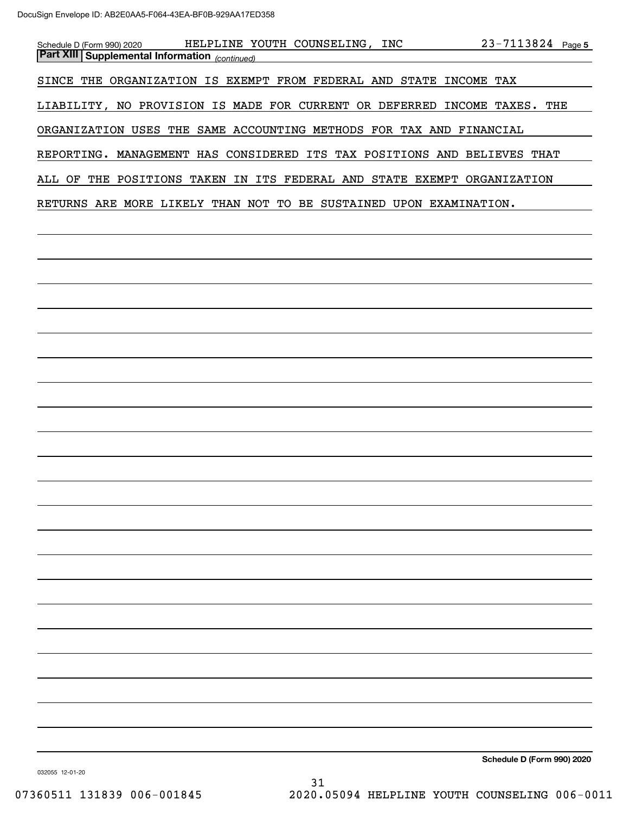| $23 - 7113824$ Page 5<br>HELPLINE YOUTH COUNSELING, INC<br>Schedule D (Form 990) 2020<br><b>Part XIII Supplemental Information</b> (continued) |
|------------------------------------------------------------------------------------------------------------------------------------------------|
| SINCE THE ORGANIZATION IS EXEMPT FROM FEDERAL AND STATE INCOME TAX                                                                             |
| LIABILITY, NO PROVISION IS MADE FOR CURRENT OR DEFERRED INCOME TAXES. THE                                                                      |
| ORGANIZATION USES THE SAME ACCOUNTING METHODS FOR TAX AND FINANCIAL                                                                            |
| REPORTING. MANAGEMENT HAS CONSIDERED ITS TAX POSITIONS AND BELIEVES THAT                                                                       |
| ALL OF THE POSITIONS TAKEN IN ITS FEDERAL AND STATE EXEMPT ORGANIZATION                                                                        |
| RETURNS ARE MORE LIKELY THAN NOT TO BE SUSTAINED UPON EXAMINATION.                                                                             |
|                                                                                                                                                |
|                                                                                                                                                |
|                                                                                                                                                |
|                                                                                                                                                |
|                                                                                                                                                |
|                                                                                                                                                |
|                                                                                                                                                |
|                                                                                                                                                |
|                                                                                                                                                |
|                                                                                                                                                |
|                                                                                                                                                |
|                                                                                                                                                |
|                                                                                                                                                |
|                                                                                                                                                |
|                                                                                                                                                |
|                                                                                                                                                |
|                                                                                                                                                |
|                                                                                                                                                |
|                                                                                                                                                |
|                                                                                                                                                |
|                                                                                                                                                |
| Schedule D (Form 990) 2020                                                                                                                     |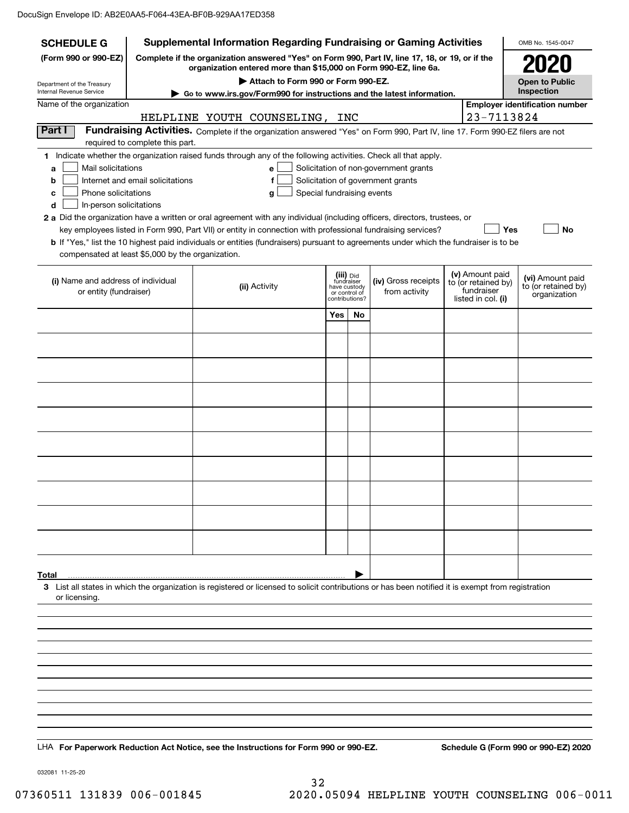| <b>SCHEDULE G</b>                                            | <b>Supplemental Information Regarding Fundraising or Gaming Activities</b>                                                                                          |                                                                                                                                                    |                                                                            |    |                                       |  |                                                                            | OMB No. 1545-0047                                       |  |
|--------------------------------------------------------------|---------------------------------------------------------------------------------------------------------------------------------------------------------------------|----------------------------------------------------------------------------------------------------------------------------------------------------|----------------------------------------------------------------------------|----|---------------------------------------|--|----------------------------------------------------------------------------|---------------------------------------------------------|--|
| (Form 990 or 990-EZ)                                         | Complete if the organization answered "Yes" on Form 990, Part IV, line 17, 18, or 19, or if the<br>organization entered more than \$15,000 on Form 990-EZ, line 6a. |                                                                                                                                                    |                                                                            |    |                                       |  |                                                                            |                                                         |  |
| Department of the Treasury<br>Internal Revenue Service       | Go to www.irs.gov/Form990 for instructions and the latest information.                                                                                              |                                                                                                                                                    | <b>Open to Public</b><br>Inspection                                        |    |                                       |  |                                                                            |                                                         |  |
| Name of the organization                                     | <b>Employer identification number</b>                                                                                                                               |                                                                                                                                                    |                                                                            |    |                                       |  |                                                                            |                                                         |  |
|                                                              | 23-7113824                                                                                                                                                          |                                                                                                                                                    |                                                                            |    |                                       |  |                                                                            |                                                         |  |
| Part I                                                       | required to complete this part.                                                                                                                                     | Fundraising Activities. Complete if the organization answered "Yes" on Form 990, Part IV, line 17. Form 990-EZ filers are not                      |                                                                            |    |                                       |  |                                                                            |                                                         |  |
|                                                              |                                                                                                                                                                     | 1 Indicate whether the organization raised funds through any of the following activities. Check all that apply.                                    |                                                                            |    |                                       |  |                                                                            |                                                         |  |
| Mail solicitations<br>a                                      |                                                                                                                                                                     | е                                                                                                                                                  |                                                                            |    | Solicitation of non-government grants |  |                                                                            |                                                         |  |
| b                                                            | Internet and email solicitations                                                                                                                                    | f                                                                                                                                                  |                                                                            |    | Solicitation of government grants     |  |                                                                            |                                                         |  |
| Phone solicitations<br>c                                     |                                                                                                                                                                     | Special fundraising events<br>g                                                                                                                    |                                                                            |    |                                       |  |                                                                            |                                                         |  |
| In-person solicitations<br>d                                 |                                                                                                                                                                     | 2 a Did the organization have a written or oral agreement with any individual (including officers, directors, trustees, or                         |                                                                            |    |                                       |  |                                                                            |                                                         |  |
|                                                              |                                                                                                                                                                     | key employees listed in Form 990, Part VII) or entity in connection with professional fundraising services?                                        |                                                                            |    |                                       |  | Yes                                                                        | <b>No</b>                                               |  |
|                                                              |                                                                                                                                                                     | <b>b</b> If "Yes," list the 10 highest paid individuals or entities (fundraisers) pursuant to agreements under which the fundraiser is to be       |                                                                            |    |                                       |  |                                                                            |                                                         |  |
| compensated at least \$5,000 by the organization.            |                                                                                                                                                                     |                                                                                                                                                    |                                                                            |    |                                       |  |                                                                            |                                                         |  |
|                                                              |                                                                                                                                                                     |                                                                                                                                                    |                                                                            |    |                                       |  |                                                                            |                                                         |  |
| (i) Name and address of individual<br>or entity (fundraiser) |                                                                                                                                                                     | (ii) Activity                                                                                                                                      | (iii) Did<br>fundraiser<br>have custody<br>or control of<br>contributions? |    | (iv) Gross receipts<br>from activity  |  | (v) Amount paid<br>to (or retained by)<br>fundraiser<br>listed in col. (i) | (vi) Amount paid<br>to (or retained by)<br>organization |  |
|                                                              |                                                                                                                                                                     |                                                                                                                                                    | Yes                                                                        | No |                                       |  |                                                                            |                                                         |  |
|                                                              |                                                                                                                                                                     |                                                                                                                                                    |                                                                            |    |                                       |  |                                                                            |                                                         |  |
|                                                              |                                                                                                                                                                     |                                                                                                                                                    |                                                                            |    |                                       |  |                                                                            |                                                         |  |
|                                                              |                                                                                                                                                                     |                                                                                                                                                    |                                                                            |    |                                       |  |                                                                            |                                                         |  |
|                                                              |                                                                                                                                                                     |                                                                                                                                                    |                                                                            |    |                                       |  |                                                                            |                                                         |  |
|                                                              |                                                                                                                                                                     |                                                                                                                                                    |                                                                            |    |                                       |  |                                                                            |                                                         |  |
|                                                              |                                                                                                                                                                     |                                                                                                                                                    |                                                                            |    |                                       |  |                                                                            |                                                         |  |
|                                                              |                                                                                                                                                                     |                                                                                                                                                    |                                                                            |    |                                       |  |                                                                            |                                                         |  |
|                                                              |                                                                                                                                                                     |                                                                                                                                                    |                                                                            |    |                                       |  |                                                                            |                                                         |  |
|                                                              |                                                                                                                                                                     |                                                                                                                                                    |                                                                            |    |                                       |  |                                                                            |                                                         |  |
|                                                              |                                                                                                                                                                     |                                                                                                                                                    |                                                                            |    |                                       |  |                                                                            |                                                         |  |
| Total                                                        |                                                                                                                                                                     | 3 List all states in which the organization is registered or licensed to solicit contributions or has been notified it is exempt from registration |                                                                            |    |                                       |  |                                                                            |                                                         |  |
| or licensing.                                                |                                                                                                                                                                     |                                                                                                                                                    |                                                                            |    |                                       |  |                                                                            |                                                         |  |
|                                                              |                                                                                                                                                                     |                                                                                                                                                    |                                                                            |    |                                       |  |                                                                            |                                                         |  |
|                                                              |                                                                                                                                                                     |                                                                                                                                                    |                                                                            |    |                                       |  |                                                                            |                                                         |  |
|                                                              |                                                                                                                                                                     |                                                                                                                                                    |                                                                            |    |                                       |  |                                                                            |                                                         |  |
|                                                              |                                                                                                                                                                     |                                                                                                                                                    |                                                                            |    |                                       |  |                                                                            |                                                         |  |
|                                                              |                                                                                                                                                                     |                                                                                                                                                    |                                                                            |    |                                       |  |                                                                            |                                                         |  |
|                                                              |                                                                                                                                                                     | LHA For Paperwork Reduction Act Notice, see the Instructions for Form 990 or 990-EZ.                                                               |                                                                            |    |                                       |  |                                                                            | Schedule G (Form 990 or 990-EZ) 2020                    |  |

032081 11-25-20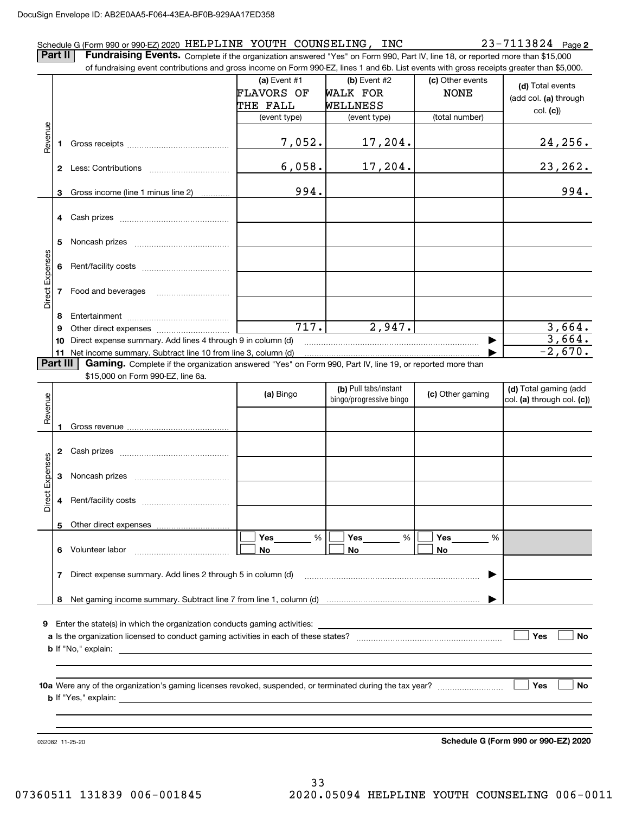## Schedule G (Form 990 or 990-EZ) 2020 <code>HELPLINE YOUTH COUNSELING</code> , <code>INC</code>  $23$   $-7113824$  <code>Page</code>

**Part II** | Fundraising Events. Complete if the organization answered "Yes" on Form 990, Part IV, line 18, or reported more than \$15,000 of fundraising event contributions and gross income on Form 990-EZ, lines 1 and 6b. List events with gross receipts greater than \$5,000.

**2**

|                 |              | of fundraising event contributions and gross income on Form 990-EZ, lines 1 and 6b. List events with gross receipts greater than \$5,000. |                    |                         |                  |                                      |
|-----------------|--------------|-------------------------------------------------------------------------------------------------------------------------------------------|--------------------|-------------------------|------------------|--------------------------------------|
|                 |              |                                                                                                                                           | (a) Event $#1$     | $(b)$ Event #2          | (c) Other events | (d) Total events                     |
|                 |              |                                                                                                                                           | FLAVORS OF         | WALK FOR                | <b>NONE</b>      | (add col. (a) through                |
|                 |              |                                                                                                                                           | THE FALL           | WELLNESS                |                  | col. (c)                             |
|                 |              |                                                                                                                                           | (event type)       | (event type)            | (total number)   |                                      |
| Revenue         |              |                                                                                                                                           |                    |                         |                  |                                      |
|                 | 1.           |                                                                                                                                           | 7,052.             | 17,204.                 |                  | <u>24,256.</u>                       |
|                 |              |                                                                                                                                           | 6,058.             | 17,204.                 |                  | 23, 262.                             |
|                 |              |                                                                                                                                           |                    |                         |                  |                                      |
|                 | 3            | Gross income (line 1 minus line 2)                                                                                                        | 994.               |                         |                  | 994.                                 |
|                 |              |                                                                                                                                           |                    |                         |                  |                                      |
|                 |              |                                                                                                                                           |                    |                         |                  |                                      |
|                 |              |                                                                                                                                           |                    |                         |                  |                                      |
|                 | 5            |                                                                                                                                           |                    |                         |                  |                                      |
| Direct Expenses | 6            |                                                                                                                                           |                    |                         |                  |                                      |
|                 |              |                                                                                                                                           |                    |                         |                  |                                      |
|                 | 7            | Food and beverages                                                                                                                        |                    |                         |                  |                                      |
|                 |              |                                                                                                                                           |                    |                         |                  |                                      |
|                 | 8            |                                                                                                                                           |                    |                         |                  |                                      |
|                 | 9            |                                                                                                                                           | $\overline{717}$ . | 2,947.                  |                  | 3,664.                               |
|                 | 10           | Direct expense summary. Add lines 4 through 9 in column (d)                                                                               |                    |                         | ▶                | 3,664.                               |
|                 |              | 11 Net income summary. Subtract line 10 from line 3, column (d)                                                                           |                    |                         |                  | $-2,670.$                            |
|                 | Part III     | Gaming. Complete if the organization answered "Yes" on Form 990, Part IV, line 19, or reported more than                                  |                    |                         |                  |                                      |
|                 |              | \$15,000 on Form 990-EZ, line 6a.                                                                                                         |                    |                         |                  |                                      |
|                 |              |                                                                                                                                           | (a) Bingo          | (b) Pull tabs/instant   | (c) Other gaming | (d) Total gaming (add                |
| Revenue         |              |                                                                                                                                           |                    | bingo/progressive bingo |                  | col. (a) through col. (c))           |
|                 |              |                                                                                                                                           |                    |                         |                  |                                      |
|                 | 1            |                                                                                                                                           |                    |                         |                  |                                      |
|                 |              |                                                                                                                                           |                    |                         |                  |                                      |
|                 | 2            |                                                                                                                                           |                    |                         |                  |                                      |
|                 | 3            |                                                                                                                                           |                    |                         |                  |                                      |
|                 |              |                                                                                                                                           |                    |                         |                  |                                      |
| Direct Expenses | 4            |                                                                                                                                           |                    |                         |                  |                                      |
|                 |              |                                                                                                                                           |                    |                         |                  |                                      |
|                 |              | 5 Other direct expenses                                                                                                                   |                    |                         |                  |                                      |
|                 |              |                                                                                                                                           | %<br>Yes           | Yes<br>%                | Yes<br>%         |                                      |
|                 |              | 6 Volunteer labor                                                                                                                         | No                 | No                      | No               |                                      |
|                 |              |                                                                                                                                           |                    |                         |                  |                                      |
|                 | $\mathbf{7}$ | Direct expense summary. Add lines 2 through 5 in column (d)                                                                               |                    |                         |                  |                                      |
|                 |              |                                                                                                                                           |                    |                         |                  |                                      |
|                 |              |                                                                                                                                           |                    |                         |                  |                                      |
|                 |              |                                                                                                                                           |                    |                         |                  |                                      |
|                 |              | <b>9</b> Enter the state(s) in which the organization conducts gaming activities:                                                         |                    |                         |                  |                                      |
|                 |              |                                                                                                                                           |                    |                         |                  | Yes<br><b>No</b>                     |
|                 |              | <b>b</b> If "No," explain:                                                                                                                |                    |                         |                  |                                      |
|                 |              |                                                                                                                                           |                    |                         |                  |                                      |
|                 |              |                                                                                                                                           |                    |                         |                  |                                      |
|                 |              |                                                                                                                                           |                    |                         |                  | Yes<br>No                            |
|                 |              | <b>b</b> If "Yes," explain: <b>b</b> If "Yes," explain:                                                                                   |                    |                         |                  |                                      |
|                 |              |                                                                                                                                           |                    |                         |                  |                                      |
|                 |              |                                                                                                                                           |                    |                         |                  |                                      |
|                 |              | 032082 11-25-20                                                                                                                           |                    |                         |                  | Schedule G (Form 990 or 990-EZ) 2020 |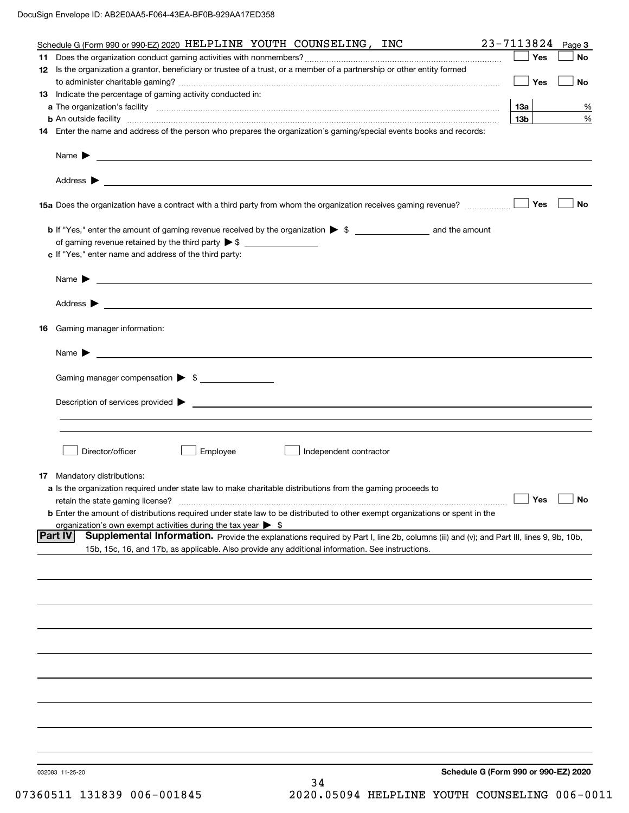|     | Schedule G (Form 990 or 990-EZ) 2020 HELPLINE YOUTH COUNSELING, INC                                                                                                                                                                       | 23-7113824 Page 3 |           |
|-----|-------------------------------------------------------------------------------------------------------------------------------------------------------------------------------------------------------------------------------------------|-------------------|-----------|
| 11. |                                                                                                                                                                                                                                           | Yes               | No        |
|     | 12 Is the organization a grantor, beneficiary or trustee of a trust, or a member of a partnership or other entity formed                                                                                                                  |                   |           |
|     |                                                                                                                                                                                                                                           | Yes               | No        |
|     | 13 Indicate the percentage of gaming activity conducted in:                                                                                                                                                                               |                   |           |
|     |                                                                                                                                                                                                                                           | <u>13a</u>        | %         |
|     | <b>b</b> An outside facility <b>contained and the contract of the contract of the contract of the contract of the contract of the contract of the contract of the contract of the contract of the contract of the contract of the con</b> | 13 <sub>b</sub>   | $\%$      |
|     | 14 Enter the name and address of the person who prepares the organization's gaming/special events books and records:                                                                                                                      |                   |           |
|     |                                                                                                                                                                                                                                           |                   |           |
|     |                                                                                                                                                                                                                                           |                   |           |
|     |                                                                                                                                                                                                                                           |                   |           |
|     | 15a Does the organization have a contract with a third party from whom the organization receives gaming revenue?                                                                                                                          | Yes               | <b>No</b> |
|     |                                                                                                                                                                                                                                           |                   |           |
|     |                                                                                                                                                                                                                                           |                   |           |
|     |                                                                                                                                                                                                                                           |                   |           |
|     | c If "Yes," enter name and address of the third party:                                                                                                                                                                                    |                   |           |
|     |                                                                                                                                                                                                                                           |                   |           |
|     | Name $\blacktriangleright$ $\_\_$                                                                                                                                                                                                         |                   |           |
|     |                                                                                                                                                                                                                                           |                   |           |
|     |                                                                                                                                                                                                                                           |                   |           |
|     |                                                                                                                                                                                                                                           |                   |           |
| 16  | Gaming manager information:                                                                                                                                                                                                               |                   |           |
|     |                                                                                                                                                                                                                                           |                   |           |
|     | Name $\blacktriangleright$ $\frac{1}{\sqrt{1-\frac{1}{2}}\left(1-\frac{1}{2}\right)}$                                                                                                                                                     |                   |           |
|     |                                                                                                                                                                                                                                           |                   |           |
|     | Gaming manager compensation > \$                                                                                                                                                                                                          |                   |           |
|     |                                                                                                                                                                                                                                           |                   |           |
|     |                                                                                                                                                                                                                                           |                   |           |
|     |                                                                                                                                                                                                                                           |                   |           |
|     |                                                                                                                                                                                                                                           |                   |           |
|     |                                                                                                                                                                                                                                           |                   |           |
|     | Director/officer<br>Employee<br>Independent contractor                                                                                                                                                                                    |                   |           |
|     |                                                                                                                                                                                                                                           |                   |           |
|     |                                                                                                                                                                                                                                           |                   |           |
|     | <b>17</b> Mandatory distributions:                                                                                                                                                                                                        |                   |           |
|     | a Is the organization required under state law to make charitable distributions from the gaming proceeds to                                                                                                                               |                   |           |
|     | $\Box$ Yes $\Box$ No<br>retain the state gaming license?                                                                                                                                                                                  |                   |           |
|     | <b>b</b> Enter the amount of distributions required under state law to be distributed to other exempt organizations or spent in the                                                                                                       |                   |           |
|     | organization's own exempt activities during the tax year $\triangleright$ \$                                                                                                                                                              |                   |           |
|     | <b>Part IV</b><br>Supplemental Information. Provide the explanations required by Part I, line 2b, columns (iii) and (v); and Part III, lines 9, 9b, 10b,                                                                                  |                   |           |
|     | 15b, 15c, 16, and 17b, as applicable. Also provide any additional information. See instructions.                                                                                                                                          |                   |           |
|     |                                                                                                                                                                                                                                           |                   |           |
|     |                                                                                                                                                                                                                                           |                   |           |
|     |                                                                                                                                                                                                                                           |                   |           |
|     |                                                                                                                                                                                                                                           |                   |           |
|     |                                                                                                                                                                                                                                           |                   |           |
|     |                                                                                                                                                                                                                                           |                   |           |
|     |                                                                                                                                                                                                                                           |                   |           |
|     |                                                                                                                                                                                                                                           |                   |           |
|     |                                                                                                                                                                                                                                           |                   |           |
|     |                                                                                                                                                                                                                                           |                   |           |
|     |                                                                                                                                                                                                                                           |                   |           |
|     |                                                                                                                                                                                                                                           |                   |           |
|     |                                                                                                                                                                                                                                           |                   |           |
|     |                                                                                                                                                                                                                                           |                   |           |
|     |                                                                                                                                                                                                                                           |                   |           |
|     |                                                                                                                                                                                                                                           |                   |           |
|     |                                                                                                                                                                                                                                           |                   |           |
|     |                                                                                                                                                                                                                                           |                   |           |
|     | Schedule G (Form 990 or 990-EZ) 2020<br>032083 11-25-20                                                                                                                                                                                   |                   |           |
|     | 34                                                                                                                                                                                                                                        |                   |           |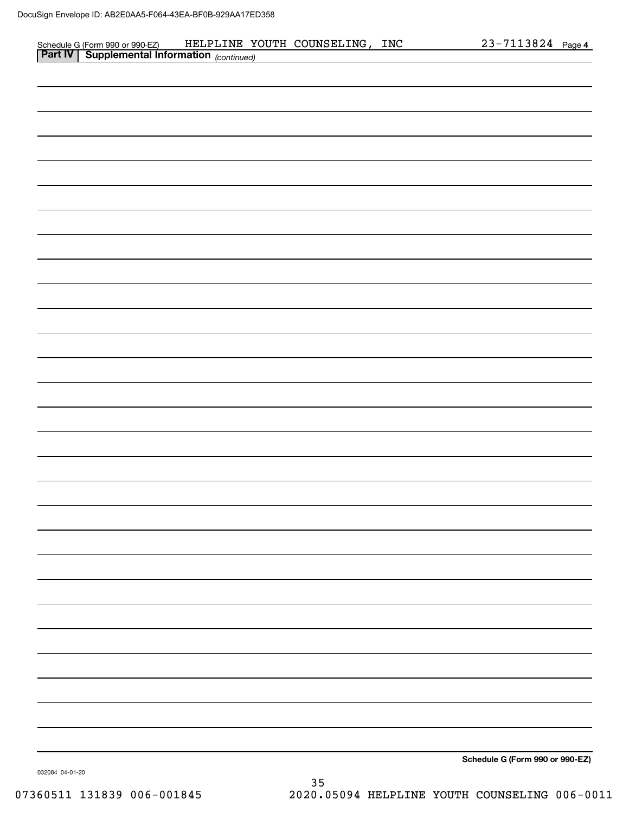|                                                                                            |  | HELPLINE YOUTH COUNSELING, INC | 23-7113824 Page 4               |  |
|--------------------------------------------------------------------------------------------|--|--------------------------------|---------------------------------|--|
| Schedule G (Form 990 or 990-EZ) HELPLINE Y<br>Part IV Supplemental Information (continued) |  |                                |                                 |  |
|                                                                                            |  |                                |                                 |  |
|                                                                                            |  |                                |                                 |  |
|                                                                                            |  |                                |                                 |  |
|                                                                                            |  |                                |                                 |  |
|                                                                                            |  |                                |                                 |  |
|                                                                                            |  |                                |                                 |  |
|                                                                                            |  |                                |                                 |  |
|                                                                                            |  |                                |                                 |  |
|                                                                                            |  |                                |                                 |  |
|                                                                                            |  |                                |                                 |  |
|                                                                                            |  |                                |                                 |  |
|                                                                                            |  |                                |                                 |  |
|                                                                                            |  |                                |                                 |  |
|                                                                                            |  |                                |                                 |  |
|                                                                                            |  |                                |                                 |  |
|                                                                                            |  |                                |                                 |  |
|                                                                                            |  |                                |                                 |  |
|                                                                                            |  |                                |                                 |  |
|                                                                                            |  |                                |                                 |  |
|                                                                                            |  |                                |                                 |  |
|                                                                                            |  |                                |                                 |  |
|                                                                                            |  |                                |                                 |  |
|                                                                                            |  |                                |                                 |  |
|                                                                                            |  |                                |                                 |  |
|                                                                                            |  |                                |                                 |  |
|                                                                                            |  |                                |                                 |  |
|                                                                                            |  |                                |                                 |  |
|                                                                                            |  |                                |                                 |  |
|                                                                                            |  |                                |                                 |  |
|                                                                                            |  |                                |                                 |  |
|                                                                                            |  |                                |                                 |  |
|                                                                                            |  |                                |                                 |  |
|                                                                                            |  |                                |                                 |  |
|                                                                                            |  |                                |                                 |  |
|                                                                                            |  |                                |                                 |  |
|                                                                                            |  |                                |                                 |  |
|                                                                                            |  |                                |                                 |  |
|                                                                                            |  |                                |                                 |  |
|                                                                                            |  |                                |                                 |  |
|                                                                                            |  |                                |                                 |  |
|                                                                                            |  |                                |                                 |  |
|                                                                                            |  |                                |                                 |  |
|                                                                                            |  |                                |                                 |  |
|                                                                                            |  |                                |                                 |  |
|                                                                                            |  |                                |                                 |  |
|                                                                                            |  |                                |                                 |  |
|                                                                                            |  |                                |                                 |  |
|                                                                                            |  |                                |                                 |  |
|                                                                                            |  |                                |                                 |  |
|                                                                                            |  |                                |                                 |  |
|                                                                                            |  |                                | Schedule G (Form 990 or 990-EZ) |  |

032084 04-01-20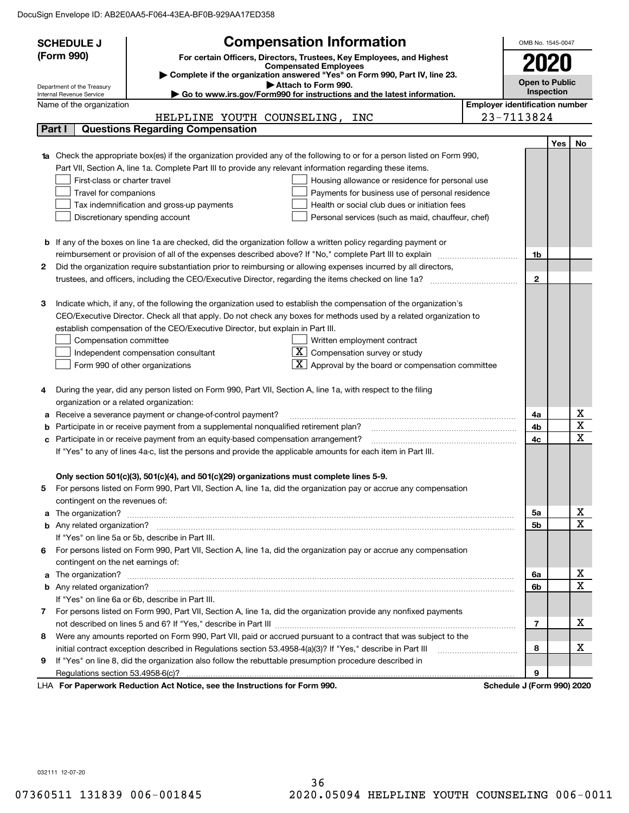DocuSign Envelope ID: AB2E0AA5-F064-43EA-BF0B-929AA17ED358

|   | <b>SCHEDULE J</b>                                                                                          | <b>Compensation Information</b>                                                                                                                                                                                                   |                                       | OMB No. 1545-0047          |     |                         |
|---|------------------------------------------------------------------------------------------------------------|-----------------------------------------------------------------------------------------------------------------------------------------------------------------------------------------------------------------------------------|---------------------------------------|----------------------------|-----|-------------------------|
|   | (Form 990)<br>For certain Officers, Directors, Trustees, Key Employees, and Highest                        |                                                                                                                                                                                                                                   |                                       |                            |     |                         |
|   | <b>Compensated Employees</b><br>Complete if the organization answered "Yes" on Form 990, Part IV, line 23. |                                                                                                                                                                                                                                   |                                       | <b>Open to Public</b>      |     |                         |
|   | Department of the Treasury<br>Internal Revenue Service                                                     | Attach to Form 990.<br>Go to www.irs.gov/Form990 for instructions and the latest information.                                                                                                                                     |                                       | Inspection                 |     |                         |
|   | Name of the organization                                                                                   |                                                                                                                                                                                                                                   | <b>Employer identification number</b> |                            |     |                         |
|   |                                                                                                            | HELPLINE YOUTH COUNSELING, INC                                                                                                                                                                                                    | 23-7113824                            |                            |     |                         |
|   | Part I                                                                                                     | <b>Questions Regarding Compensation</b>                                                                                                                                                                                           |                                       |                            |     |                         |
|   |                                                                                                            |                                                                                                                                                                                                                                   |                                       |                            | Yes | No                      |
|   |                                                                                                            | 1a Check the appropriate box(es) if the organization provided any of the following to or for a person listed on Form 990,                                                                                                         |                                       |                            |     |                         |
|   |                                                                                                            | Part VII, Section A, line 1a. Complete Part III to provide any relevant information regarding these items.                                                                                                                        |                                       |                            |     |                         |
|   | First-class or charter travel                                                                              | Housing allowance or residence for personal use                                                                                                                                                                                   |                                       |                            |     |                         |
|   | Travel for companions                                                                                      | Payments for business use of personal residence                                                                                                                                                                                   |                                       |                            |     |                         |
|   |                                                                                                            | Tax indemnification and gross-up payments<br>Health or social club dues or initiation fees                                                                                                                                        |                                       |                            |     |                         |
|   |                                                                                                            | Personal services (such as maid, chauffeur, chef)<br>Discretionary spending account                                                                                                                                               |                                       |                            |     |                         |
|   |                                                                                                            |                                                                                                                                                                                                                                   |                                       |                            |     |                         |
|   |                                                                                                            | <b>b</b> If any of the boxes on line 1a are checked, did the organization follow a written policy regarding payment or                                                                                                            |                                       |                            |     |                         |
|   |                                                                                                            |                                                                                                                                                                                                                                   |                                       | 1b                         |     |                         |
| 2 |                                                                                                            | Did the organization require substantiation prior to reimbursing or allowing expenses incurred by all directors,                                                                                                                  |                                       |                            |     |                         |
|   |                                                                                                            |                                                                                                                                                                                                                                   |                                       | $\mathbf{2}$               |     |                         |
|   |                                                                                                            |                                                                                                                                                                                                                                   |                                       |                            |     |                         |
| З |                                                                                                            | Indicate which, if any, of the following the organization used to establish the compensation of the organization's                                                                                                                |                                       |                            |     |                         |
|   |                                                                                                            | CEO/Executive Director. Check all that apply. Do not check any boxes for methods used by a related organization to                                                                                                                |                                       |                            |     |                         |
|   |                                                                                                            | establish compensation of the CEO/Executive Director, but explain in Part III.                                                                                                                                                    |                                       |                            |     |                         |
|   | Compensation committee                                                                                     | Written employment contract                                                                                                                                                                                                       |                                       |                            |     |                         |
|   |                                                                                                            | X<br>Compensation survey or study<br>Independent compensation consultant                                                                                                                                                          |                                       |                            |     |                         |
|   |                                                                                                            | Approval by the board or compensation committee<br>Form 990 of other organizations                                                                                                                                                |                                       |                            |     |                         |
| 4 |                                                                                                            | During the year, did any person listed on Form 990, Part VII, Section A, line 1a, with respect to the filing                                                                                                                      |                                       |                            |     |                         |
|   | organization or a related organization:                                                                    |                                                                                                                                                                                                                                   |                                       |                            |     |                         |
| а |                                                                                                            | Receive a severance payment or change-of-control payment?                                                                                                                                                                         |                                       | 4a                         |     | x                       |
| b |                                                                                                            | Participate in or receive payment from a supplemental nonqualified retirement plan?                                                                                                                                               |                                       | 4b                         |     | $\overline{\textbf{X}}$ |
|   |                                                                                                            | c Participate in or receive payment from an equity-based compensation arrangement?                                                                                                                                                |                                       | 4c                         |     | $\mathbf X$             |
|   |                                                                                                            | If "Yes" to any of lines 4a-c, list the persons and provide the applicable amounts for each item in Part III.                                                                                                                     |                                       |                            |     |                         |
|   |                                                                                                            |                                                                                                                                                                                                                                   |                                       |                            |     |                         |
|   |                                                                                                            | Only section 501(c)(3), 501(c)(4), and 501(c)(29) organizations must complete lines 5-9.                                                                                                                                          |                                       |                            |     |                         |
|   |                                                                                                            | For persons listed on Form 990, Part VII, Section A, line 1a, did the organization pay or accrue any compensation                                                                                                                 |                                       |                            |     |                         |
|   | contingent on the revenues of:                                                                             |                                                                                                                                                                                                                                   |                                       |                            |     |                         |
|   |                                                                                                            | a The organization? <b>With the organization? Mateural Construction Construction</b> Construction Construction Construction Construction Construction Construction Construction Construction Construction Construction Constructi |                                       | 5a                         |     | X                       |
|   |                                                                                                            |                                                                                                                                                                                                                                   |                                       | 5b                         |     | $\overline{\mathbf{x}}$ |
|   |                                                                                                            | If "Yes" on line 5a or 5b, describe in Part III.                                                                                                                                                                                  |                                       |                            |     |                         |
| 6 |                                                                                                            | For persons listed on Form 990, Part VII, Section A, line 1a, did the organization pay or accrue any compensation                                                                                                                 |                                       |                            |     |                         |
|   | contingent on the net earnings of:                                                                         |                                                                                                                                                                                                                                   |                                       |                            |     |                         |
| a |                                                                                                            | The organization? <b>Constitution</b> in the organization? <b>Constitution</b> is a set of the organization?                                                                                                                      |                                       | 6a                         |     | X                       |
|   |                                                                                                            |                                                                                                                                                                                                                                   |                                       | 6b                         |     | $\mathbf X$             |
|   |                                                                                                            | If "Yes" on line 6a or 6b, describe in Part III.                                                                                                                                                                                  |                                       |                            |     |                         |
| 7 |                                                                                                            | For persons listed on Form 990, Part VII, Section A, line 1a, did the organization provide any nonfixed payments                                                                                                                  |                                       |                            |     |                         |
|   |                                                                                                            |                                                                                                                                                                                                                                   |                                       | 7                          |     | х                       |
| 8 |                                                                                                            | Were any amounts reported on Form 990, Part VII, paid or accrued pursuant to a contract that was subject to the                                                                                                                   |                                       |                            |     |                         |
|   |                                                                                                            | initial contract exception described in Regulations section 53.4958-4(a)(3)? If "Yes," describe in Part III                                                                                                                       |                                       | 8                          |     | х                       |
| 9 |                                                                                                            | If "Yes" on line 8, did the organization also follow the rebuttable presumption procedure described in                                                                                                                            |                                       |                            |     |                         |
|   |                                                                                                            |                                                                                                                                                                                                                                   |                                       | 9                          |     |                         |
|   |                                                                                                            | LHA For Paperwork Reduction Act Notice, see the Instructions for Form 990.                                                                                                                                                        |                                       | Schedule J (Form 990) 2020 |     |                         |

032111 12-07-20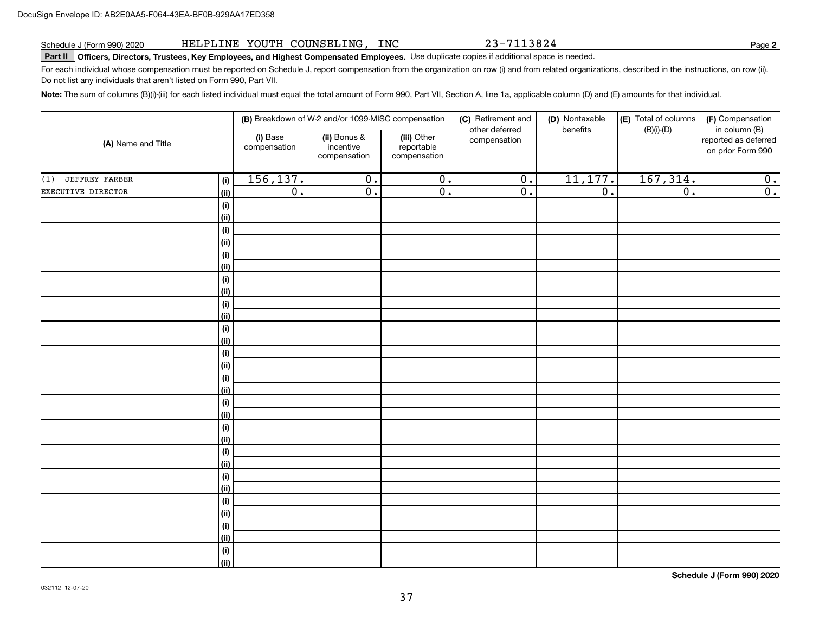## HELPLINE YOUTH COUNSELING, INC

# **Part II Officers, Directors, Trustees, Key Employees, and Highest Compensated Employees.**  Schedule J (Form 990) 2020 Page Use duplicate copies if additional space is needed.

For each individual whose compensation must be reported on Schedule J, report compensation from the organization on row (i) and from related organizations, described in the instructions, on row (ii). Do not list any individuals that aren't listed on Form 990, Part VII.

**Note:**  The sum of columns (B)(i)-(iii) for each listed individual must equal the total amount of Form 990, Part VII, Section A, line 1a, applicable column (D) and (E) amounts for that individual.

|                              |                              |                          | (B) Breakdown of W-2 and/or 1099-MISC compensation |                                           | (C) Retirement and             | (D) Nontaxable   | (E) Total of columns | (F) Compensation                                           |  |
|------------------------------|------------------------------|--------------------------|----------------------------------------------------|-------------------------------------------|--------------------------------|------------------|----------------------|------------------------------------------------------------|--|
| (A) Name and Title           |                              | (i) Base<br>compensation | (ii) Bonus &<br>incentive<br>compensation          | (iii) Other<br>reportable<br>compensation | other deferred<br>compensation | benefits         | $(B)(i)-(D)$         | in column (B)<br>reported as deferred<br>on prior Form 990 |  |
| <b>JEFFREY FARBER</b><br>(1) | (i)                          | 156,137.                 | $\overline{0}$ .                                   | $\overline{0}$ .                          | $\overline{0}$ .               | 11, 177.         | 167, 314.            | 0.                                                         |  |
| EXECUTIVE DIRECTOR           | (ii)                         | $\overline{0}$ .         | $\overline{0}$ .                                   | $\overline{0}$ .                          | $\overline{0}$ .               | $\overline{0}$ . | $\overline{0}$ .     | $\overline{0}$ .                                           |  |
|                              | $\qquad \qquad \textbf{(i)}$ |                          |                                                    |                                           |                                |                  |                      |                                                            |  |
|                              | (ii)                         |                          |                                                    |                                           |                                |                  |                      |                                                            |  |
|                              | (i)                          |                          |                                                    |                                           |                                |                  |                      |                                                            |  |
|                              | (ii)                         |                          |                                                    |                                           |                                |                  |                      |                                                            |  |
|                              | $(\sf{i})$                   |                          |                                                    |                                           |                                |                  |                      |                                                            |  |
|                              | (ii)                         |                          |                                                    |                                           |                                |                  |                      |                                                            |  |
|                              | (i)                          |                          |                                                    |                                           |                                |                  |                      |                                                            |  |
|                              | (ii)                         |                          |                                                    |                                           |                                |                  |                      |                                                            |  |
|                              | (i)                          |                          |                                                    |                                           |                                |                  |                      |                                                            |  |
|                              | (ii)                         |                          |                                                    |                                           |                                |                  |                      |                                                            |  |
|                              | (i)                          |                          |                                                    |                                           |                                |                  |                      |                                                            |  |
|                              | (ii)                         |                          |                                                    |                                           |                                |                  |                      |                                                            |  |
|                              | (i)                          |                          |                                                    |                                           |                                |                  |                      |                                                            |  |
|                              | (ii)                         |                          |                                                    |                                           |                                |                  |                      |                                                            |  |
|                              | (i)                          |                          |                                                    |                                           |                                |                  |                      |                                                            |  |
|                              | (ii)                         |                          |                                                    |                                           |                                |                  |                      |                                                            |  |
|                              | (i)                          |                          |                                                    |                                           |                                |                  |                      |                                                            |  |
|                              | (ii)                         |                          |                                                    |                                           |                                |                  |                      |                                                            |  |
|                              | (i)                          |                          |                                                    |                                           |                                |                  |                      |                                                            |  |
|                              | (ii)                         |                          |                                                    |                                           |                                |                  |                      |                                                            |  |
|                              | $(\sf{i})$                   |                          |                                                    |                                           |                                |                  |                      |                                                            |  |
|                              | (ii)                         |                          |                                                    |                                           |                                |                  |                      |                                                            |  |
|                              | (i)                          |                          |                                                    |                                           |                                |                  |                      |                                                            |  |
|                              | (ii)                         |                          |                                                    |                                           |                                |                  |                      |                                                            |  |
|                              | (i)                          |                          |                                                    |                                           |                                |                  |                      |                                                            |  |
|                              | (ii)                         |                          |                                                    |                                           |                                |                  |                      |                                                            |  |
|                              | (i)                          |                          |                                                    |                                           |                                |                  |                      |                                                            |  |
|                              | (ii)                         |                          |                                                    |                                           |                                |                  |                      |                                                            |  |
|                              | (i)                          |                          |                                                    |                                           |                                |                  |                      |                                                            |  |
|                              | (ii)                         |                          |                                                    |                                           |                                |                  |                      |                                                            |  |

**Schedule J (Form 990) 2020**

**2**

23-7113824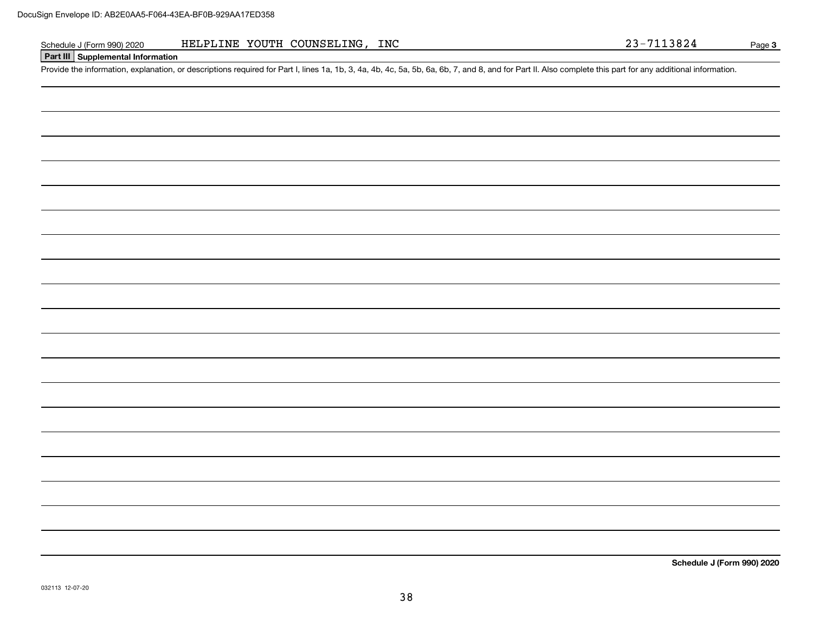## HELPLINE YOUTH COUNSELING, INC

## **Part III Supplemental Information**

Schedule J (Form 990) 2020 HELPLINE YOUTH COUNSELING, INC<br>Part III Supplemental Information<br>Provide the information, explanation, or descriptions required for Part I, lines 1a, 1b, 3, 4a, 4b, 4c, 5a, 5b, 6a, 6b, 7, and 8,

**Schedule J (Form 990) 2020**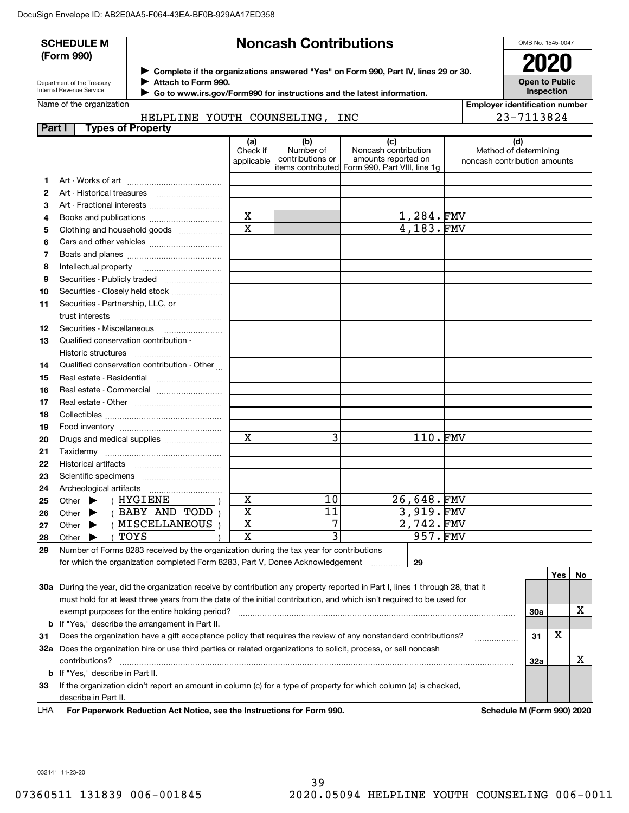|        | <b>SCHEDULE M</b>                                             |                                                                                                               |                               | <b>Noncash Contributions</b>         |                                                                                                                                |                                                              | OMB No. 1545-0047                   |    |
|--------|---------------------------------------------------------------|---------------------------------------------------------------------------------------------------------------|-------------------------------|--------------------------------------|--------------------------------------------------------------------------------------------------------------------------------|--------------------------------------------------------------|-------------------------------------|----|
|        | (Form 990)                                                    |                                                                                                               |                               |                                      |                                                                                                                                |                                                              | 2020                                |    |
|        |                                                               |                                                                                                               |                               |                                      | > Complete if the organizations answered "Yes" on Form 990, Part IV, lines 29 or 30.                                           |                                                              |                                     |    |
|        | Department of the Treasury<br><b>Internal Revenue Service</b> | Attach to Form 990.                                                                                           |                               |                                      | Go to www.irs.gov/Form990 for instructions and the latest information.                                                         |                                                              | <b>Open to Public</b><br>Inspection |    |
|        | Name of the organization                                      |                                                                                                               |                               |                                      |                                                                                                                                | <b>Employer identification number</b>                        |                                     |    |
|        |                                                               | HELPLINE YOUTH COUNSELING, INC                                                                                |                               |                                      |                                                                                                                                | 23-7113824                                                   |                                     |    |
| Part I |                                                               | <b>Types of Property</b>                                                                                      |                               |                                      |                                                                                                                                |                                                              |                                     |    |
|        |                                                               |                                                                                                               | (a)<br>Check if<br>applicable | (b)<br>Number of<br>contributions or | (c)<br>Noncash contribution<br>amounts reported on<br>items contributed Form 990, Part VIII, line 1q                           | (d)<br>Method of determining<br>noncash contribution amounts |                                     |    |
| 1.     |                                                               |                                                                                                               |                               |                                      |                                                                                                                                |                                                              |                                     |    |
| 2      |                                                               |                                                                                                               |                               |                                      |                                                                                                                                |                                                              |                                     |    |
| 3      |                                                               |                                                                                                               |                               |                                      |                                                                                                                                |                                                              |                                     |    |
| 4      |                                                               |                                                                                                               | $\mathbf X$                   |                                      | 1,284.FMV                                                                                                                      |                                                              |                                     |    |
| 5      |                                                               | Clothing and household goods                                                                                  | $\overline{\mathbf{x}}$       |                                      | 4,183.FMV                                                                                                                      |                                                              |                                     |    |
| 6      |                                                               |                                                                                                               |                               |                                      |                                                                                                                                |                                                              |                                     |    |
| 7      |                                                               |                                                                                                               |                               |                                      |                                                                                                                                |                                                              |                                     |    |
| 8      |                                                               |                                                                                                               |                               |                                      |                                                                                                                                |                                                              |                                     |    |
| 9      |                                                               | Securities - Publicly traded                                                                                  |                               |                                      |                                                                                                                                |                                                              |                                     |    |
| 10     | Securities - Partnership, LLC, or                             | Securities - Closely held stock                                                                               |                               |                                      |                                                                                                                                |                                                              |                                     |    |
| 11     | trust interests                                               |                                                                                                               |                               |                                      |                                                                                                                                |                                                              |                                     |    |
| 12     | Securities - Miscellaneous                                    |                                                                                                               |                               |                                      |                                                                                                                                |                                                              |                                     |    |
| 13     | Qualified conservation contribution -                         |                                                                                                               |                               |                                      |                                                                                                                                |                                                              |                                     |    |
|        | Historic structures                                           |                                                                                                               |                               |                                      |                                                                                                                                |                                                              |                                     |    |
| 14     |                                                               | Qualified conservation contribution - Other                                                                   |                               |                                      |                                                                                                                                |                                                              |                                     |    |
| 15     |                                                               |                                                                                                               |                               |                                      |                                                                                                                                |                                                              |                                     |    |
| 16     |                                                               | Real estate - Commercial                                                                                      |                               |                                      |                                                                                                                                |                                                              |                                     |    |
| 17     |                                                               |                                                                                                               |                               |                                      |                                                                                                                                |                                                              |                                     |    |
| 18     |                                                               |                                                                                                               |                               |                                      |                                                                                                                                |                                                              |                                     |    |
| 19     |                                                               |                                                                                                               |                               |                                      |                                                                                                                                |                                                              |                                     |    |
| 20     |                                                               | Drugs and medical supplies                                                                                    | X                             | 3                                    | 110.FMV                                                                                                                        |                                                              |                                     |    |
| 21     | Taxidermy                                                     |                                                                                                               |                               |                                      |                                                                                                                                |                                                              |                                     |    |
| 22     |                                                               |                                                                                                               |                               |                                      |                                                                                                                                |                                                              |                                     |    |
| 23     |                                                               |                                                                                                               |                               |                                      |                                                                                                                                |                                                              |                                     |    |
| 24     | Archeological artifacts                                       |                                                                                                               |                               |                                      |                                                                                                                                |                                                              |                                     |    |
| 25     | Other                                                         | HYGIENE                                                                                                       | х                             | 10                                   | 26,648.FMV                                                                                                                     |                                                              |                                     |    |
| 26     | Other                                                         | BABY AND TODD )                                                                                               | X                             | 11                                   | 3,919.FMV                                                                                                                      |                                                              |                                     |    |
| 27     | Other                                                         | MISCELLANEOUS                                                                                                 | X                             | 7                                    | 2,742.FMV                                                                                                                      |                                                              |                                     |    |
| 28     | Other                                                         | TOYS                                                                                                          | X                             | 3                                    | 957.FMV                                                                                                                        |                                                              |                                     |    |
| 29     |                                                               | Number of Forms 8283 received by the organization during the tax year for contributions                       |                               |                                      |                                                                                                                                |                                                              |                                     |    |
|        |                                                               | for which the organization completed Form 8283, Part V, Donee Acknowledgement                                 |                               |                                      | 29                                                                                                                             |                                                              |                                     |    |
|        |                                                               |                                                                                                               |                               |                                      |                                                                                                                                |                                                              | <b>Yes</b>                          | No |
|        |                                                               |                                                                                                               |                               |                                      | 30a During the year, did the organization receive by contribution any property reported in Part I, lines 1 through 28, that it |                                                              |                                     |    |
|        |                                                               |                                                                                                               |                               |                                      | must hold for at least three years from the date of the initial contribution, and which isn't required to be used for          |                                                              |                                     |    |
|        |                                                               | exempt purposes for the entire holding period?                                                                |                               |                                      |                                                                                                                                | 30a                                                          |                                     | x  |
|        |                                                               | <b>b</b> If "Yes," describe the arrangement in Part II.                                                       |                               |                                      |                                                                                                                                |                                                              |                                     |    |
| 31     |                                                               |                                                                                                               |                               |                                      | Does the organization have a gift acceptance policy that requires the review of any nonstandard contributions?                 | 31                                                           | X                                   |    |
| 32a    | contributions?                                                | Does the organization hire or use third parties or related organizations to solicit, process, or sell noncash |                               |                                      |                                                                                                                                | 32a                                                          |                                     | x  |
|        | <b>b</b> If "Yes," describe in Part II.                       |                                                                                                               |                               |                                      |                                                                                                                                |                                                              |                                     |    |
| 33     |                                                               |                                                                                                               |                               |                                      | If the organization didn't report an amount in column (c) for a type of property for which column (a) is checked,              |                                                              |                                     |    |
|        | describe in Part II.                                          |                                                                                                               |                               |                                      |                                                                                                                                |                                                              |                                     |    |
| LHA    |                                                               | For Paperwork Reduction Act Notice, see the Instructions for Form 990.                                        |                               |                                      |                                                                                                                                | Schedule M (Form 990) 2020                                   |                                     |    |

032141 11-23-20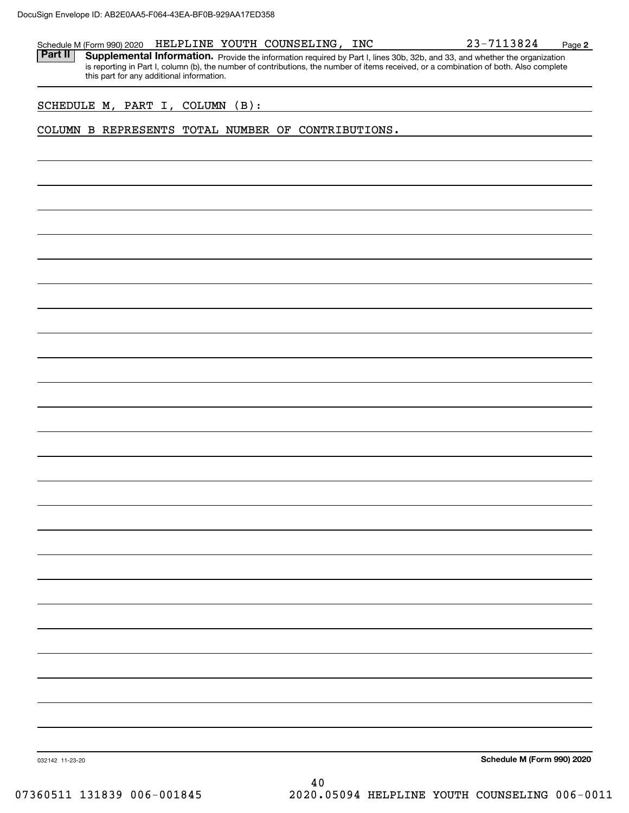## Schedule M (Form 990) 2020 HELPLINE YOUTH COUNSELING, INC 2 3-7 $113824$  Page

Part II | Supplemental Information. Provide the information required by Part I, lines 30b, 32b, and 33, and whether the organization is reporting in Part I, column (b), the number of contributions, the number of items received, or a combination of both. Also complete this part for any additional information.

## SCHEDULE M, PART I, COLUMN (B):

## COLUMN B REPRESENTS TOTAL NUMBER OF CONTRIBUTIONS.

**Schedule M (Form 990) 2020**

**2**

032142 11-23-20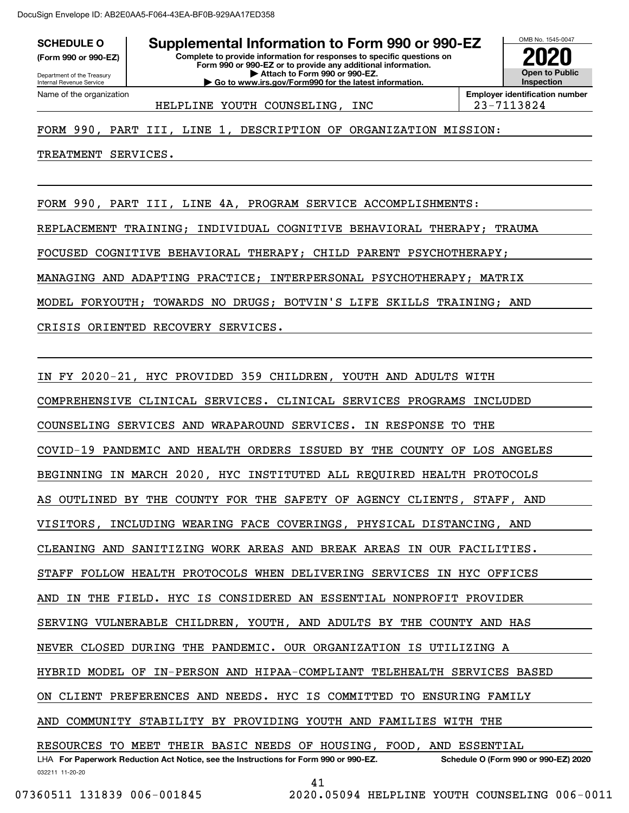DocuSign Envelope ID: AB2E0AA5-F064-43EA-BF0B-929AA17ED358

| <b>SCHEDULE O</b><br>(Form 990 or 990-EZ)<br>Department of the Treasury<br>Internal Revenue Service | Supplemental Information to Form 990 or 990-EZ<br>Complete to provide information for responses to specific questions on<br>Form 990 or 990-EZ or to provide any additional information.<br>Attach to Form 990 or 990-EZ.<br>Go to www.irs.gov/Form990 for the latest information. | OMB No. 1545-0047<br>2020<br><b>Open to Public</b><br><b>Inspection</b> |
|-----------------------------------------------------------------------------------------------------|------------------------------------------------------------------------------------------------------------------------------------------------------------------------------------------------------------------------------------------------------------------------------------|-------------------------------------------------------------------------|
| Name of the organization                                                                            | HELPLINE YOUTH COUNSELING,<br>INC                                                                                                                                                                                                                                                  | <b>Employer identification number</b><br>23-7113824                     |
| $\blacksquare$                                                                                      |                                                                                                                                                                                                                                                                                    |                                                                         |

## FORM 990, PART III, LINE 1, DESCRIPTION OF ORGANIZATION MISSION:

TREATMENT SERVICES.

FORM 990, PART III, LINE 4A, PROGRAM SERVICE ACCOMPLISHMENTS: REPLACEMENT TRAINING; INDIVIDUAL COGNITIVE BEHAVIORAL THERAPY; TRAUMA FOCUSED COGNITIVE BEHAVIORAL THERAPY; CHILD PARENT PSYCHOTHERAPY; MANAGING AND ADAPTING PRACTICE; INTERPERSONAL PSYCHOTHERAPY; MATRIX MODEL FORYOUTH; TOWARDS NO DRUGS; BOTVIN'S LIFE SKILLS TRAINING; AND CRISIS ORIENTED RECOVERY SERVICES.

032211 11-20-20 LHA For Paperwork Reduction Act Notice, see the Instructions for Form 990 or 990-EZ. Schedule O (Form 990 or 990-EZ) 2020 IN FY 2020-21, HYC PROVIDED 359 CHILDREN, YOUTH AND ADULTS WITH COMPREHENSIVE CLINICAL SERVICES. CLINICAL SERVICES PROGRAMS INCLUDED COUNSELING SERVICES AND WRAPAROUND SERVICES. IN RESPONSE TO THE COVID-19 PANDEMIC AND HEALTH ORDERS ISSUED BY THE COUNTY OF LOS ANGELES BEGINNING IN MARCH 2020, HYC INSTITUTED ALL REQUIRED HEALTH PROTOCOLS AS OUTLINED BY THE COUNTY FOR THE SAFETY OF AGENCY CLIENTS, STAFF, AND VISITORS, INCLUDING WEARING FACE COVERINGS, PHYSICAL DISTANCING, AND CLEANING AND SANITIZING WORK AREAS AND BREAK AREAS IN OUR FACILITIES. STAFF FOLLOW HEALTH PROTOCOLS WHEN DELIVERING SERVICES IN HYC OFFICES AND IN THE FIELD. HYC IS CONSIDERED AN ESSENTIAL NONPROFIT PROVIDER SERVING VULNERABLE CHILDREN, YOUTH, AND ADULTS BY THE COUNTY AND HAS NEVER CLOSED DURING THE PANDEMIC. OUR ORGANIZATION IS UTILIZING A HYBRID MODEL OF IN-PERSON AND HIPAA-COMPLIANT TELEHEALTH SERVICES BASED ON CLIENT PREFERENCES AND NEEDS. HYC IS COMMITTED TO ENSURING FAMILY AND COMMUNITY STABILITY BY PROVIDING YOUTH AND FAMILIES WITH THE RESOURCES TO MEET THEIR BASIC NEEDS OF HOUSING, FOOD, AND ESSENTIAL

41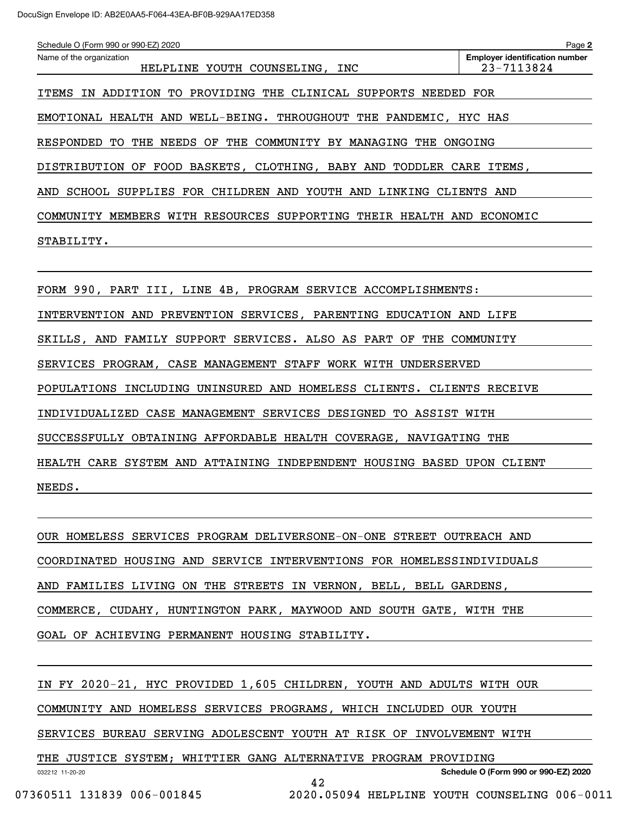| Schedule O (Form 990 or 990-EZ) 2020                                   | Page 2                                              |
|------------------------------------------------------------------------|-----------------------------------------------------|
| Name of the organization<br>HELPLINE YOUTH COUNSELING, INC             | <b>Employer identification number</b><br>23-7113824 |
| ITEMS IN ADDITION TO PROVIDING THE CLINICAL SUPPORTS NEEDED FOR        |                                                     |
| EMOTIONAL HEALTH AND WELL-BEING. THROUGHOUT THE PANDEMIC, HYC HAS      |                                                     |
| RESPONDED TO THE NEEDS OF THE COMMUNITY BY MANAGING THE ONGOING        |                                                     |
| DISTRIBUTION OF FOOD BASKETS, CLOTHING, BABY AND TODDLER CARE ITEMS,   |                                                     |
| AND SCHOOL SUPPLIES FOR CHILDREN AND YOUTH AND LINKING CLIENTS AND     |                                                     |
| COMMUNITY MEMBERS WITH RESOURCES SUPPORTING THEIR HEALTH AND ECONOMIC  |                                                     |
| STABILITY.                                                             |                                                     |
|                                                                        |                                                     |
| FORM 990, PART III, LINE 4B, PROGRAM SERVICE ACCOMPLISHMENTS:          |                                                     |
| INTERVENTION AND PREVENTION SERVICES, PARENTING EDUCATION AND LIFE     |                                                     |
| SKILLS, AND FAMILY SUPPORT SERVICES. ALSO AS PART OF THE COMMUNITY     |                                                     |
| SERVICES PROGRAM, CASE MANAGEMENT STAFF WORK WITH UNDERSERVED          |                                                     |
| POPULATIONS INCLUDING UNINSURED AND HOMELESS CLIENTS. CLIENTS RECEIVE  |                                                     |
| INDIVIDUALIZED CASE MANAGEMENT SERVICES DESIGNED TO ASSIST WITH        |                                                     |
| SUCCESSFULLY OBTAINING AFFORDABLE HEALTH COVERAGE, NAVIGATING THE      |                                                     |
| HEALTH CARE SYSTEM AND ATTAINING INDEPENDENT HOUSING BASED UPON CLIENT |                                                     |
| NEEDS.                                                                 |                                                     |
|                                                                        |                                                     |
| OUR HOMELESS SERVICES PROGRAM DELIVERSONE-ON-ONE STREET OUTREACH AND   |                                                     |

COORDINATED HOUSING AND SERVICE INTERVENTIONS FOR HOMELESSINDIVIDUALS

AND FAMILIES LIVING ON THE STREETS IN VERNON, BELL, BELL GARDENS,

COMMERCE, CUDAHY, HUNTINGTON PARK, MAYWOOD AND SOUTH GATE, WITH THE

GOAL OF ACHIEVING PERMANENT HOUSING STABILITY.

IN FY 2020-21, HYC PROVIDED 1,605 CHILDREN, YOUTH AND ADULTS WITH OUR

COMMUNITY AND HOMELESS SERVICES PROGRAMS, WHICH INCLUDED OUR YOUTH

SERVICES BUREAU SERVING ADOLESCENT YOUTH AT RISK OF INVOLVEMENT WITH

42

THE JUSTICE SYSTEM; WHITTIER GANG ALTERNATIVE PROGRAM PROVIDING

032212 11-20-20

**Schedule O (Form 990 or 990-EZ) 2020**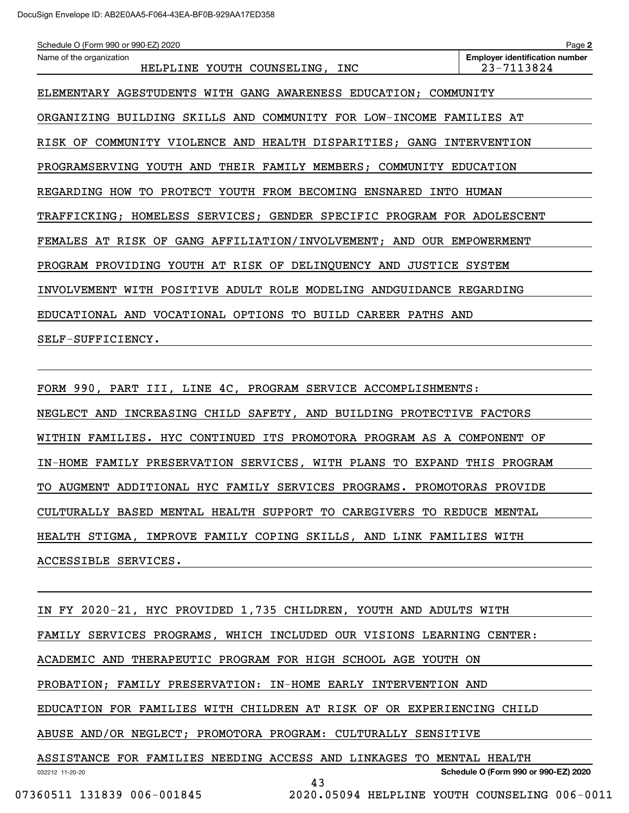| Schedule O (Form 990 or 990-EZ) 2020                                 | Page 2                                                                 |  |  |  |  |  |
|----------------------------------------------------------------------|------------------------------------------------------------------------|--|--|--|--|--|
| Name of the organization<br>HELPLINE YOUTH COUNSELING, INC           | <b>Employer identification number</b><br>23-7113824                    |  |  |  |  |  |
| ELEMENTARY AGESTUDENTS WITH GANG AWARENESS EDUCATION: COMMUNITY      |                                                                        |  |  |  |  |  |
| ORGANIZING BUILDING SKILLS AND COMMUNITY FOR LOW-INCOME FAMILIES AT  |                                                                        |  |  |  |  |  |
| RISK OF COMMUNITY VIOLENCE AND HEALTH DISPARITIES; GANG INTERVENTION |                                                                        |  |  |  |  |  |
|                                                                      | PROGRAMSERVING YOUTH AND THEIR FAMILY MEMBERS; COMMUNITY EDUCATION     |  |  |  |  |  |
| REGARDING HOW TO PROTECT YOUTH FROM BECOMING ENSNARED INTO HUMAN     |                                                                        |  |  |  |  |  |
|                                                                      | TRAFFICKING; HOMELESS SERVICES; GENDER SPECIFIC PROGRAM FOR ADOLESCENT |  |  |  |  |  |
| FEMALES AT RISK OF GANG AFFILIATION/INVOLVEMENT; AND OUR EMPOWERMENT |                                                                        |  |  |  |  |  |
| PROGRAM PROVIDING YOUTH AT RISK OF DELINQUENCY AND JUSTICE SYSTEM    |                                                                        |  |  |  |  |  |
| INVOLVEMENT WITH POSITIVE ADULT ROLE MODELING ANDGUIDANCE REGARDING  |                                                                        |  |  |  |  |  |
| EDUCATIONAL AND VOCATIONAL OPTIONS TO BUILD CAREER PATHS AND         |                                                                        |  |  |  |  |  |
| SELF-SUFFICIENCY.                                                    |                                                                        |  |  |  |  |  |
|                                                                      |                                                                        |  |  |  |  |  |
| FORM 990, PART III, LINE 4C, PROGRAM SERVICE ACCOMPLISHMENTS:        |                                                                        |  |  |  |  |  |

NEGLECT AND INCREASING CHILD SAFETY, AND BUILDING PROTECTIVE FACTORS WITHIN FAMILIES. HYC CONTINUED ITS PROMOTORA PROGRAM AS A COMPONENT OF IN-HOME FAMILY PRESERVATION SERVICES, WITH PLANS TO EXPAND THIS PROGRAM TO AUGMENT ADDITIONAL HYC FAMILY SERVICES PROGRAMS. PROMOTORAS PROVIDE CULTURALLY BASED MENTAL HEALTH SUPPORT TO CAREGIVERS TO REDUCE MENTAL HEALTH STIGMA, IMPROVE FAMILY COPING SKILLS, AND LINK FAMILIES WITH ACCESSIBLE SERVICES.

032212 11-20-20 **Schedule O (Form 990 or 990-EZ) 2020** IN FY 2020-21, HYC PROVIDED 1,735 CHILDREN, YOUTH AND ADULTS WITH FAMILY SERVICES PROGRAMS, WHICH INCLUDED OUR VISIONS LEARNING CENTER: ACADEMIC AND THERAPEUTIC PROGRAM FOR HIGH SCHOOL AGE YOUTH ON PROBATION; FAMILY PRESERVATION: IN-HOME EARLY INTERVENTION AND EDUCATION FOR FAMILIES WITH CHILDREN AT RISK OF OR EXPERIENCING CHILD ABUSE AND/OR NEGLECT; PROMOTORA PROGRAM: CULTURALLY SENSITIVE ASSISTANCE FOR FAMILIES NEEDING ACCESS AND LINKAGES TO MENTAL HEALTH 43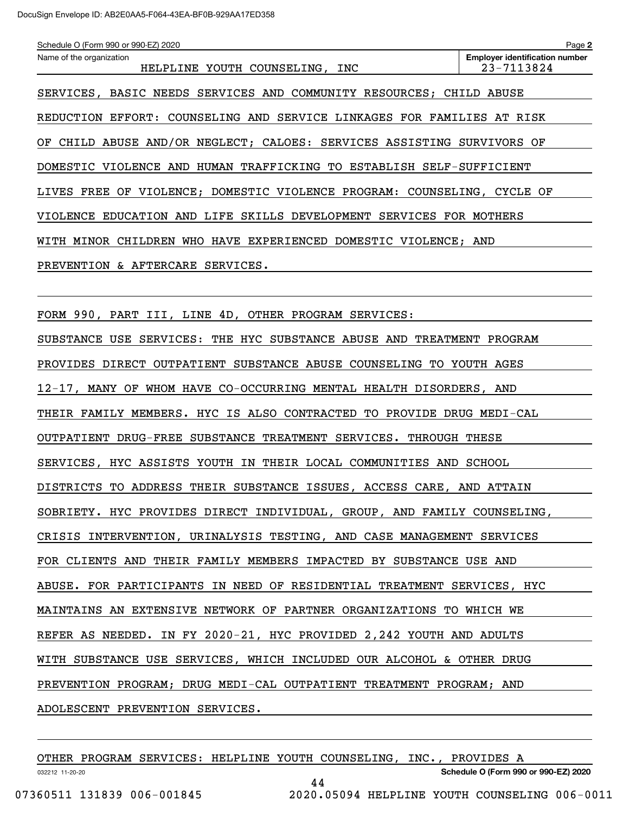| Schedule O (Form 990 or 990-EZ) 2020                                      | Page 2                                              |  |  |  |
|---------------------------------------------------------------------------|-----------------------------------------------------|--|--|--|
| Name of the organization<br>HELPLINE YOUTH COUNSELING,<br>INC             | <b>Employer identification number</b><br>23-7113824 |  |  |  |
| SERVICES, BASIC NEEDS SERVICES AND COMMUNITY RESOURCES; CHILD ABUSE       |                                                     |  |  |  |
| REDUCTION EFFORT: COUNSELING AND SERVICE LINKAGES FOR FAMILIES AT RISK    |                                                     |  |  |  |
| CHILD ABUSE AND/OR NEGLECT; CALOES: SERVICES ASSISTING SURVIVORS OF<br>OF |                                                     |  |  |  |
| DOMESTIC VIOLENCE AND HUMAN TRAFFICKING TO ESTABLISH SELF-SUFFICIENT      |                                                     |  |  |  |
| LIVES FREE OF VIOLENCE; DOMESTIC VIOLENCE PROGRAM: COUNSELING, CYCLE OF   |                                                     |  |  |  |
| VIOLENCE EDUCATION AND LIFE SKILLS DEVELOPMENT SERVICES FOR MOTHERS       |                                                     |  |  |  |
| WITH MINOR CHILDREN WHO HAVE EXPERIENCED DOMESTIC VIOLENCE; AND           |                                                     |  |  |  |
| PREVENTION & AFTERCARE SERVICES.                                          |                                                     |  |  |  |
|                                                                           |                                                     |  |  |  |
| FORM 990, PART III, LINE 4D, OTHER PROGRAM SERVICES:                      |                                                     |  |  |  |
| THE HYC SUBSTANCE ABUSE AND TREATMENT PROGRAM<br>SUBSTANCE USE SERVICES:  |                                                     |  |  |  |
| PROVIDES DIRECT OUTPATIENT SUBSTANCE ABUSE COUNSELING TO YOUTH AGES       |                                                     |  |  |  |
| 12-17, MANY OF WHOM HAVE CO-OCCURRING MENTAL HEALTH DISORDERS, AND        |                                                     |  |  |  |
| THEIR FAMILY MEMBERS. HYC IS ALSO CONTRACTED TO PROVIDE DRUG MEDI-CAL     |                                                     |  |  |  |
| OUTPATIENT DRUG-FREE SUBSTANCE TREATMENT SERVICES.<br>THROUGH THESE       |                                                     |  |  |  |
| SERVICES, HYC ASSISTS YOUTH IN THEIR LOCAL COMMUNITIES AND SCHOOL         |                                                     |  |  |  |
| DISTRICTS TO ADDRESS THEIR SUBSTANCE ISSUES, ACCESS CARE, AND ATTAIN      |                                                     |  |  |  |
| SOBRIETY. HYC PROVIDES DIRECT INDIVIDUAL, GROUP, AND FAMILY COUNSELING,   |                                                     |  |  |  |
| CRISIS INTERVENTION, URINALYSIS TESTING, AND CASE MANAGEMENT SERVICES     |                                                     |  |  |  |
| FOR CLIENTS AND THEIR FAMILY MEMBERS IMPACTED BY SUBSTANCE USE AND        |                                                     |  |  |  |
| ABUSE. FOR PARTICIPANTS IN NEED OF RESIDENTIAL TREATMENT SERVICES, HYC    |                                                     |  |  |  |
| MAINTAINS AN EXTENSIVE NETWORK OF PARTNER ORGANIZATIONS TO WHICH WE       |                                                     |  |  |  |
| REFER AS NEEDED. IN FY 2020-21, HYC PROVIDED 2,242 YOUTH AND ADULTS       |                                                     |  |  |  |
| WITH SUBSTANCE USE SERVICES, WHICH INCLUDED OUR ALCOHOL & OTHER DRUG      |                                                     |  |  |  |
| PREVENTION PROGRAM; DRUG MEDI-CAL OUTPATIENT TREATMENT PROGRAM; AND       |                                                     |  |  |  |
| ADOLESCENT PREVENTION SERVICES.                                           |                                                     |  |  |  |

|                 | OTHER PROGRAM SERVICES: HELPLINE YOUTH COUNSELING, |  |    | $\mathtt{INC}$ | PROVIDES A |                                               |
|-----------------|----------------------------------------------------|--|----|----------------|------------|-----------------------------------------------|
| 032212 11-20-20 |                                                    |  |    |                |            | Schedule O (Form 990 or 990-EZ) 2020          |
|                 |                                                    |  | 44 |                |            |                                               |
|                 | 07360511 131839 006-001845                         |  |    |                |            | 2020.05094 HELPLINE YOUTH COUNSELING 006-0011 |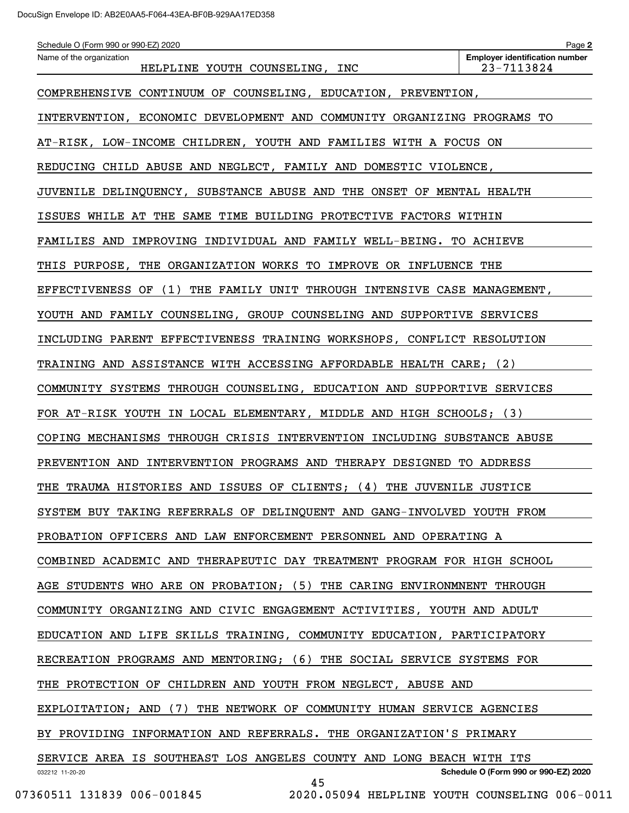| Schedule O (Form 990 or 990-EZ) 2020                                                    | Page 2                                                           |  |  |  |  |  |
|-----------------------------------------------------------------------------------------|------------------------------------------------------------------|--|--|--|--|--|
| Name of the organization<br>HELPLINE YOUTH COUNSELING, INC                              | <b>Employer identification number</b><br>23-7113824              |  |  |  |  |  |
| COMPREHENSIVE CONTINUUM OF COUNSELING, EDUCATION, PREVENTION,                           |                                                                  |  |  |  |  |  |
| INTERVENTION, ECONOMIC DEVELOPMENT AND COMMUNITY ORGANIZING PROGRAMS TO                 |                                                                  |  |  |  |  |  |
| AT-RISK, LOW-INCOME CHILDREN, YOUTH AND FAMILIES WITH A FOCUS ON                        |                                                                  |  |  |  |  |  |
| REDUCING CHILD ABUSE AND NEGLECT, FAMILY AND DOMESTIC VIOLENCE,                         |                                                                  |  |  |  |  |  |
| JUVENILE DELINQUENCY, SUBSTANCE ABUSE AND THE ONSET OF MENTAL HEALTH                    |                                                                  |  |  |  |  |  |
|                                                                                         | ISSUES WHILE AT THE SAME TIME BUILDING PROTECTIVE FACTORS WITHIN |  |  |  |  |  |
| FAMILIES AND IMPROVING INDIVIDUAL AND FAMILY WELL-BEING. TO ACHIEVE                     |                                                                  |  |  |  |  |  |
| THIS PURPOSE, THE ORGANIZATION WORKS TO IMPROVE OR INFLUENCE THE                        |                                                                  |  |  |  |  |  |
| EFFECTIVENESS OF (1) THE FAMILY UNIT THROUGH INTENSIVE CASE MANAGEMENT,                 |                                                                  |  |  |  |  |  |
| YOUTH AND FAMILY COUNSELING, GROUP COUNSELING AND SUPPORTIVE SERVICES                   |                                                                  |  |  |  |  |  |
| INCLUDING PARENT EFFECTIVENESS TRAINING WORKSHOPS, CONFLICT RESOLUTION                  |                                                                  |  |  |  |  |  |
| TRAINING AND ASSISTANCE WITH ACCESSING AFFORDABLE HEALTH CARE; (2)                      |                                                                  |  |  |  |  |  |
| COMMUNITY SYSTEMS THROUGH COUNSELING, EDUCATION AND SUPPORTIVE SERVICES                 |                                                                  |  |  |  |  |  |
| FOR AT-RISK YOUTH IN LOCAL ELEMENTARY, MIDDLE AND HIGH SCHOOLS; (3)                     |                                                                  |  |  |  |  |  |
| COPING MECHANISMS THROUGH CRISIS INTERVENTION INCLUDING SUBSTANCE ABUSE                 |                                                                  |  |  |  |  |  |
| PREVENTION AND INTERVENTION PROGRAMS AND THERAPY DESIGNED TO ADDRESS                    |                                                                  |  |  |  |  |  |
| THE TRAUMA HISTORIES AND ISSUES OF CLIENTS; (4) THE JUVENILE JUSTICE                    |                                                                  |  |  |  |  |  |
| SYSTEM BUY TAKING REFERRALS OF DELINQUENT AND GANG-INVOLVED YOUTH FROM                  |                                                                  |  |  |  |  |  |
| PROBATION OFFICERS AND LAW ENFORCEMENT PERSONNEL AND OPERATING A                        |                                                                  |  |  |  |  |  |
| COMBINED ACADEMIC AND THERAPEUTIC DAY TREATMENT PROGRAM FOR HIGH SCHOOL                 |                                                                  |  |  |  |  |  |
| AGE STUDENTS WHO ARE ON PROBATION; (5) THE CARING ENVIRONMNENT THROUGH                  |                                                                  |  |  |  |  |  |
| COMMUNITY ORGANIZING AND CIVIC ENGAGEMENT ACTIVITIES, YOUTH AND ADULT                   |                                                                  |  |  |  |  |  |
| EDUCATION AND LIFE SKILLS TRAINING, COMMUNITY EDUCATION, PARTICIPATORY                  |                                                                  |  |  |  |  |  |
| RECREATION PROGRAMS AND MENTORING; (6) THE SOCIAL SERVICE SYSTEMS FOR                   |                                                                  |  |  |  |  |  |
| THE PROTECTION OF CHILDREN AND YOUTH FROM NEGLECT, ABUSE AND                            |                                                                  |  |  |  |  |  |
| EXPLOITATION; AND (7) THE NETWORK OF COMMUNITY HUMAN SERVICE AGENCIES                   |                                                                  |  |  |  |  |  |
| BY PROVIDING INFORMATION AND REFERRALS. THE ORGANIZATION'S PRIMARY                      |                                                                  |  |  |  |  |  |
| SERVICE AREA IS SOUTHEAST LOS ANGELES COUNTY AND LONG BEACH WITH ITS<br>032212 11-20-20 | Schedule O (Form 990 or 990-EZ) 2020                             |  |  |  |  |  |
| 45                                                                                      |                                                                  |  |  |  |  |  |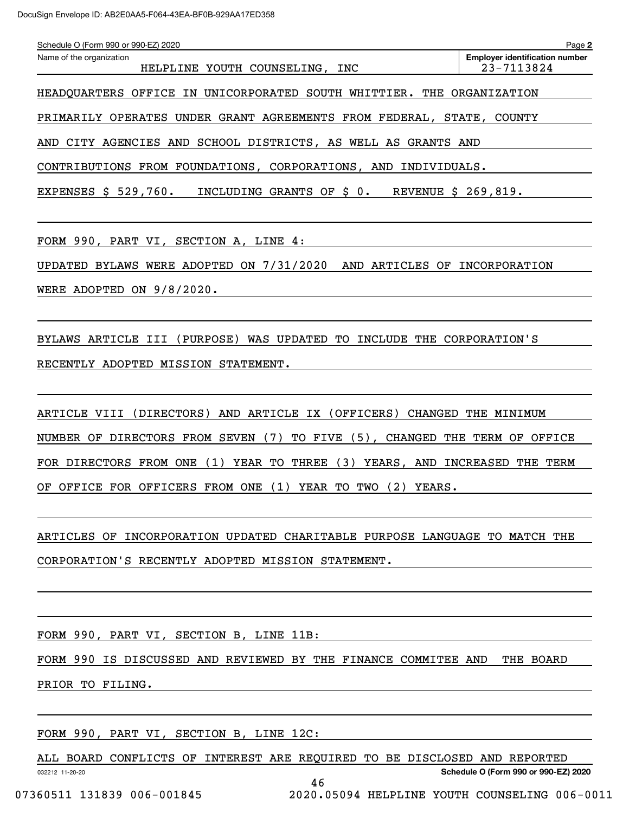| Schedule O (Form 990 or 990-EZ) 2020                                           | Page 2                                              |
|--------------------------------------------------------------------------------|-----------------------------------------------------|
| Name of the organization<br>HELPLINE YOUTH COUNSELING,<br>INC                  | <b>Employer identification number</b><br>23-7113824 |
| HEADQUARTERS OFFICE IN UNICORPORATED SOUTH WHITTIER. THE ORGANIZATION          |                                                     |
| PRIMARILY OPERATES UNDER GRANT AGREEMENTS FROM FEDERAL, STATE, COUNTY          |                                                     |
| AND CITY AGENCIES AND SCHOOL DISTRICTS, AS WELL AS GRANTS AND                  |                                                     |
| CONTRIBUTIONS FROM FOUNDATIONS, CORPORATIONS, AND INDIVIDUALS.                 |                                                     |
| EXPENSES \$ 529,760.<br>REVENUE \$ 269,819.<br>INCLUDING GRANTS OF \$ 0.       |                                                     |
|                                                                                |                                                     |
| FORM 990, PART VI, SECTION A, LINE 4:                                          |                                                     |
| UPDATED BYLAWS WERE ADOPTED ON 7/31/2020<br>AND ARTICLES OF INCORPORATION      |                                                     |
| WERE ADOPTED ON 9/8/2020.                                                      |                                                     |
|                                                                                |                                                     |
| (PURPOSE)<br>WAS UPDATED TO<br>INCLUDE THE CORPORATION'S<br>BYLAWS ARTICLE III |                                                     |
| RECENTLY ADOPTED MISSION STATEMENT.                                            |                                                     |
|                                                                                |                                                     |
| (DIRECTORS)<br>AND ARTICLE IX (OFFICERS)<br>ARTICLE VIII                       | CHANGED THE MINIMUM                                 |
| NUMBER OF DIRECTORS FROM SEVEN (7)<br>TO FIVE (5), CHANGED THE TERM OF OFFICE  |                                                     |
| FOR DIRECTORS FROM ONE (1) YEAR TO THREE<br>(3) YEARS, AND INCREASED THE TERM  |                                                     |
| OF OFFICE FOR OFFICERS FROM ONE (1) YEAR TO TWO (2) YEARS.                     |                                                     |
|                                                                                |                                                     |
| ARTICLES OF INCORPORATION UPDATED CHARITABLE PURPOSE LANGUAGE TO MATCH THE     |                                                     |
| CORPORATION'S RECENTLY ADOPTED MISSION STATEMENT.                              |                                                     |
|                                                                                |                                                     |

FORM 990, PART VI, SECTION B, LINE 11B:

FORM 990 IS DISCUSSED AND REVIEWED BY THE FINANCE COMMITEE AND THE BOARD PRIOR TO FILING.

FORM 990, PART VI, SECTION B, LINE 12C:

032212 11-20-20 ALL BOARD CONFLICTS OF INTEREST ARE REQUIRED TO BE DISCLOSED AND REPORTED

46

**Schedule O (Form 990 or 990-EZ) 2020**